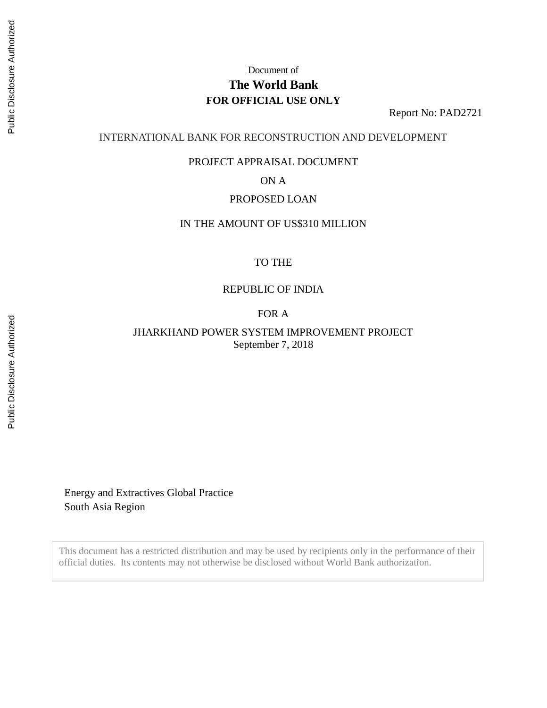Report No: PAD2721

# INTERNATIONAL BANK FOR RECONSTRUCTION AND DEVELOPMENT

# PROJECT APPRAISAL DOCUMENT

# ON A

# PROPOSED LOAN

# IN THE AMOUNT OF US\$310 MILLION

# TO THE

# REPUBLIC OF INDIA

FOR A

JHARKHAND POWER SYSTEM IMPROVEMENT PROJECT September 7, 2018

Energy and Extractives Global Practice South Asia Region

This document has a restricted distribution and may be used by recipients only in the performance of their official duties. Its contents may not otherwise be disclosed without World Bank authorization.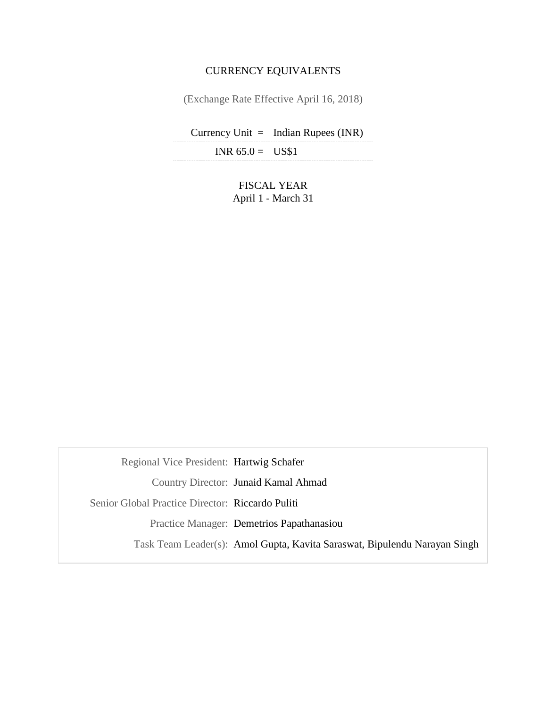# CURRENCY EQUIVALENTS

(Exchange Rate Effective April 16, 2018)

Currency Unit  $=$  Indian Rupees (INR) **INR**  $65.0 =$  **US\$1** 

> FISCAL YEAR April 1 - March 31

Regional Vice President: Hartwig Schafer Country Director: Junaid Kamal Ahmad Senior Global Practice Director: Riccardo Puliti Practice Manager: Demetrios Papathanasiou Task Team Leader(s): Amol Gupta, Kavita Saraswat, Bipulendu Narayan Singh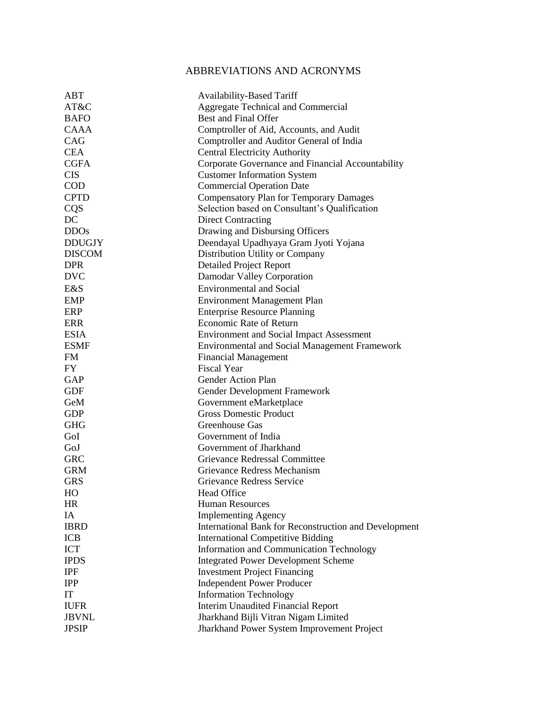# ABBREVIATIONS AND ACRONYMS

| <b>ABT</b>    | <b>Availability-Based Tariff</b>                      |  |  |
|---------------|-------------------------------------------------------|--|--|
| AT&C          | Aggregate Technical and Commercial                    |  |  |
| <b>BAFO</b>   | <b>Best and Final Offer</b>                           |  |  |
| <b>CAAA</b>   | Comptroller of Aid, Accounts, and Audit               |  |  |
| CAG           | Comptroller and Auditor General of India              |  |  |
| <b>CEA</b>    | <b>Central Electricity Authority</b>                  |  |  |
| <b>CGFA</b>   | Corporate Governance and Financial Accountability     |  |  |
| <b>CIS</b>    | <b>Customer Information System</b>                    |  |  |
| <b>COD</b>    | <b>Commercial Operation Date</b>                      |  |  |
| <b>CPTD</b>   | <b>Compensatory Plan for Temporary Damages</b>        |  |  |
| <b>CQS</b>    | Selection based on Consultant's Qualification         |  |  |
| DC            | <b>Direct Contracting</b>                             |  |  |
| <b>DDOs</b>   | Drawing and Disbursing Officers                       |  |  |
| <b>DDUGJY</b> | Deendayal Upadhyaya Gram Jyoti Yojana                 |  |  |
| <b>DISCOM</b> | Distribution Utility or Company                       |  |  |
| <b>DPR</b>    | <b>Detailed Project Report</b>                        |  |  |
| <b>DVC</b>    | Damodar Valley Corporation                            |  |  |
| E&S           | <b>Environmental and Social</b>                       |  |  |
| <b>EMP</b>    | <b>Environment Management Plan</b>                    |  |  |
| <b>ERP</b>    | <b>Enterprise Resource Planning</b>                   |  |  |
| <b>ERR</b>    | Economic Rate of Return                               |  |  |
| <b>ESIA</b>   | <b>Environment and Social Impact Assessment</b>       |  |  |
| <b>ESMF</b>   | <b>Environmental and Social Management Framework</b>  |  |  |
|               |                                                       |  |  |
| FM            | <b>Financial Management</b><br><b>Fiscal Year</b>     |  |  |
| FY            |                                                       |  |  |
| <b>GAP</b>    | <b>Gender Action Plan</b>                             |  |  |
| <b>GDF</b>    | Gender Development Framework                          |  |  |
| GeM           | Government eMarketplace                               |  |  |
| <b>GDP</b>    | <b>Gross Domestic Product</b>                         |  |  |
| <b>GHG</b>    | Greenhouse Gas                                        |  |  |
| GoI           | Government of India                                   |  |  |
| GoJ           | Government of Jharkhand                               |  |  |
| <b>GRC</b>    | Grievance Redressal Committee                         |  |  |
| <b>GRM</b>    | Grievance Redress Mechanism                           |  |  |
| <b>GRS</b>    | Grievance Redress Service                             |  |  |
| HO            | <b>Head Office</b>                                    |  |  |
| <b>HR</b>     | <b>Human Resources</b>                                |  |  |
| IA            | <b>Implementing Agency</b>                            |  |  |
| <b>IBRD</b>   | International Bank for Reconstruction and Development |  |  |
| <b>ICB</b>    | <b>International Competitive Bidding</b>              |  |  |
| <b>ICT</b>    | <b>Information and Communication Technology</b>       |  |  |
| <b>IPDS</b>   | <b>Integrated Power Development Scheme</b>            |  |  |
| <b>IPF</b>    | <b>Investment Project Financing</b>                   |  |  |
| <b>IPP</b>    | <b>Independent Power Producer</b>                     |  |  |
| IT            | <b>Information Technology</b>                         |  |  |
| <b>IUFR</b>   | <b>Interim Unaudited Financial Report</b>             |  |  |
| <b>JBVNL</b>  | Jharkhand Bijli Vitran Nigam Limited                  |  |  |
| <b>JPSIP</b>  | Jharkhand Power System Improvement Project            |  |  |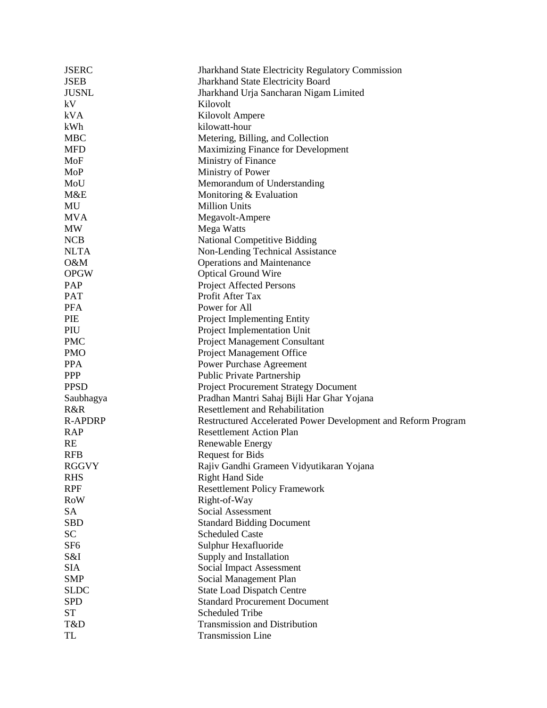| <b>JSERC</b>    | <b>Jharkhand State Electricity Regulatory Commission</b>      |  |  |
|-----------------|---------------------------------------------------------------|--|--|
| <b>JSEB</b>     | Jharkhand State Electricity Board                             |  |  |
| <b>JUSNL</b>    | Jharkhand Urja Sancharan Nigam Limited                        |  |  |
| kV              | Kilovolt                                                      |  |  |
| kVA             | Kilovolt Ampere                                               |  |  |
| kWh             | kilowatt-hour                                                 |  |  |
| <b>MBC</b>      | Metering, Billing, and Collection                             |  |  |
| <b>MFD</b>      | Maximizing Finance for Development                            |  |  |
| MoF             | Ministry of Finance                                           |  |  |
| MoP             | Ministry of Power                                             |  |  |
| MoU             | Memorandum of Understanding                                   |  |  |
| M&E             | Monitoring & Evaluation                                       |  |  |
| MU              | <b>Million Units</b>                                          |  |  |
| <b>MVA</b>      | Megavolt-Ampere                                               |  |  |
| <b>MW</b>       |                                                               |  |  |
|                 | Mega Watts                                                    |  |  |
| <b>NCB</b>      | <b>National Competitive Bidding</b>                           |  |  |
| <b>NLTA</b>     | Non-Lending Technical Assistance                              |  |  |
| O&M             | <b>Operations and Maintenance</b>                             |  |  |
| <b>OPGW</b>     | <b>Optical Ground Wire</b>                                    |  |  |
| PAP             | <b>Project Affected Persons</b>                               |  |  |
| <b>PAT</b>      | Profit After Tax                                              |  |  |
| <b>PFA</b>      | Power for All                                                 |  |  |
| PIE             | Project Implementing Entity                                   |  |  |
| PIU             | Project Implementation Unit                                   |  |  |
| <b>PMC</b>      | <b>Project Management Consultant</b>                          |  |  |
| <b>PMO</b>      | Project Management Office                                     |  |  |
| <b>PPA</b>      | Power Purchase Agreement                                      |  |  |
| <b>PPP</b>      | Public Private Partnership                                    |  |  |
| <b>PPSD</b>     | <b>Project Procurement Strategy Document</b>                  |  |  |
| Saubhagya       | Pradhan Mantri Sahaj Bijli Har Ghar Yojana                    |  |  |
| R&R             | <b>Resettlement and Rehabilitation</b>                        |  |  |
| <b>R-APDRP</b>  | Restructured Accelerated Power Development and Reform Program |  |  |
| <b>RAP</b>      | <b>Resettlement Action Plan</b>                               |  |  |
| RE              | Renewable Energy                                              |  |  |
| <b>RFB</b>      | <b>Request for Bids</b>                                       |  |  |
| <b>RGGVY</b>    | Rajiv Gandhi Grameen Vidyutikaran Yojana                      |  |  |
| <b>RHS</b>      | <b>Right Hand Side</b>                                        |  |  |
| <b>RPF</b>      | <b>Resettlement Policy Framework</b>                          |  |  |
| <b>RoW</b>      | Right-of-Way                                                  |  |  |
| SA              | Social Assessment                                             |  |  |
| <b>SBD</b>      | <b>Standard Bidding Document</b>                              |  |  |
| <b>SC</b>       | <b>Scheduled Caste</b>                                        |  |  |
| SF <sub>6</sub> | Sulphur Hexafluoride                                          |  |  |
| S&I             | Supply and Installation                                       |  |  |
| <b>SIA</b>      |                                                               |  |  |
|                 | <b>Social Impact Assessment</b>                               |  |  |
| <b>SMP</b>      | Social Management Plan                                        |  |  |
| <b>SLDC</b>     | <b>State Load Dispatch Centre</b>                             |  |  |
| <b>SPD</b>      | <b>Standard Procurement Document</b>                          |  |  |
| <b>ST</b>       | <b>Scheduled Tribe</b>                                        |  |  |
| T&D             | <b>Transmission and Distribution</b>                          |  |  |
| TL              | <b>Transmission Line</b>                                      |  |  |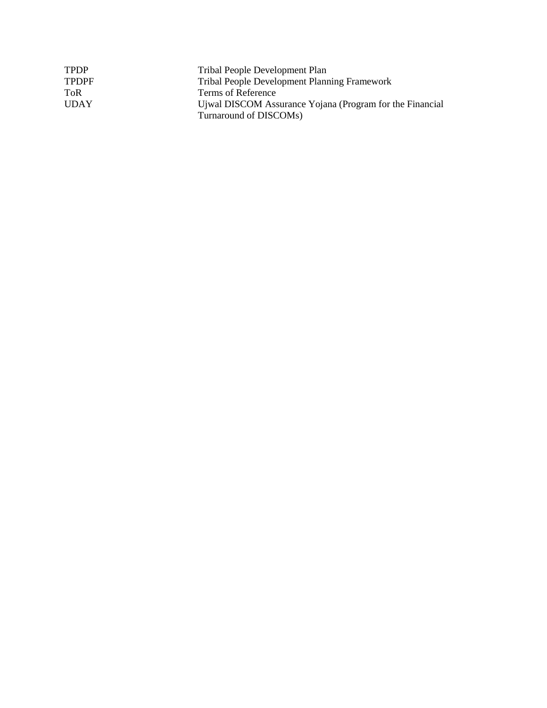| <b>TPDP</b>  | Tribal People Development Plan                           |
|--------------|----------------------------------------------------------|
| <b>TPDPF</b> | <b>Tribal People Development Planning Framework</b>      |
| ToR          | Terms of Reference                                       |
| <b>UDAY</b>  | Ujwal DISCOM Assurance Yojana (Program for the Financial |
|              | Turnaround of DISCOMs)                                   |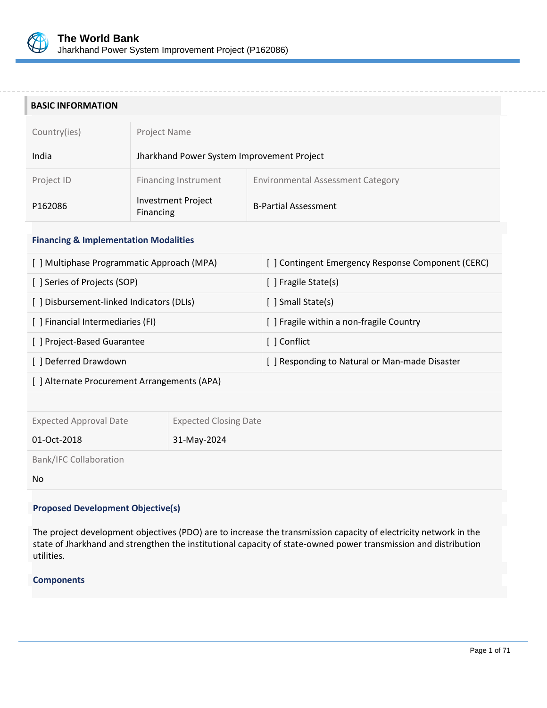

# **BASIC INFORMATION**

| Country(ies) | Project Name                                                            |                             |  |  |
|--------------|-------------------------------------------------------------------------|-----------------------------|--|--|
| India        | Jharkhand Power System Improvement Project                              |                             |  |  |
| Project ID   | <b>Financing Instrument</b><br><b>Environmental Assessment Category</b> |                             |  |  |
| P162086      | <b>Investment Project</b><br>Financing                                  | <b>B-Partial Assessment</b> |  |  |

#### **Financing & Implementation Modalities**

| [ ] Multiphase Programmatic Approach (MPA) | [ ] Contingent Emergency Response Component (CERC) |
|--------------------------------------------|----------------------------------------------------|
| [ ] Series of Projects (SOP)               | [ ] Fragile State(s)                               |
| [] Disbursement-linked Indicators (DLIs)   | [ ] Small State(s)                                 |
| [ ] Financial Intermediaries (FI)          | [ ] Fragile within a non-fragile Country           |
| [] Project-Based Guarantee                 | [ ] Conflict                                       |
| [] Deferred Drawdown                       | [ ] Responding to Natural or Man-made Disaster     |
|                                            |                                                    |

[ ] Alternate Procurement Arrangements (APA)

| <b>Expected Approval Date</b> | <b>Expected Closing Date</b> |
|-------------------------------|------------------------------|
| 01-Oct-2018                   | 31-May-2024                  |
| <b>Bank/IFC Collaboration</b> |                              |

No

## **Proposed Development Objective(s)**

The project development objectives (PDO) are to increase the transmission capacity of electricity network in the state of Jharkhand and strengthen the institutional capacity of state-owned power transmission and distribution utilities.

### **Components**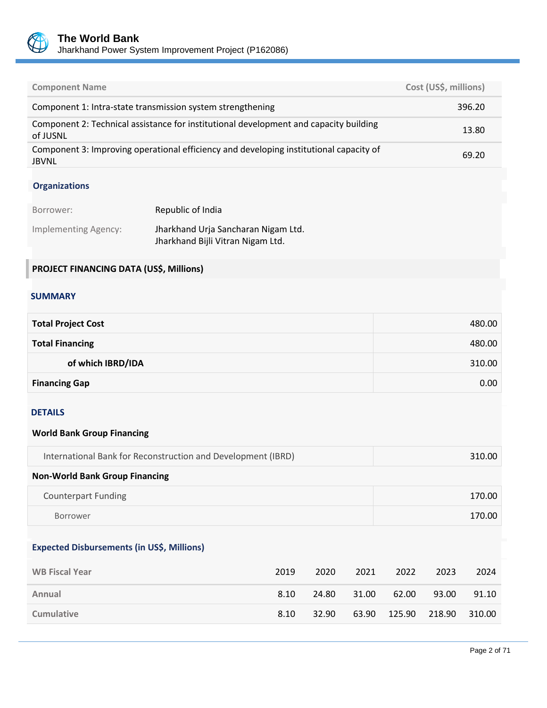

| <b>Component Name</b>                                                                                  | Cost (US\$, millions) |
|--------------------------------------------------------------------------------------------------------|-----------------------|
| Component 1: Intra-state transmission system strengthening                                             | 396.20                |
| Component 2: Technical assistance for institutional development and capacity building<br>of JUSNL      | 13.80                 |
| Component 3: Improving operational efficiency and developing institutional capacity of<br><b>JBVNL</b> | 69.20                 |

# **Organizations**

| Borrower:            | Republic of India                   |
|----------------------|-------------------------------------|
| Implementing Agency: | Jharkhand Urja Sancharan Nigam Ltd. |
|                      | Jharkhand Bijli Vitran Nigam Ltd.   |

# **PROJECT FINANCING DATA (US\$, Millions)**

# **SUMMARY**

| <b>Total Project Cost</b> | 480.00 |
|---------------------------|--------|
| <b>Total Financing</b>    | 480.00 |
| of which IBRD/IDA         | 310.00 |
| <b>Financing Gap</b>      | 0.00   |

#### DETAILS

# **World Bank Group Financing**

| International Bank for Reconstruction and Development (IBRD) | 310.00 |
|--------------------------------------------------------------|--------|
| <b>Non-World Bank Group Financing</b>                        |        |
| <b>Counterpart Funding</b>                                   | 170.00 |
| Borrower                                                     | 170.00 |

# **Expected Disbursements (in US\$, Millions)**

| <b>WB Fiscal Year</b> | 2019 | 2020  | 2021  | 2022  | 2023          | 2024   |
|-----------------------|------|-------|-------|-------|---------------|--------|
| Annual                | 8.10 | 24.80 | 31.00 | 62.00 | 93.00         | 91.10  |
| <b>Cumulative</b>     | 8.10 | 32.90 | 63.90 |       | 125.90 218.90 | 310.00 |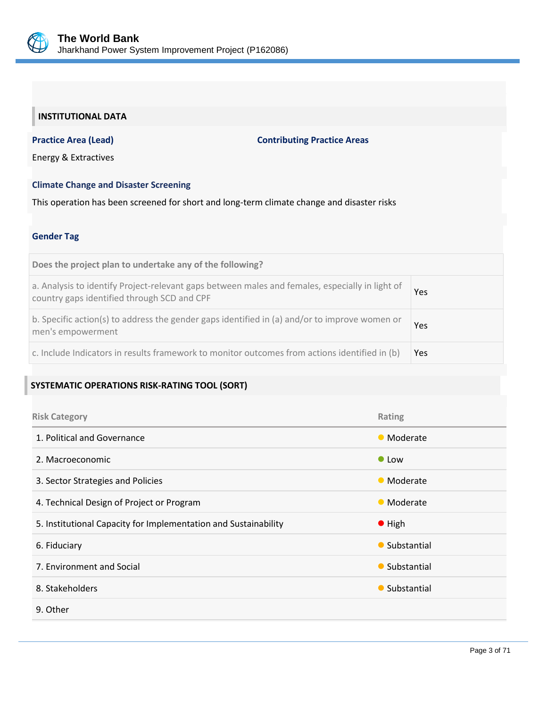

# **INSTITUTIONAL DATA**

**Practice Area (Lead) Contributing Practice Areas** 

Energy & Extractives

# **Climate Change and Disaster Screening**

This operation has been screened for short and long-term climate change and disaster risks

## **Gender Tag**

| Does the project plan to undertake any of the following?                                                                                       |     |  |  |
|------------------------------------------------------------------------------------------------------------------------------------------------|-----|--|--|
| a. Analysis to identify Project-relevant gaps between males and females, especially in light of<br>country gaps identified through SCD and CPF | Yes |  |  |
| b. Specific action(s) to address the gender gaps identified in (a) and/or to improve women or<br>men's empowerment                             | Yes |  |  |
| c. Include Indicators in results framework to monitor outcomes from actions identified in (b)                                                  | Yes |  |  |

# **SYSTEMATIC OPERATIONS RISK-RATING TOOL (SORT)**

| <b>Risk Category</b>                                            | Rating         |
|-----------------------------------------------------------------|----------------|
| 1. Political and Governance                                     | • Moderate     |
| 2. Macroeconomic                                                | $\bullet$ Low  |
| 3. Sector Strategies and Policies                               | • Moderate     |
| 4. Technical Design of Project or Program                       | • Moderate     |
|                                                                 |                |
| 5. Institutional Capacity for Implementation and Sustainability | $\bullet$ High |
| 6. Fiduciary                                                    | • Substantial  |
| 7. Environment and Social                                       | • Substantial  |
| 8. Stakeholders                                                 | • Substantial  |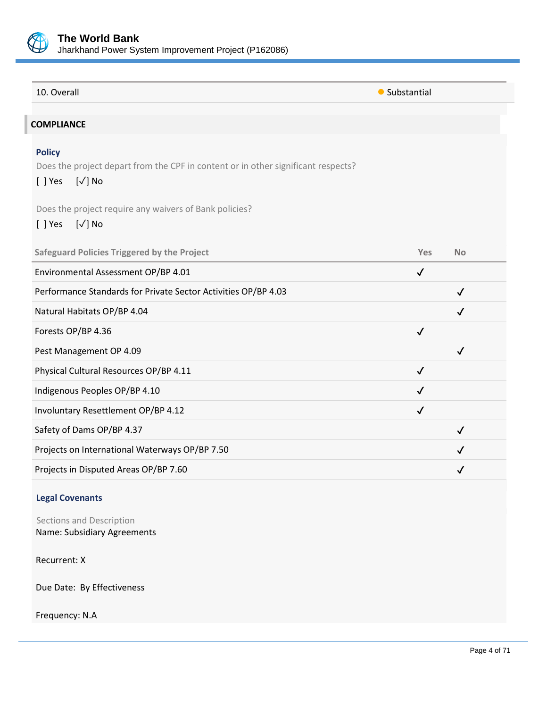

I

| 10. Overall                                                                                                                                                                                                            | • Substantial |              |
|------------------------------------------------------------------------------------------------------------------------------------------------------------------------------------------------------------------------|---------------|--------------|
| <b>COMPLIANCE</b>                                                                                                                                                                                                      |               |              |
| <b>Policy</b><br>Does the project depart from the CPF in content or in other significant respects?<br>$[\sqrt]$ No<br>$[ ]$ Yes<br>Does the project require any waivers of Bank policies?<br>$[\sqrt]$ No<br>$[ ]$ Yes |               |              |
| <b>Safeguard Policies Triggered by the Project</b>                                                                                                                                                                     | Yes           | <b>No</b>    |
| Environmental Assessment OP/BP 4.01                                                                                                                                                                                    | $\checkmark$  |              |
| Performance Standards for Private Sector Activities OP/BP 4.03                                                                                                                                                         |               | $\checkmark$ |
| Natural Habitats OP/BP 4.04                                                                                                                                                                                            |               | $\checkmark$ |
| Forests OP/BP 4.36                                                                                                                                                                                                     | $\checkmark$  |              |
| Pest Management OP 4.09                                                                                                                                                                                                |               | $\checkmark$ |
| Physical Cultural Resources OP/BP 4.11                                                                                                                                                                                 | $\checkmark$  |              |
| Indigenous Peoples OP/BP 4.10                                                                                                                                                                                          | $\checkmark$  |              |
| Involuntary Resettlement OP/BP 4.12                                                                                                                                                                                    | $\checkmark$  |              |
| Safety of Dams OP/BP 4.37                                                                                                                                                                                              |               | $\checkmark$ |
| Projects on International Waterways OP/BP 7.50                                                                                                                                                                         |               | ✓            |
| Projects in Disputed Areas OP/BP 7.60                                                                                                                                                                                  |               | ✓            |
| <b>Legal Covenants</b><br><b>Sections and Description</b><br>Name: Subsidiary Agreements                                                                                                                               |               |              |
| Recurrent: X                                                                                                                                                                                                           |               |              |
| Due Date: By Effectiveness                                                                                                                                                                                             |               |              |

Frequency: N.A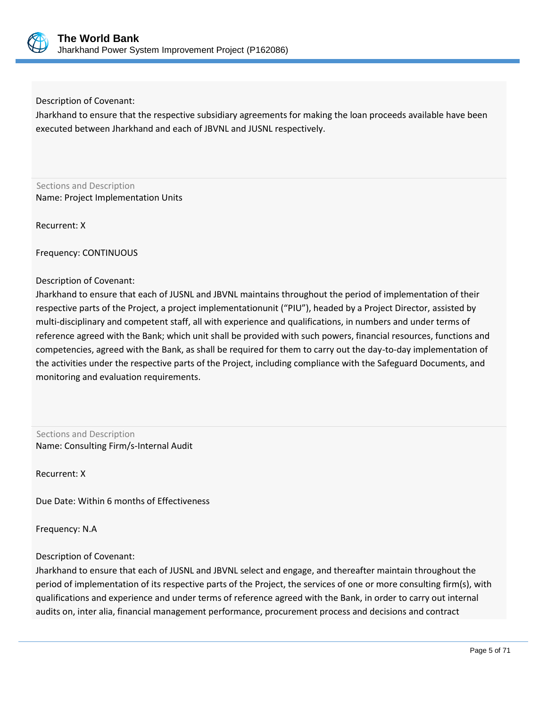

Description of Covenant:

Jharkhand to ensure that the respective subsidiary agreements for making the loan proceeds available have been executed between Jharkhand and each of JBVNL and JUSNL respectively.

Sections and Description Name: Project Implementation Units

Recurrent: X

Frequency: CONTINUOUS

### Description of Covenant:

Jharkhand to ensure that each of JUSNL and JBVNL maintains throughout the period of implementation of their respective parts of the Project, a project implementationunit ("PIU"), headed by a Project Director, assisted by multi-disciplinary and competent staff, all with experience and qualifications, in numbers and under terms of reference agreed with the Bank; which unit shall be provided with such powers, financial resources, functions and competencies, agreed with the Bank, as shall be required for them to carry out the day-to-day implementation of the activities under the respective parts of the Project, including compliance with the Safeguard Documents, and monitoring and evaluation requirements.

Sections and Description Name: Consulting Firm/s-Internal Audit

Recurrent: X

Due Date: Within 6 months of Effectiveness

Frequency: N.A

# Description of Covenant:

Jharkhand to ensure that each of JUSNL and JBVNL select and engage, and thereafter maintain throughout the period of implementation of its respective parts of the Project, the services of one or more consulting firm(s), with qualifications and experience and under terms of reference agreed with the Bank, in order to carry out internal audits on, inter alia, financial management performance, procurement process and decisions and contract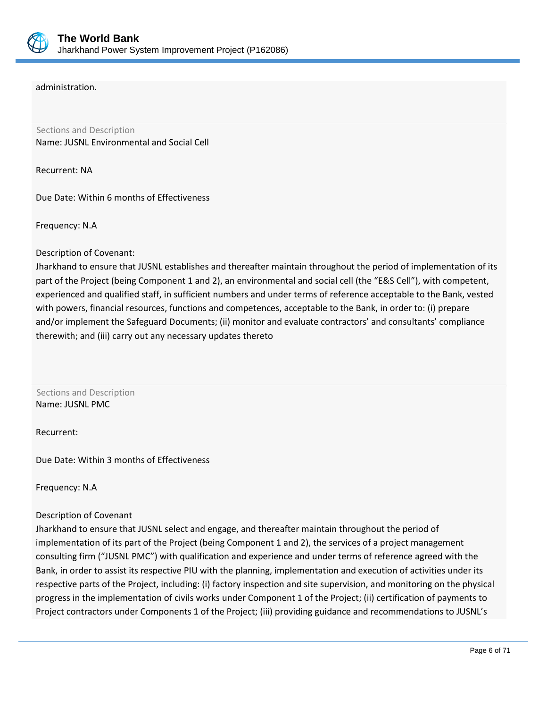

# administration.

Sections and Description Name: JUSNL Environmental and Social Cell

Recurrent: NA

Due Date: Within 6 months of Effectiveness

Frequency: N.A

Description of Covenant:

Jharkhand to ensure that JUSNL establishes and thereafter maintain throughout the period of implementation of its part of the Project (being Component 1 and 2), an environmental and social cell (the "E&S Cell"), with competent, experienced and qualified staff, in sufficient numbers and under terms of reference acceptable to the Bank, vested with powers, financial resources, functions and competences, acceptable to the Bank, in order to: (i) prepare and/or implement the Safeguard Documents; (ii) monitor and evaluate contractors' and consultants' compliance therewith; and (iii) carry out any necessary updates thereto

Sections and Description Name: JUSNL PMC

Recurrent:

Due Date: Within 3 months of Effectiveness

Frequency: N.A

# Description of Covenant

Jharkhand to ensure that JUSNL select and engage, and thereafter maintain throughout the period of implementation of its part of the Project (being Component 1 and 2), the services of a project management consulting firm ("JUSNL PMC") with qualification and experience and under terms of reference agreed with the Bank, in order to assist its respective PIU with the planning, implementation and execution of activities under its respective parts of the Project, including: (i) factory inspection and site supervision, and monitoring on the physical progress in the implementation of civils works under Component 1 of the Project; (ii) certification of payments to Project contractors under Components 1 of the Project; (iii) providing guidance and recommendations to JUSNL's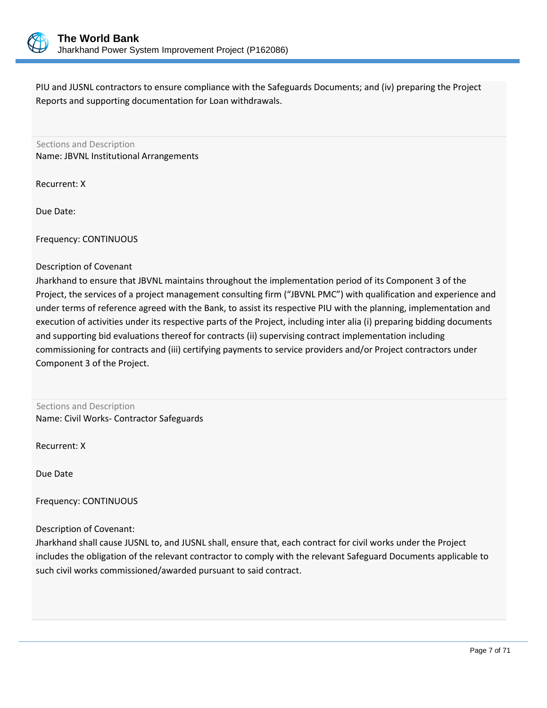

PIU and JUSNL contractors to ensure compliance with the Safeguards Documents; and (iv) preparing the Project Reports and supporting documentation for Loan withdrawals.

Sections and Description Name: JBVNL Institutional Arrangements

Recurrent: X

Due Date:

Frequency: CONTINUOUS

Description of Covenant

Jharkhand to ensure that JBVNL maintains throughout the implementation period of its Component 3 of the Project, the services of a project management consulting firm ("JBVNL PMC") with qualification and experience and under terms of reference agreed with the Bank, to assist its respective PIU with the planning, implementation and execution of activities under its respective parts of the Project, including inter alia (i) preparing bidding documents and supporting bid evaluations thereof for contracts (ii) supervising contract implementation including commissioning for contracts and (iii) certifying payments to service providers and/or Project contractors under Component 3 of the Project.

Sections and Description Name: Civil Works- Contractor Safeguards

Recurrent: X

Due Date

Frequency: CONTINUOUS

Description of Covenant:

Jharkhand shall cause JUSNL to, and JUSNL shall, ensure that, each contract for civil works under the Project includes the obligation of the relevant contractor to comply with the relevant Safeguard Documents applicable to such civil works commissioned/awarded pursuant to said contract.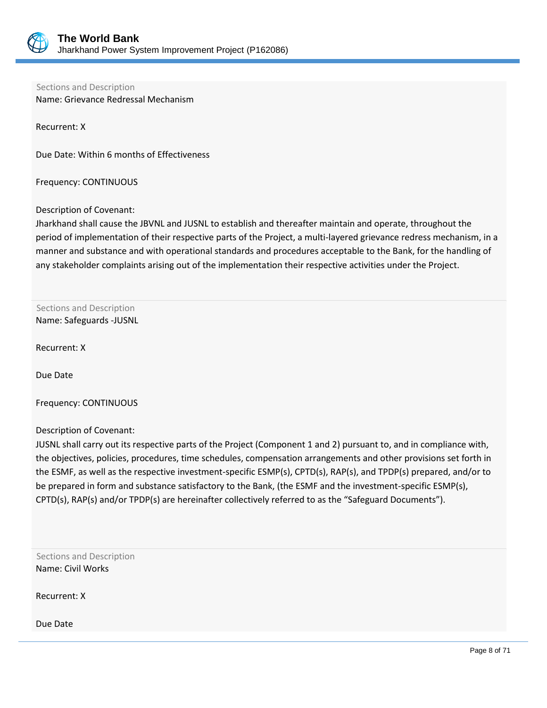

Sections and Description Name: Grievance Redressal Mechanism

Recurrent: X

Due Date: Within 6 months of Effectiveness

Frequency: CONTINUOUS

Description of Covenant:

Jharkhand shall cause the JBVNL and JUSNL to establish and thereafter maintain and operate, throughout the period of implementation of their respective parts of the Project, a multi-layered grievance redress mechanism, in a manner and substance and with operational standards and procedures acceptable to the Bank, for the handling of any stakeholder complaints arising out of the implementation their respective activities under the Project.

Sections and Description Name: Safeguards -JUSNL

Recurrent: X

Due Date

Frequency: CONTINUOUS

Description of Covenant:

JUSNL shall carry out its respective parts of the Project (Component 1 and 2) pursuant to, and in compliance with, the objectives, policies, procedures, time schedules, compensation arrangements and other provisions set forth in the ESMF, as well as the respective investment-specific ESMP(s), CPTD(s), RAP(s), and TPDP(s) prepared, and/or to be prepared in form and substance satisfactory to the Bank, (the ESMF and the investment-specific ESMP(s), CPTD(s), RAP(s) and/or TPDP(s) are hereinafter collectively referred to as the "Safeguard Documents").

Sections and Description Name: Civil Works

Recurrent: X

Due Date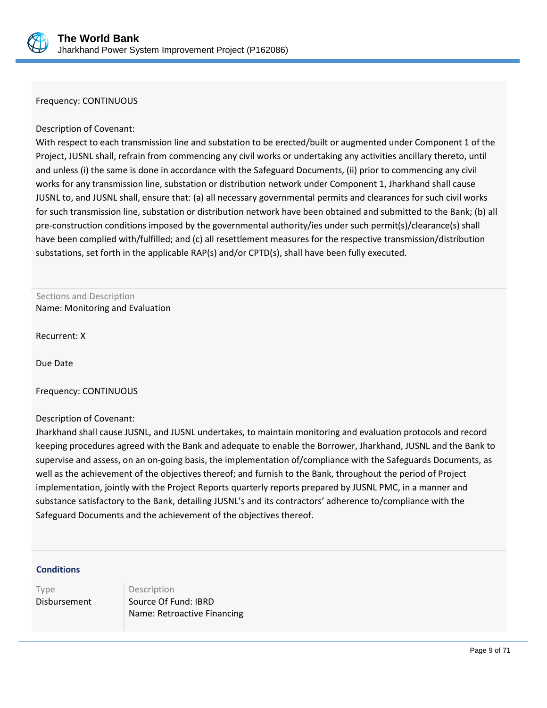

Frequency: CONTINUOUS

Description of Covenant:

With respect to each transmission line and substation to be erected/built or augmented under Component 1 of the Project, JUSNL shall, refrain from commencing any civil works or undertaking any activities ancillary thereto, until and unless (i) the same is done in accordance with the Safeguard Documents, (ii) prior to commencing any civil works for any transmission line, substation or distribution network under Component 1, Jharkhand shall cause JUSNL to, and JUSNL shall, ensure that: (a) all necessary governmental permits and clearances for such civil works for such transmission line, substation or distribution network have been obtained and submitted to the Bank; (b) all pre-construction conditions imposed by the governmental authority/ies under such permit(s)/clearance(s) shall have been complied with/fulfilled; and (c) all resettlement measures for the respective transmission/distribution substations, set forth in the applicable RAP(s) and/or CPTD(s), shall have been fully executed.

# Sections and Description Name: Monitoring and Evaluation

Recurrent: X

Due Date

Frequency: CONTINUOUS

Description of Covenant:

Jharkhand shall cause JUSNL, and JUSNL undertakes, to maintain monitoring and evaluation protocols and record keeping procedures agreed with the Bank and adequate to enable the Borrower, Jharkhand, JUSNL and the Bank to supervise and assess, on an on-going basis, the implementation of/compliance with the Safeguards Documents, as well as the achievement of the objectives thereof; and furnish to the Bank, throughout the period of Project implementation, jointly with the Project Reports quarterly reports prepared by JUSNL PMC, in a manner and substance satisfactory to the Bank, detailing JUSNL's and its contractors' adherence to/compliance with the Safeguard Documents and the achievement of the objectives thereof.

### **Conditions**

Type Description

Disbursement Source Of Fund: IBRD Name: Retroactive Financing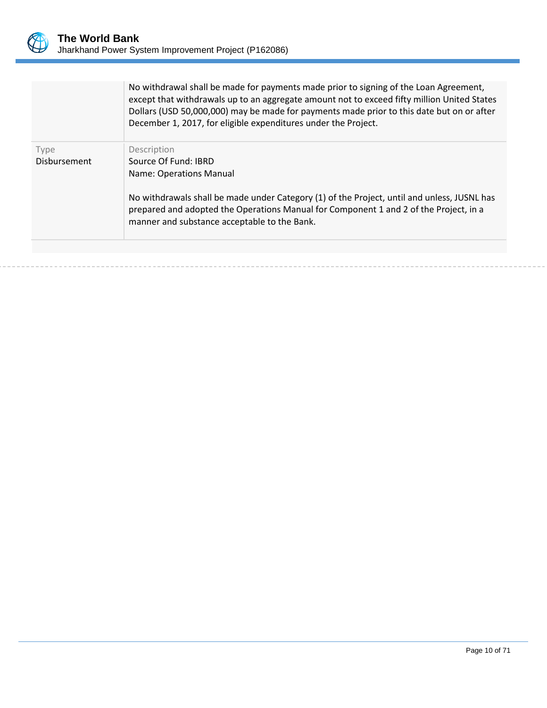

|                      | No withdrawal shall be made for payments made prior to signing of the Loan Agreement,<br>except that withdrawals up to an aggregate amount not to exceed fifty million United States<br>Dollars (USD 50,000,000) may be made for payments made prior to this date but on or after<br>December 1, 2017, for eligible expenditures under the Project. |
|----------------------|-----------------------------------------------------------------------------------------------------------------------------------------------------------------------------------------------------------------------------------------------------------------------------------------------------------------------------------------------------|
| Type<br>Disbursement | Description<br>Source Of Fund: IBRD<br>Name: Operations Manual<br>No withdrawals shall be made under Category (1) of the Project, until and unless, JUSNL has                                                                                                                                                                                       |
|                      | prepared and adopted the Operations Manual for Component 1 and 2 of the Project, in a<br>manner and substance acceptable to the Bank.                                                                                                                                                                                                               |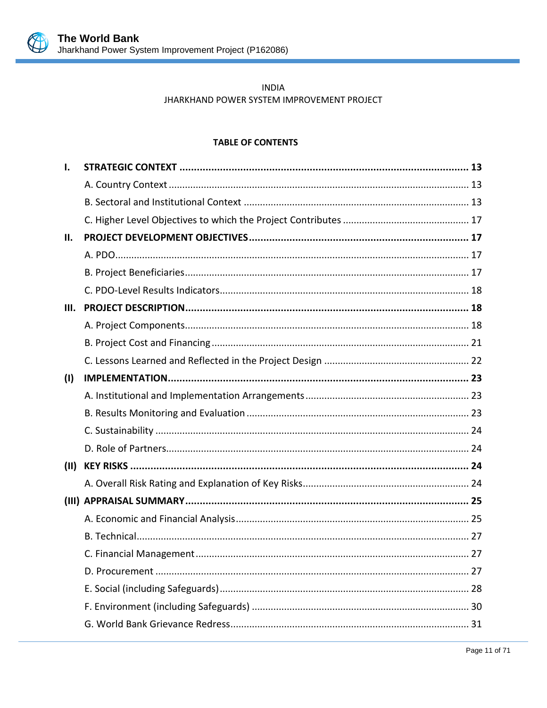

**INDIA** JHARKHAND POWER SYSTEM IMPROVEMENT PROJECT

# **TABLE OF CONTENTS**

| Ι.   |  |
|------|--|
|      |  |
|      |  |
|      |  |
| Н.   |  |
|      |  |
|      |  |
|      |  |
| Ш.   |  |
|      |  |
|      |  |
|      |  |
| (1)  |  |
|      |  |
|      |  |
|      |  |
|      |  |
| (II) |  |
|      |  |
|      |  |
|      |  |
|      |  |
|      |  |
|      |  |
|      |  |
|      |  |
|      |  |
|      |  |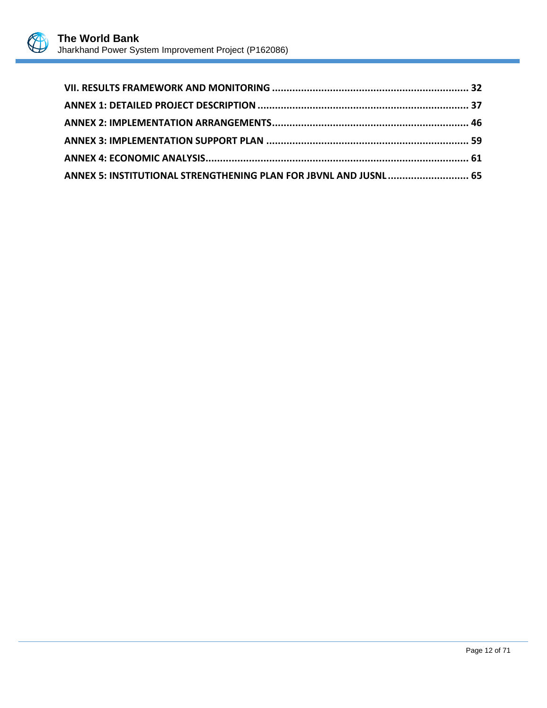

| ANNEX 5: INSTITUTIONAL STRENGTHENING PLAN FOR JBVNL AND JUSNL 65 |  |
|------------------------------------------------------------------|--|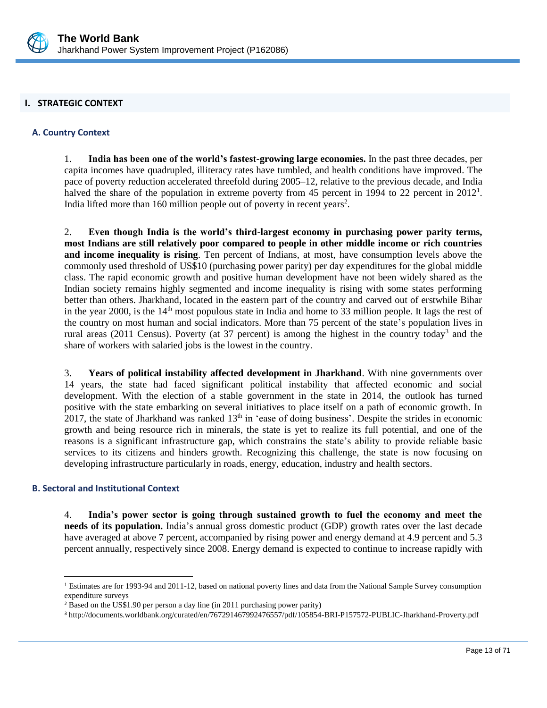

### <span id="page-18-0"></span>**I. STRATEGIC CONTEXT**

#### <span id="page-18-1"></span>**A. Country Context**

1. **India has been one of the world's fastest-growing large economies.** In the past three decades, per capita incomes have quadrupled, illiteracy rates have tumbled, and health conditions have improved. The pace of poverty reduction accelerated threefold during 2005–12, relative to the previous decade, and India halved the share of the population in extreme poverty from 45 percent in 1994 to 22 percent in 2012<sup>1</sup>. India lifted more than 160 million people out of poverty in recent years<sup>2</sup>.

2. **Even though India is the world's third-largest economy in purchasing power parity terms, most Indians are still relatively poor compared to people in other middle income or rich countries and income inequality is rising**. Ten percent of Indians, at most, have consumption levels above the commonly used threshold of US\$10 (purchasing power parity) per day expenditures for the global middle class. The rapid economic growth and positive human development have not been widely shared as the Indian society remains highly segmented and income inequality is rising with some states performing better than others. Jharkhand, located in the eastern part of the country and carved out of erstwhile Bihar in the year 2000, is the 14<sup>th</sup> most populous state in India and home to 33 million people. It lags the rest of the country on most human and social indicators. More than 75 percent of the state's population lives in rural areas (2011 Census). Poverty (at 37 percent) is among the highest in the country today<sup>3</sup> and the share of workers with salaried jobs is the lowest in the country.

3. **Years of political instability affected development in Jharkhand**. With nine governments over 14 years, the state had faced significant political instability that affected economic and social development. With the election of a stable government in the state in 2014, the outlook has turned positive with the state embarking on several initiatives to place itself on a path of economic growth. In 2017, the state of Jharkhand was ranked  $13<sup>th</sup>$  in 'ease of doing business'. Despite the strides in economic growth and being resource rich in minerals, the state is yet to realize its full potential, and one of the reasons is a significant infrastructure gap, which constrains the state's ability to provide reliable basic services to its citizens and hinders growth. Recognizing this challenge, the state is now focusing on developing infrastructure particularly in roads, energy, education, industry and health sectors.

#### <span id="page-18-2"></span>**B. Sectoral and Institutional Context**

 $\overline{a}$ 

4. **India's power sector is going through sustained growth to fuel the economy and meet the needs of its population.** India's annual gross domestic product (GDP) growth rates over the last decade have averaged at above 7 percent, accompanied by rising power and energy demand at 4.9 percent and 5.3 percent annually, respectively since 2008. Energy demand is expected to continue to increase rapidly with

<sup>&</sup>lt;sup>1</sup> Estimates are for 1993-94 and 2011-12, based on national poverty lines and data from the National Sample Survey consumption expenditure surveys

<sup>2</sup> Based on the US\$1.90 per person a day line (in 2011 purchasing power parity)

<sup>3</sup> http://documents.worldbank.org/curated/en/767291467992476557/pdf/105854-BRI-P157572-PUBLIC-Jharkhand-Proverty.pdf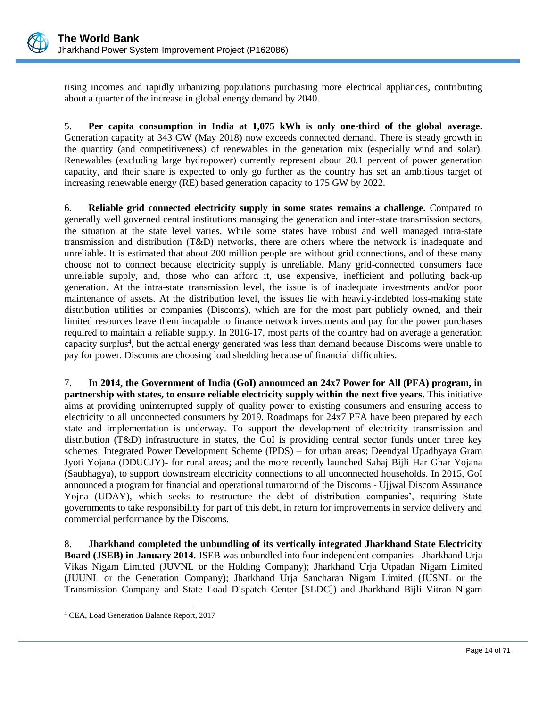

rising incomes and rapidly urbanizing populations purchasing more electrical appliances, contributing about a quarter of the increase in global energy demand by 2040.

5. **Per capita consumption in India at 1,075 kWh is only one-third of the global average.** Generation capacity at 343 GW (May 2018) now exceeds connected demand. There is steady growth in the quantity (and competitiveness) of renewables in the generation mix (especially wind and solar). Renewables (excluding large hydropower) currently represent about 20.1 percent of power generation capacity, and their share is expected to only go further as the country has set an ambitious target of increasing renewable energy (RE) based generation capacity to 175 GW by 2022.

6. **Reliable grid connected electricity supply in some states remains a challenge.** Compared to generally well governed central institutions managing the generation and inter-state transmission sectors, the situation at the state level varies. While some states have robust and well managed intra-state transmission and distribution (T&D) networks, there are others where the network is inadequate and unreliable. It is estimated that about 200 million people are without grid connections, and of these many choose not to connect because electricity supply is unreliable. Many grid-connected consumers face unreliable supply, and, those who can afford it, use expensive, inefficient and polluting back-up generation. At the intra-state transmission level, the issue is of inadequate investments and/or poor maintenance of assets. At the distribution level, the issues lie with heavily-indebted loss-making state distribution utilities or companies (Discoms), which are for the most part publicly owned, and their limited resources leave them incapable to finance network investments and pay for the power purchases required to maintain a reliable supply. In 2016-17, most parts of the country had on average a generation capacity surplus<sup>4</sup>, but the actual energy generated was less than demand because Discoms were unable to pay for power. Discoms are choosing load shedding because of financial difficulties.

7. **In 2014, the Government of India (GoI) announced an 24x7 Power for All (PFA) program, in partnership with states, to ensure reliable electricity supply within the next five years**. This initiative aims at providing uninterrupted supply of quality power to existing consumers and ensuring access to electricity to all unconnected consumers by 2019. Roadmaps for 24x7 PFA have been prepared by each state and implementation is underway. To support the development of electricity transmission and distribution (T&D) infrastructure in states, the GoI is providing central sector funds under three key schemes: Integrated Power Development Scheme (IPDS) – for urban areas; Deendyal Upadhyaya Gram Jyoti Yojana (DDUGJY)- for rural areas; and the more recently launched Sahaj Bijli Har Ghar Yojana (Saubhagya), to support downstream electricity connections to all unconnected households. In 2015, GoI announced a program for financial and operational turnaround of the Discoms - Ujjwal Discom Assurance Yojna (UDAY), which seeks to restructure the debt of distribution companies', requiring State governments to take responsibility for part of this debt, in return for improvements in service delivery and commercial performance by the Discoms.

8. **Jharkhand completed the unbundling of its vertically integrated Jharkhand State Electricity Board (JSEB) in January 2014.** JSEB was unbundled into four independent companies - Jharkhand Urja Vikas Nigam Limited (JUVNL or the Holding Company); Jharkhand Urja Utpadan Nigam Limited (JUUNL or the Generation Company); Jharkhand Urja Sancharan Nigam Limited (JUSNL or the Transmission Company and State Load Dispatch Center [SLDC]) and Jharkhand Bijli Vitran Nigam

<sup>4</sup> CEA, Load Generation Balance Report, 2017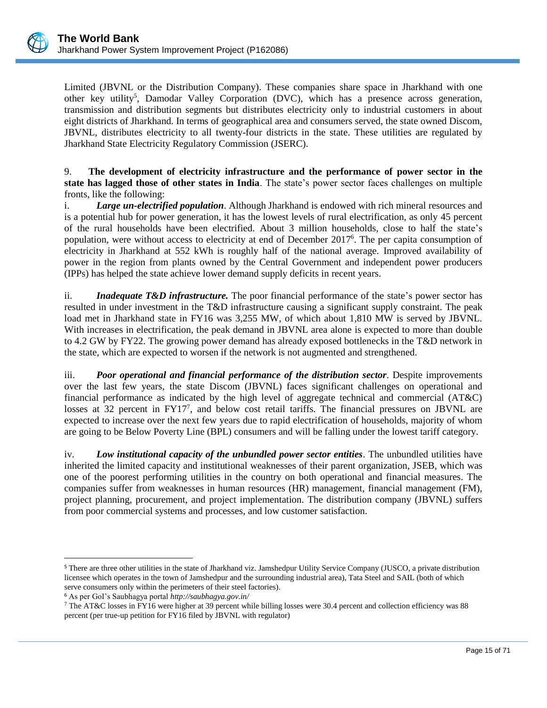

Limited (JBVNL or the Distribution Company). These companies share space in Jharkhand with one other key utility<sup>5</sup>, Damodar Valley Corporation (DVC), which has a presence across generation, transmission and distribution segments but distributes electricity only to industrial customers in about eight districts of Jharkhand. In terms of geographical area and consumers served, the state owned Discom, JBVNL, distributes electricity to all twenty-four districts in the state. These utilities are regulated by Jharkhand State Electricity Regulatory Commission (JSERC).

# 9. **The development of electricity infrastructure and the performance of power sector in the state has lagged those of other states in India**. The state's power sector faces challenges on multiple fronts, like the following:

i. *Large un-electrified population*. Although Jharkhand is endowed with rich mineral resources and is a potential hub for power generation, it has the lowest levels of rural electrification, as only 45 percent of the rural households have been electrified. About 3 million households, close to half the state's population, were without access to electricity at end of December 2017<sup>6</sup>. The per capita consumption of electricity in Jharkhand at 552 kWh is roughly half of the national average. Improved availability of power in the region from plants owned by the Central Government and independent power producers (IPPs) has helped the state achieve lower demand supply deficits in recent years.

ii. *Inadequate T&D infrastructure.* The poor financial performance of the state's power sector has resulted in under investment in the T&D infrastructure causing a significant supply constraint. The peak load met in Jharkhand state in FY16 was 3,255 MW, of which about 1,810 MW is served by JBVNL. With increases in electrification, the peak demand in JBVNL area alone is expected to more than double to 4.2 GW by FY22. The growing power demand has already exposed bottlenecks in the T&D network in the state, which are expected to worsen if the network is not augmented and strengthened.

iii. *Poor operational and financial performance of the distribution sector*. Despite improvements over the last few years, the state Discom (JBVNL) faces significant challenges on operational and financial performance as indicated by the high level of aggregate technical and commercial (AT&C) losses at 32 percent in FY17<sup>7</sup>, and below cost retail tariffs. The financial pressures on JBVNL are expected to increase over the next few years due to rapid electrification of households, majority of whom are going to be Below Poverty Line (BPL) consumers and will be falling under the lowest tariff category.

iv. *Low institutional capacity of the unbundled power sector entities*. The unbundled utilities have inherited the limited capacity and institutional weaknesses of their parent organization, JSEB, which was one of the poorest performing utilities in the country on both operational and financial measures. The companies suffer from weaknesses in human resources (HR) management, financial management (FM), project planning, procurement, and project implementation. The distribution company (JBVNL) suffers from poor commercial systems and processes, and low customer satisfaction.

<sup>5</sup> There are three other utilities in the state of Jharkhand viz. Jamshedpur Utility Service Company (JUSCO, a private distribution licensee which operates in the town of Jamshedpur and the surrounding industrial area), Tata Steel and SAIL (both of which serve consumers only within the perimeters of their steel factories).

<sup>6</sup> As per GoI's Saubhagya portal *<http://saubhagya.gov.in/>*

<sup>7</sup> The AT&C losses in FY16 were higher at 39 percent while billing losses were 30.4 percent and collection efficiency was 88 percent (per true-up petition for FY16 filed by JBVNL with regulator)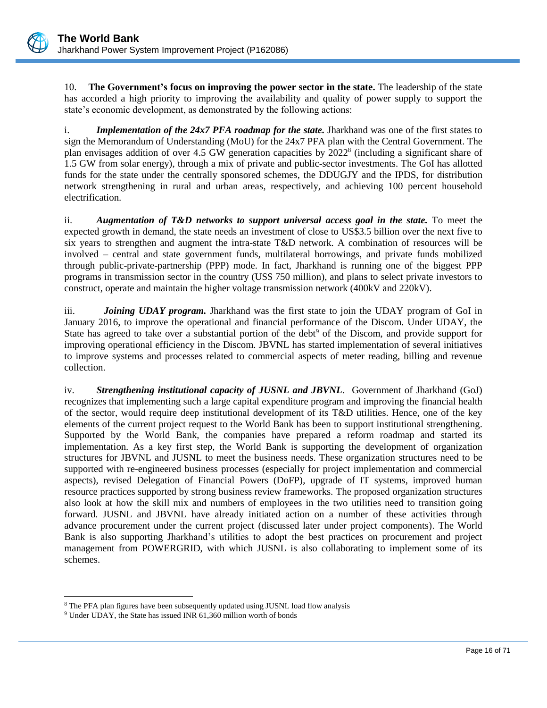

10. **The Government's focus on improving the power sector in the state.** The leadership of the state has accorded a high priority to improving the availability and quality of power supply to support the state's economic development, as demonstrated by the following actions:

i. *Implementation of the 24x7 PFA roadmap for the state.* Jharkhand was one of the first states to sign the Memorandum of Understanding (MoU) for the 24x7 PFA plan with the Central Government. The plan envisages addition of over 4.5 GW generation capacities by 2022<sup>8</sup> (including a significant share of 1.5 GW from solar energy), through a mix of private and public-sector investments. The GoI has allotted funds for the state under the centrally sponsored schemes, the DDUGJY and the IPDS, for distribution network strengthening in rural and urban areas, respectively, and achieving 100 percent household electrification.

ii. *Augmentation of T&D networks to support universal access goal in the state.* To meet the expected growth in demand, the state needs an investment of close to US\$3.5 billion over the next five to six years to strengthen and augment the intra-state T&D network. A combination of resources will be involved – central and state government funds, multilateral borrowings, and private funds mobilized through public-private-partnership (PPP) mode. In fact, Jharkhand is running one of the biggest PPP programs in transmission sector in the country (US\$ 750 million), and plans to select private investors to construct, operate and maintain the higher voltage transmission network (400kV and 220kV).

iii. *Joining UDAY program.* Jharkhand was the first state to join the UDAY program of GoI in January 2016, to improve the operational and financial performance of the Discom. Under UDAY, the State has agreed to take over a substantial portion of the debt<sup>9</sup> of the Discom, and provide support for improving operational efficiency in the Discom. JBVNL has started implementation of several initiatives to improve systems and processes related to commercial aspects of meter reading, billing and revenue collection.

iv. **Strengthening institutional capacity of JUSNL and JBVNL.** Government of Jharkhand (GoJ) recognizes that implementing such a large capital expenditure program and improving the financial health of the sector, would require deep institutional development of its T&D utilities. Hence, one of the key elements of the current project request to the World Bank has been to support institutional strengthening. Supported by the World Bank, the companies have prepared a reform roadmap and started its implementation. As a key first step, the World Bank is supporting the development of organization structures for JBVNL and JUSNL to meet the business needs. These organization structures need to be supported with re-engineered business processes (especially for project implementation and commercial aspects), revised Delegation of Financial Powers (DoFP), upgrade of IT systems, improved human resource practices supported by strong business review frameworks. The proposed organization structures also look at how the skill mix and numbers of employees in the two utilities need to transition going forward. JUSNL and JBVNL have already initiated action on a number of these activities through advance procurement under the current project (discussed later under project components). The World Bank is also supporting Jharkhand's utilities to adopt the best practices on procurement and project management from POWERGRID, with which JUSNL is also collaborating to implement some of its schemes.

<sup>8</sup> The PFA plan figures have been subsequently updated using JUSNL load flow analysis

<sup>9</sup> Under UDAY, the State has issued INR 61,360 million worth of bonds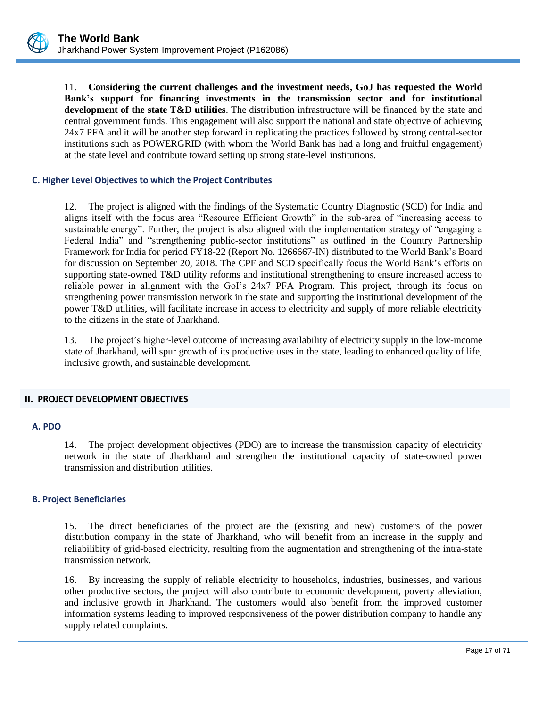

11. **Considering the current challenges and the investment needs, GoJ has requested the World Bank's support for financing investments in the transmission sector and for institutional development of the state T&D utilities**. The distribution infrastructure will be financed by the state and central government funds. This engagement will also support the national and state objective of achieving 24x7 PFA and it will be another step forward in replicating the practices followed by strong central-sector institutions such as POWERGRID (with whom the World Bank has had a long and fruitful engagement) at the state level and contribute toward setting up strong state-level institutions.

## <span id="page-22-0"></span>**C. Higher Level Objectives to which the Project Contributes**

12. The project is aligned with the findings of the Systematic Country Diagnostic (SCD) for India and aligns itself with the focus area "Resource Efficient Growth" in the sub-area of "increasing access to sustainable energy". Further, the project is also aligned with the implementation strategy of "engaging a Federal India" and "strengthening public-sector institutions" as outlined in the Country Partnership Framework for India for period FY18-22 (Report No. 1266667-IN) distributed to the World Bank's Board for discussion on September 20, 2018. The CPF and SCD specifically focus the World Bank's efforts on supporting state-owned T&D utility reforms and institutional strengthening to ensure increased access to reliable power in alignment with the GoI's 24x7 PFA Program. This project, through its focus on strengthening power transmission network in the state and supporting the institutional development of the power T&D utilities, will facilitate increase in access to electricity and supply of more reliable electricity to the citizens in the state of Jharkhand.

13. The project's higher-level outcome of increasing availability of electricity supply in the low-income state of Jharkhand, will spur growth of its productive uses in the state, leading to enhanced quality of life, inclusive growth, and sustainable development.

#### <span id="page-22-1"></span>**II. PROJECT DEVELOPMENT OBJECTIVES**

#### <span id="page-22-2"></span>**A. PDO**

14. The project development objectives (PDO) are to increase the transmission capacity of electricity network in the state of Jharkhand and strengthen the institutional capacity of state-owned power transmission and distribution utilities.

#### <span id="page-22-3"></span>**B. Project Beneficiaries**

15. The direct beneficiaries of the project are the (existing and new) customers of the power distribution company in the state of Jharkhand, who will benefit from an increase in the supply and reliabilibity of grid-based electricity, resulting from the augmentation and strengthening of the intra-state transmission network.

16. By increasing the supply of reliable electricity to households, industries, businesses, and various other productive sectors, the project will also contribute to economic development, poverty alleviation, and inclusive growth in Jharkhand. The customers would also benefit from the improved customer information systems leading to improved responsiveness of the power distribution company to handle any supply related complaints.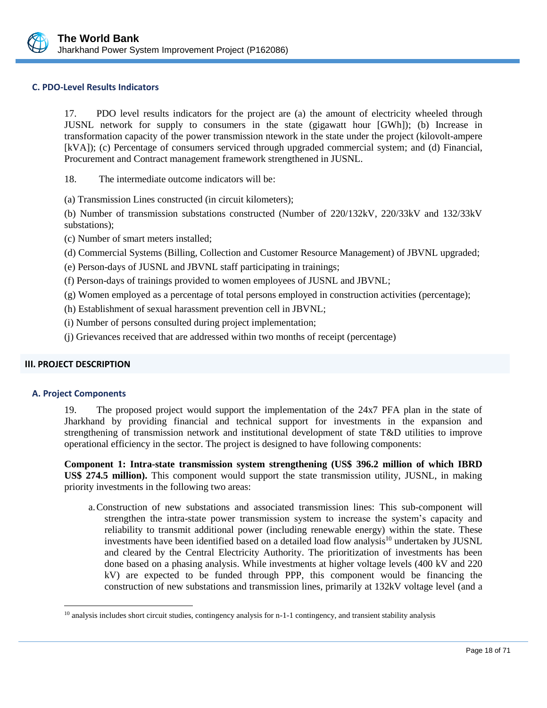

# <span id="page-23-0"></span>**C. PDO-Level Results Indicators**

17. PDO level results indicators for the project are (a) the amount of electricity wheeled through JUSNL network for supply to consumers in the state (gigawatt hour [GWh]); (b) Increase in transformation capacity of the power transmission ntework in the state under the project (kilovolt-ampere [kVA]); (c) Percentage of consumers serviced through upgraded commercial system; and (d) Financial, Procurement and Contract management framework strengthened in JUSNL.

18. The intermediate outcome indicators will be:

(a) Transmission Lines constructed (in circuit kilometers);

(b) Number of transmission substations constructed (Number of 220/132kV, 220/33kV and 132/33kV substations);

(c) Number of smart meters installed;

(d) Commercial Systems (Billing, Collection and Customer Resource Management) of JBVNL upgraded;

(e) Person-days of JUSNL and JBVNL staff participating in trainings;

- (f) Person-days of trainings provided to women employees of JUSNL and JBVNL;
- (g) Women employed as a percentage of total persons employed in construction activities (percentage);
- (h) Establishment of sexual harassment prevention cell in JBVNL;
- (i) Number of persons consulted during project implementation;
- (j) Grievances received that are addressed within two months of receipt (percentage)

#### <span id="page-23-1"></span>**III. PROJECT DESCRIPTION**

#### <span id="page-23-2"></span>**A. Project Components**

 $\overline{a}$ 

19. The proposed project would support the implementation of the 24x7 PFA plan in the state of Jharkhand by providing financial and technical support for investments in the expansion and strengthening of transmission network and institutional development of state T&D utilities to improve operational efficiency in the sector. The project is designed to have following components:

**Component 1: Intra-state transmission system strengthening (US\$ 396.2 million of which IBRD US\$ 274.5 million).** This component would support the state transmission utility, JUSNL, in making priority investments in the following two areas:

a.Construction of new substations and associated transmission lines: This sub-component will strengthen the intra-state power transmission system to increase the system's capacity and reliability to transmit additional power (including renewable energy) within the state. These investments have been identified based on a detailed load flow analysis<sup>10</sup> undertaken by JUSNL and cleared by the Central Electricity Authority. The prioritization of investments has been done based on a phasing analysis. While investments at higher voltage levels (400 kV and 220 kV) are expected to be funded through PPP, this component would be financing the construction of new substations and transmission lines, primarily at 132kV voltage level (and a

 $10$  analysis includes short circuit studies, contingency analysis for  $n-1-1$  contingency, and transient stability analysis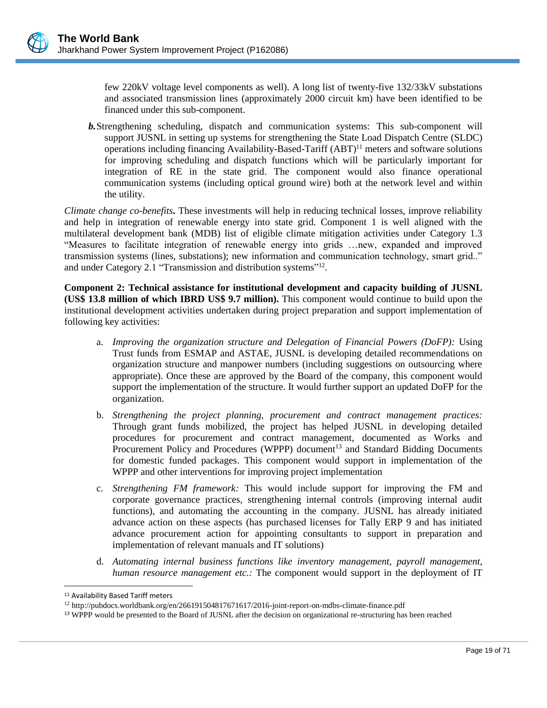few 220kV voltage level components as well). A long list of twenty-five 132/33kV substations and associated transmission lines (approximately 2000 circuit km) have been identified to be financed under this sub-component.

*b.*Strengthening scheduling, dispatch and communication systems: This sub-component will support JUSNL in setting up systems for strengthening the State Load Dispatch Centre (SLDC) operations including financing Availability-Based-Tariff (ABT) <sup>11</sup> meters and software solutions for improving scheduling and dispatch functions which will be particularly important for integration of RE in the state grid. The component would also finance operational communication systems (including optical ground wire) both at the network level and within the utility.

*Climate change co-benefits***.** These investments will help in reducing technical losses, improve reliability and help in integration of renewable energy into state grid. Component 1 is well aligned with the multilateral development bank (MDB) list of eligible climate mitigation activities under Category 1.3 "Measures to facilitate integration of renewable energy into grids …new, expanded and improved transmission systems (lines, substations); new information and communication technology, smart grid.." and under Category 2.1 "Transmission and distribution systems"<sup>12</sup>.

**Component 2: Technical assistance for institutional development and capacity building of JUSNL (US\$ 13.8 million of which IBRD US\$ 9.7 million).** This component would continue to build upon the institutional development activities undertaken during project preparation and support implementation of following key activities:

- a. *Improving the organization structure and Delegation of Financial Powers (DoFP):* Using Trust funds from ESMAP and ASTAE, JUSNL is developing detailed recommendations on organization structure and manpower numbers (including suggestions on outsourcing where appropriate). Once these are approved by the Board of the company, this component would support the implementation of the structure. It would further support an updated DoFP for the organization.
- b. *Strengthening the project planning, procurement and contract management practices:*  Through grant funds mobilized, the project has helped JUSNL in developing detailed procedures for procurement and contract management, documented as Works and Procurement Policy and Procedures (WPPP) document<sup>13</sup> and Standard Bidding Documents for domestic funded packages. This component would support in implementation of the WPPP and other interventions for improving project implementation
- c. *Strengthening FM framework:* This would include support for improving the FM and corporate governance practices, strengthening internal controls (improving internal audit functions), and automating the accounting in the company. JUSNL has already initiated advance action on these aspects (has purchased licenses for Tally ERP 9 and has initiated advance procurement action for appointing consultants to support in preparation and implementation of relevant manuals and IT solutions)
- d. *Automating internal business functions like inventory management, payroll management, human resource management etc.:* The component would support in the deployment of IT

<sup>11</sup> Availability Based Tariff meters

<sup>12</sup> http://pubdocs.worldbank.org/en/266191504817671617/2016-joint-report-on-mdbs-climate-finance.pdf

<sup>&</sup>lt;sup>13</sup> WPPP would be presented to the Board of JUSNL after the decision on organizational re-structuring has been reached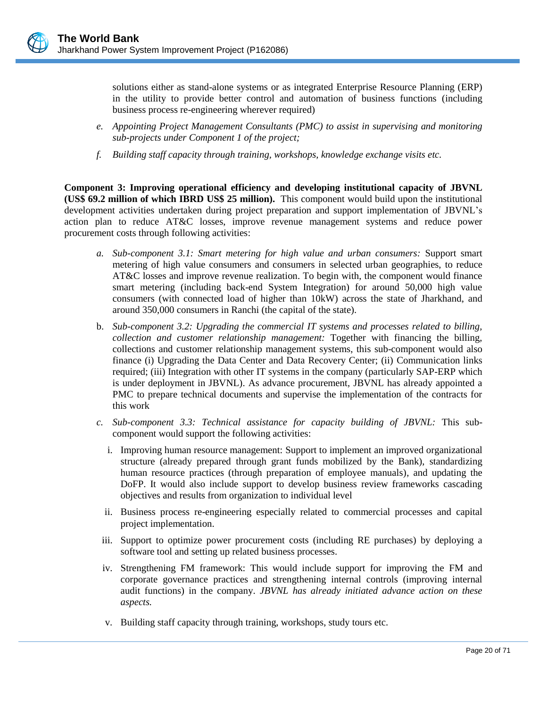solutions either as stand-alone systems or as integrated Enterprise Resource Planning (ERP) in the utility to provide better control and automation of business functions (including business process re-engineering wherever required)

- *e. Appointing Project Management Consultants (PMC) to assist in supervising and monitoring sub-projects under Component 1 of the project;*
- *f. Building staff capacity through training, workshops, knowledge exchange visits etc.*

**Component 3: Improving operational efficiency and developing institutional capacity of JBVNL (US\$ 69.2 million of which IBRD US\$ 25 million).** This component would build upon the institutional development activities undertaken during project preparation and support implementation of JBVNL's action plan to reduce AT&C losses, improve revenue management systems and reduce power procurement costs through following activities:

- *a. Sub-component 3.1: Smart metering for high value and urban consumers:* Support smart metering of high value consumers and consumers in selected urban geographies, to reduce AT&C losses and improve revenue realization. To begin with, the component would finance smart metering (including back-end System Integration) for around 50,000 high value consumers (with connected load of higher than 10kW) across the state of Jharkhand, and around 350,000 consumers in Ranchi (the capital of the state).
- b. *Sub-component 3.2: Upgrading the commercial IT systems and processes related to billing, collection and customer relationship management:* Together with financing the billing, collections and customer relationship management systems, this sub-component would also finance (i) Upgrading the Data Center and Data Recovery Center; (ii) Communication links required; (iii) Integration with other IT systems in the company (particularly SAP-ERP which is under deployment in JBVNL). As advance procurement, JBVNL has already appointed a PMC to prepare technical documents and supervise the implementation of the contracts for this work
- *c. Sub-component 3.3: Technical assistance for capacity building of JBVNL:* This subcomponent would support the following activities:
	- i. Improving human resource management: Support to implement an improved organizational structure (already prepared through grant funds mobilized by the Bank), standardizing human resource practices (through preparation of employee manuals), and updating the DoFP. It would also include support to develop business review frameworks cascading objectives and results from organization to individual level
	- ii. Business process re-engineering especially related to commercial processes and capital project implementation.
- iii. Support to optimize power procurement costs (including RE purchases) by deploying a software tool and setting up related business processes.
- iv. Strengthening FM framework: This would include support for improving the FM and corporate governance practices and strengthening internal controls (improving internal audit functions) in the company. *JBVNL has already initiated advance action on these aspects.*
- v. Building staff capacity through training, workshops, study tours etc.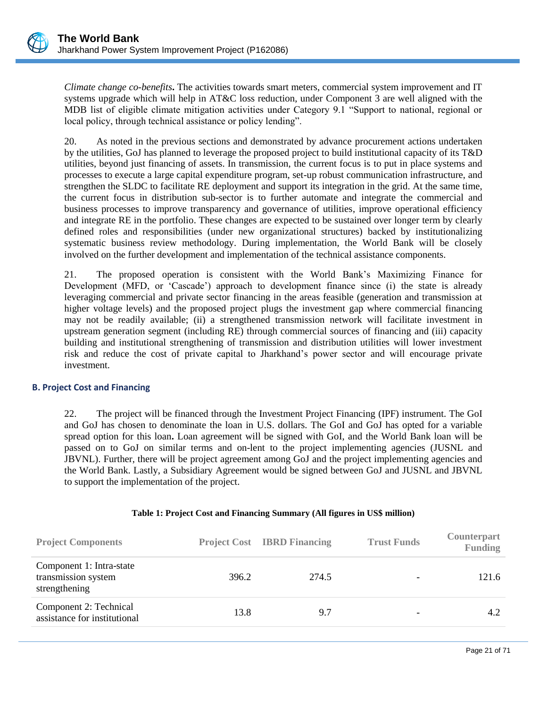*Climate change co-benefits***.** The activities towards smart meters, commercial system improvement and IT systems upgrade which will help in AT&C loss reduction, under Component 3 are well aligned with the MDB list of eligible climate mitigation activities under Category 9.1 "Support to national, regional or local policy, through technical assistance or policy lending".

20. As noted in the previous sections and demonstrated by advance procurement actions undertaken by the utilities, GoJ has planned to leverage the proposed project to build institutional capacity of its T&D utilities, beyond just financing of assets. In transmission, the current focus is to put in place systems and processes to execute a large capital expenditure program, set-up robust communication infrastructure, and strengthen the SLDC to facilitate RE deployment and support its integration in the grid. At the same time, the current focus in distribution sub-sector is to further automate and integrate the commercial and business processes to improve transparency and governance of utilities, improve operational efficiency and integrate RE in the portfolio. These changes are expected to be sustained over longer term by clearly defined roles and responsibilities (under new organizational structures) backed by institutionalizing systematic business review methodology. During implementation, the World Bank will be closely involved on the further development and implementation of the technical assistance components.

21. The proposed operation is consistent with the World Bank's Maximizing Finance for Development (MFD, or 'Cascade') approach to development finance since (i) the state is already leveraging commercial and private sector financing in the areas feasible (generation and transmission at higher voltage levels) and the proposed project plugs the investment gap where commercial financing may not be readily available; (ii) a strengthened transmission network will facilitate investment in upstream generation segment (including RE) through commercial sources of financing and (iii) capacity building and institutional strengthening of transmission and distribution utilities will lower investment risk and reduce the cost of private capital to Jharkhand's power sector and will encourage private investment.

# <span id="page-26-0"></span>**B. Project Cost and Financing**

22. The project will be financed through the Investment Project Financing (IPF) instrument. The GoI and GoJ has chosen to denominate the loan in U.S. dollars. The GoI and GoJ has opted for a variable spread option for this loan**.** Loan agreement will be signed with GoI, and the World Bank loan will be passed on to GoJ on similar terms and on-lent to the project implementing agencies (JUSNL and JBVNL). Further, there will be project agreement among GoJ and the project implementing agencies and the World Bank. Lastly, a Subsidiary Agreement would be signed between GoJ and JUSNL and JBVNL to support the implementation of the project.

| <b>Project Components</b>                                        |       | <b>Project Cost IBRD Financing</b> | <b>Trust Funds</b> | Counterpart<br><b>Funding</b> |
|------------------------------------------------------------------|-------|------------------------------------|--------------------|-------------------------------|
| Component 1: Intra-state<br>transmission system<br>strengthening | 396.2 | 274.5                              |                    | 121.6                         |
| Component 2: Technical<br>assistance for institutional           | 13.8  | 9.7                                |                    | 4.2                           |

#### **Table 1: Project Cost and Financing Summary (All figures in US\$ million)**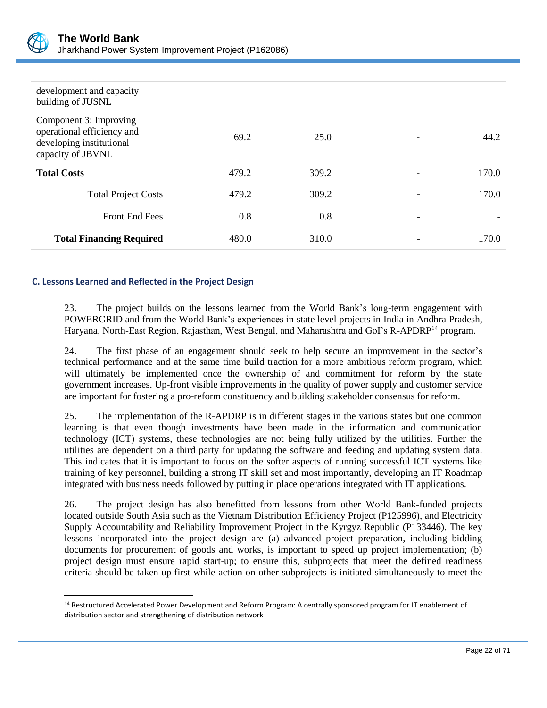

 $\overline{a}$ 

| development and capacity<br>building of JUSNL                                                         |       |       |                          |       |
|-------------------------------------------------------------------------------------------------------|-------|-------|--------------------------|-------|
| Component 3: Improving<br>operational efficiency and<br>developing institutional<br>capacity of JBVNL | 69.2  | 25.0  |                          | 44.2  |
| <b>Total Costs</b>                                                                                    | 479.2 | 309.2 | $\overline{\phantom{0}}$ | 170.0 |
| <b>Total Project Costs</b>                                                                            | 479.2 | 309.2 |                          | 170.0 |
| <b>Front End Fees</b>                                                                                 | 0.8   | 0.8   |                          |       |
| <b>Total Financing Required</b>                                                                       | 480.0 | 310.0 |                          | 170.0 |
|                                                                                                       |       |       |                          |       |

### <span id="page-27-0"></span>**C. Lessons Learned and Reflected in the Project Design**

23. The project builds on the lessons learned from the World Bank's long-term engagement with POWERGRID and from the World Bank's experiences in state level projects in India in Andhra Pradesh, Haryana, North-East Region, Rajasthan, West Bengal, and Maharashtra and GoI's R-APDRP<sup>14</sup> program.

24. The first phase of an engagement should seek to help secure an improvement in the sector's technical performance and at the same time build traction for a more ambitious reform program, which will ultimately be implemented once the ownership of and commitment for reform by the state government increases. Up-front visible improvements in the quality of power supply and customer service are important for fostering a pro-reform constituency and building stakeholder consensus for reform.

25. The implementation of the R-APDRP is in different stages in the various states but one common learning is that even though investments have been made in the information and communication technology (ICT) systems, these technologies are not being fully utilized by the utilities. Further the utilities are dependent on a third party for updating the software and feeding and updating system data. This indicates that it is important to focus on the softer aspects of running successful ICT systems like training of key personnel, building a strong IT skill set and most importantly, developing an IT Roadmap integrated with business needs followed by putting in place operations integrated with IT applications.

26. The project design has also benefitted from lessons from other World Bank-funded projects located outside South Asia such as the Vietnam Distribution Efficiency Project (P125996), and Electricity Supply Accountability and Reliability Improvement Project in the Kyrgyz Republic (P133446). The key lessons incorporated into the project design are (a) advanced project preparation, including bidding documents for procurement of goods and works, is important to speed up project implementation; (b) project design must ensure rapid start-up; to ensure this, subprojects that meet the defined readiness criteria should be taken up first while action on other subprojects is initiated simultaneously to meet the

<sup>14</sup> Restructured Accelerated Power Development and Reform Program: A centrally sponsored program for IT enablement of distribution sector and strengthening of distribution network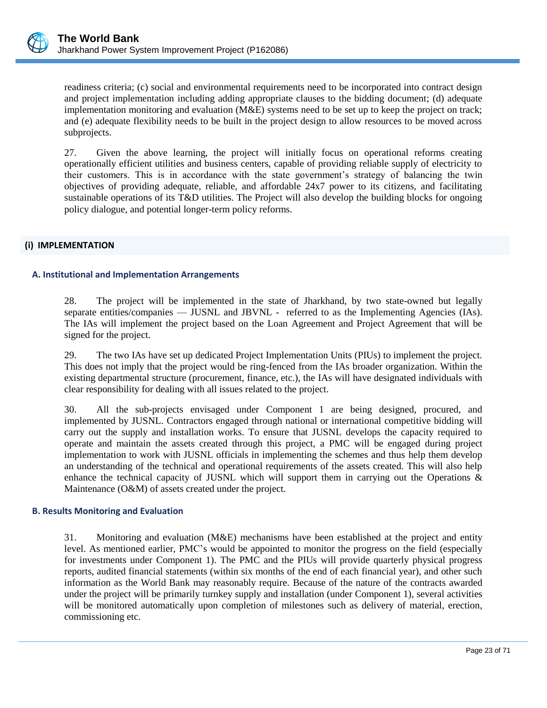

readiness criteria; (c) social and environmental requirements need to be incorporated into contract design and project implementation including adding appropriate clauses to the bidding document; (d) adequate implementation monitoring and evaluation (M&E) systems need to be set up to keep the project on track; and (e) adequate flexibility needs to be built in the project design to allow resources to be moved across subprojects.

27. Given the above learning, the project will initially focus on operational reforms creating operationally efficient utilities and business centers, capable of providing reliable supply of electricity to their customers. This is in accordance with the state government's strategy of balancing the twin objectives of providing adequate, reliable, and affordable 24x7 power to its citizens, and facilitating sustainable operations of its T&D utilities. The Project will also develop the building blocks for ongoing policy dialogue, and potential longer-term policy reforms.

### <span id="page-28-0"></span>**(i) IMPLEMENTATION**

### <span id="page-28-1"></span>**A. Institutional and Implementation Arrangements**

28. The project will be implemented in the state of Jharkhand, by two state-owned but legally separate entities/companies — JUSNL and JBVNL - referred to as the Implementing Agencies (IAs). The IAs will implement the project based on the Loan Agreement and Project Agreement that will be signed for the project.

29. The two IAs have set up dedicated Project Implementation Units (PIUs) to implement the project. This does not imply that the project would be ring-fenced from the IAs broader organization. Within the existing departmental structure (procurement, finance, etc.), the IAs will have designated individuals with clear responsibility for dealing with all issues related to the project.

30. All the sub-projects envisaged under Component 1 are being designed, procured, and implemented by JUSNL. Contractors engaged through national or international competitive bidding will carry out the supply and installation works. To ensure that JUSNL develops the capacity required to operate and maintain the assets created through this project, a PMC will be engaged during project implementation to work with JUSNL officials in implementing the schemes and thus help them develop an understanding of the technical and operational requirements of the assets created. This will also help enhance the technical capacity of JUSNL which will support them in carrying out the Operations & Maintenance (O&M) of assets created under the project.

# <span id="page-28-2"></span>**B. Results Monitoring and Evaluation**

31. Monitoring and evaluation (M&E) mechanisms have been established at the project and entity level. As mentioned earlier, PMC's would be appointed to monitor the progress on the field (especially for investments under Component 1). The PMC and the PIUs will provide quarterly physical progress reports, audited financial statements (within six months of the end of each financial year), and other such information as the World Bank may reasonably require. Because of the nature of the contracts awarded under the project will be primarily turnkey supply and installation (under Component 1), several activities will be monitored automatically upon completion of milestones such as delivery of material, erection, commissioning etc.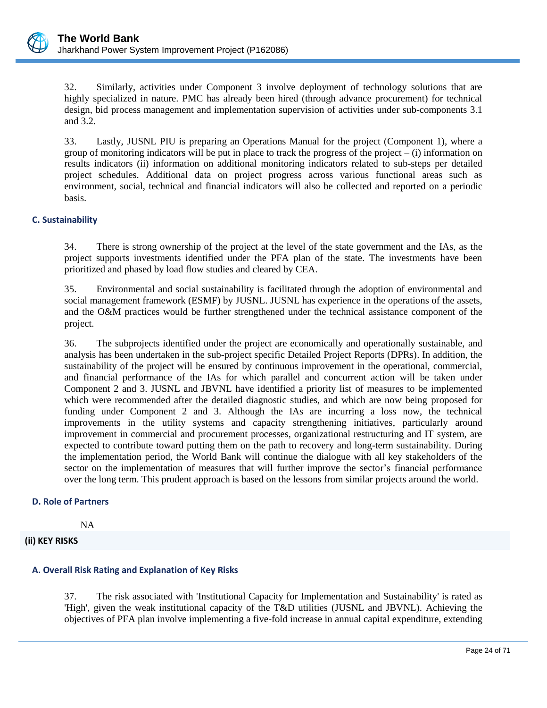

32. Similarly, activities under Component 3 involve deployment of technology solutions that are highly specialized in nature. PMC has already been hired (through advance procurement) for technical design, bid process management and implementation supervision of activities under sub-components 3.1 and 3.2.

33. Lastly, JUSNL PIU is preparing an Operations Manual for the project (Component 1), where a group of monitoring indicators will be put in place to track the progress of the project  $-$  (i) information on results indicators (ii) information on additional monitoring indicators related to sub-steps per detailed project schedules. Additional data on project progress across various functional areas such as environment, social, technical and financial indicators will also be collected and reported on a periodic basis.

# <span id="page-29-0"></span>**C. Sustainability**

34. There is strong ownership of the project at the level of the state government and the IAs, as the project supports investments identified under the PFA plan of the state. The investments have been prioritized and phased by load flow studies and cleared by CEA.

35. Environmental and social sustainability is facilitated through the adoption of environmental and social management framework (ESMF) by JUSNL. JUSNL has experience in the operations of the assets, and the O&M practices would be further strengthened under the technical assistance component of the project.

36. The subprojects identified under the project are economically and operationally sustainable, and analysis has been undertaken in the sub-project specific Detailed Project Reports (DPRs). In addition, the sustainability of the project will be ensured by continuous improvement in the operational, commercial, and financial performance of the IAs for which parallel and concurrent action will be taken under Component 2 and 3. JUSNL and JBVNL have identified a priority list of measures to be implemented which were recommended after the detailed diagnostic studies, and which are now being proposed for funding under Component 2 and 3. Although the IAs are incurring a loss now, the technical improvements in the utility systems and capacity strengthening initiatives, particularly around improvement in commercial and procurement processes, organizational restructuring and IT system, are expected to contribute toward putting them on the path to recovery and long-term sustainability. During the implementation period, the World Bank will continue the dialogue with all key stakeholders of the sector on the implementation of measures that will further improve the sector's financial performance over the long term. This prudent approach is based on the lessons from similar projects around the world.

#### <span id="page-29-1"></span>**D. Role of Partners**

NA

## <span id="page-29-2"></span>**(ii) KEY RISKS**

# <span id="page-29-3"></span>**A. Overall Risk Rating and Explanation of Key Risks**

37. The risk associated with 'Institutional Capacity for Implementation and Sustainability' is rated as 'High', given the weak institutional capacity of the T&D utilities (JUSNL and JBVNL). Achieving the objectives of PFA plan involve implementing a five-fold increase in annual capital expenditure, extending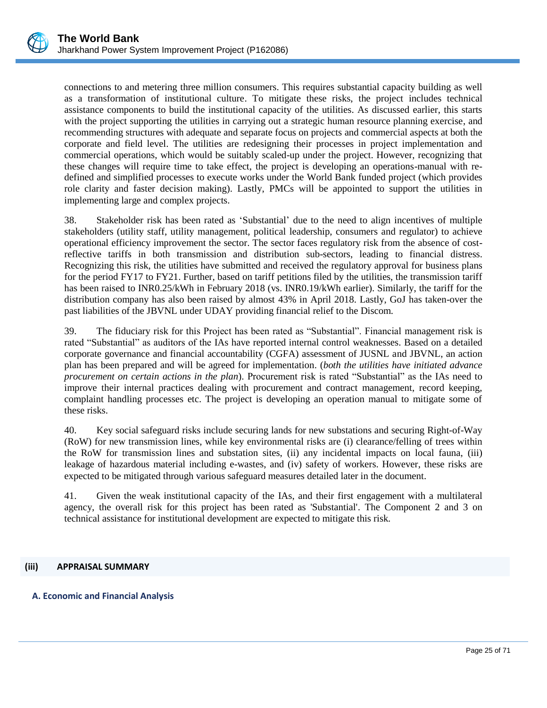

connections to and metering three million consumers. This requires substantial capacity building as well as a transformation of institutional culture. To mitigate these risks, the project includes technical assistance components to build the institutional capacity of the utilities. As discussed earlier, this starts with the project supporting the utilities in carrying out a strategic human resource planning exercise, and recommending structures with adequate and separate focus on projects and commercial aspects at both the corporate and field level. The utilities are redesigning their processes in project implementation and commercial operations, which would be suitably scaled-up under the project. However, recognizing that these changes will require time to take effect, the project is developing an operations-manual with redefined and simplified processes to execute works under the World Bank funded project (which provides role clarity and faster decision making). Lastly, PMCs will be appointed to support the utilities in implementing large and complex projects.

38. Stakeholder risk has been rated as 'Substantial' due to the need to align incentives of multiple stakeholders (utility staff, utility management, political leadership, consumers and regulator) to achieve operational efficiency improvement the sector. The sector faces regulatory risk from the absence of costreflective tariffs in both transmission and distribution sub-sectors, leading to financial distress. Recognizing this risk, the utilities have submitted and received the regulatory approval for business plans for the period FY17 to FY21. Further, based on tariff petitions filed by the utilities, the transmission tariff has been raised to INR0.25/kWh in February 2018 (vs. INR0.19/kWh earlier). Similarly, the tariff for the distribution company has also been raised by almost 43% in April 2018. Lastly, GoJ has taken-over the past liabilities of the JBVNL under UDAY providing financial relief to the Discom.

39. The fiduciary risk for this Project has been rated as "Substantial". Financial management risk is rated "Substantial" as auditors of the IAs have reported internal control weaknesses. Based on a detailed corporate governance and financial accountability (CGFA) assessment of JUSNL and JBVNL, an action plan has been prepared and will be agreed for implementation. (*both the utilities have initiated advance procurement on certain actions in the plan*). Procurement risk is rated "Substantial" as the IAs need to improve their internal practices dealing with procurement and contract management, record keeping, complaint handling processes etc. The project is developing an operation manual to mitigate some of these risks.

40. Key social safeguard risks include securing lands for new substations and securing Right-of-Way (RoW) for new transmission lines, while key environmental risks are (i) clearance/felling of trees within the RoW for transmission lines and substation sites, (ii) any incidental impacts on local fauna, (iii) leakage of hazardous material including e-wastes, and (iv) safety of workers. However, these risks are expected to be mitigated through various safeguard measures detailed later in the document.

41. Given the weak institutional capacity of the IAs, and their first engagement with a multilateral agency, the overall risk for this project has been rated as 'Substantial'. The Component 2 and 3 on technical assistance for institutional development are expected to mitigate this risk.

# <span id="page-30-0"></span>**(iii) APPRAISAL SUMMARY**

# <span id="page-30-1"></span>**A. Economic and Financial Analysis**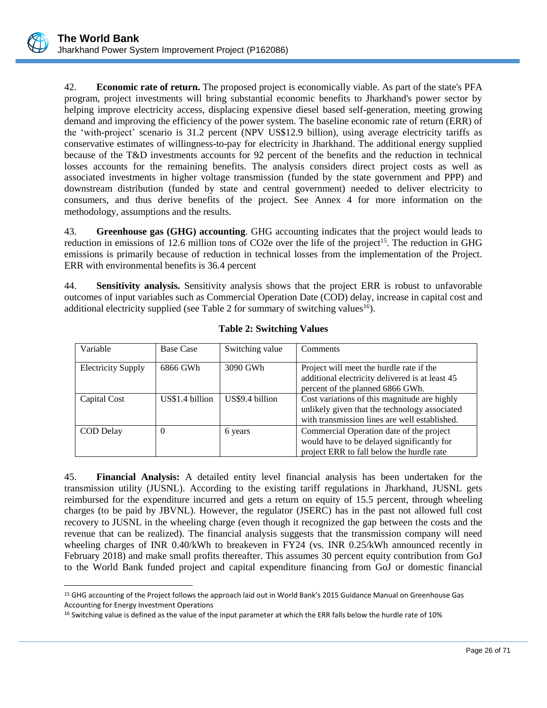$\overline{a}$ 

42. **Economic rate of return.** The proposed project is economically viable. As part of the state's PFA program, project investments will bring substantial economic benefits to Jharkhand's power sector by helping improve electricity access, displacing expensive diesel based self-generation, meeting growing demand and improving the efficiency of the power system. The baseline economic rate of return (ERR) of the 'with-project' scenario is 31.2 percent (NPV US\$12.9 billion), using average electricity tariffs as conservative estimates of willingness-to-pay for electricity in Jharkhand. The additional energy supplied because of the T&D investments accounts for 92 percent of the benefits and the reduction in technical losses accounts for the remaining benefits. The analysis considers direct project costs as well as associated investments in higher voltage transmission (funded by the state government and PPP) and downstream distribution (funded by state and central government) needed to deliver electricity to consumers, and thus derive benefits of the project. See Annex 4 for more information on the methodology, assumptions and the results.

43. **Greenhouse gas (GHG) accounting**. GHG accounting indicates that the project would leads to reduction in emissions of 12.6 million tons of CO2e over the life of the project<sup>15</sup>. The reduction in GHG emissions is primarily because of reduction in technical losses from the implementation of the Project. ERR with environmental benefits is 36.4 percent

44. **Sensitivity analysis.** Sensitivity analysis shows that the project ERR is robust to unfavorable outcomes of input variables such as Commercial Operation Date (COD) delay, increase in capital cost and additional electricity supplied (see Table 2 for summary of switching values<sup>16</sup>).

| Variable                  | <b>Base Case</b> | Switching value | Comments                                                                                                                                       |
|---------------------------|------------------|-----------------|------------------------------------------------------------------------------------------------------------------------------------------------|
| <b>Electricity Supply</b> | 6866 GWh         | 3090 GWh        | Project will meet the hurdle rate if the<br>additional electricity delivered is at least 45<br>percent of the planned 6866 GWh.                |
| Capital Cost              | US\$1.4 billion  | US\$9.4 billion | Cost variations of this magnitude are highly<br>unlikely given that the technology associated<br>with transmission lines are well established. |
| <b>COD</b> Delay          | $\Omega$         | 6 years         | Commercial Operation date of the project<br>would have to be delayed significantly for<br>project ERR to fall below the hurdle rate            |

**Table 2: Switching Values**

45. **Financial Analysis:** A detailed entity level financial analysis has been undertaken for the transmission utility (JUSNL). According to the existing tariff regulations in Jharkhand, JUSNL gets reimbursed for the expenditure incurred and gets a return on equity of 15.5 percent, through wheeling charges (to be paid by JBVNL). However, the regulator (JSERC) has in the past not allowed full cost recovery to JUSNL in the wheeling charge (even though it recognized the gap between the costs and the revenue that can be realized). The financial analysis suggests that the transmission company will need wheeling charges of INR 0.40/kWh to breakeven in FY24 (vs. INR 0.25/kWh announced recently in February 2018) and make small profits thereafter. This assumes 30 percent equity contribution from GoJ to the World Bank funded project and capital expenditure financing from GoJ or domestic financial

<sup>&</sup>lt;sup>15</sup> GHG accounting of the Project follows the approach laid out in World Bank's 2015 Guidance Manual on Greenhouse Gas Accounting for Energy Investment Operations

<sup>&</sup>lt;sup>16</sup> Switching value is defined as the value of the input parameter at which the ERR falls below the hurdle rate of 10%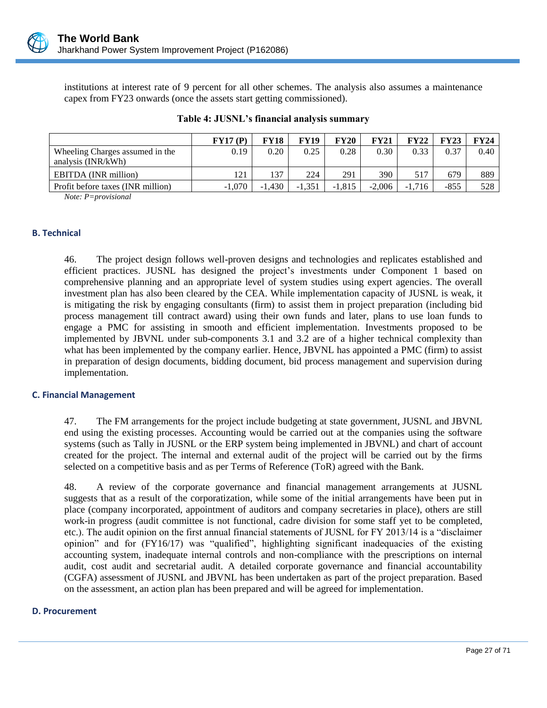institutions at interest rate of 9 percent for all other schemes. The analysis also assumes a maintenance capex from FY23 onwards (once the assets start getting commissioned).

|                                                       | FY17(P)  | FY18        | <b>FY19</b> | <b>FY20</b> | FY21     | <b>FY22</b> | FY23   | <b>FY24</b> |
|-------------------------------------------------------|----------|-------------|-------------|-------------|----------|-------------|--------|-------------|
| Wheeling Charges assumed in the<br>analysis (INR/kWh) | 0.19     | 0.20        | 0.25        | 0.28        | 0.30     | 0.33        | 0.37   | 0.40        |
| <b>EBITDA</b> (INR million)                           | 121      | 137         | 224         | 291         | 390      | 517         | 679    | 889         |
| Profit before taxes (INR million)                     | $-1.070$ | .430<br>- 1 | $-1.351$    | $-1.815$    | $-2.006$ | $-1.716$    | $-855$ | 528         |

## **Table 4: JUSNL's financial analysis summary**

*Note: P=provisional*

# <span id="page-32-0"></span>**B. Technical**

46. The project design follows well-proven designs and technologies and replicates established and efficient practices. JUSNL has designed the project's investments under Component 1 based on comprehensive planning and an appropriate level of system studies using expert agencies. The overall investment plan has also been cleared by the CEA. While implementation capacity of JUSNL is weak, it is mitigating the risk by engaging consultants (firm) to assist them in project preparation (including bid process management till contract award) using their own funds and later, plans to use loan funds to engage a PMC for assisting in smooth and efficient implementation. Investments proposed to be implemented by JBVNL under sub-components 3.1 and 3.2 are of a higher technical complexity than what has been implemented by the company earlier. Hence, JBVNL has appointed a PMC (firm) to assist in preparation of design documents, bidding document, bid process management and supervision during implementation.

# <span id="page-32-1"></span>**C. Financial Management**

47. The FM arrangements for the project include budgeting at state government, JUSNL and JBVNL end using the existing processes. Accounting would be carried out at the companies using the software systems (such as Tally in JUSNL or the ERP system being implemented in JBVNL) and chart of account created for the project. The internal and external audit of the project will be carried out by the firms selected on a competitive basis and as per Terms of Reference (ToR) agreed with the Bank.

48. A review of the corporate governance and financial management arrangements at JUSNL suggests that as a result of the corporatization, while some of the initial arrangements have been put in place (company incorporated, appointment of auditors and company secretaries in place), others are still work-in progress (audit committee is not functional, cadre division for some staff yet to be completed, etc.). The audit opinion on the first annual financial statements of JUSNL for FY 2013/14 is a "disclaimer opinion" and for (FY16/17) was "qualified", highlighting significant inadequacies of the existing accounting system, inadequate internal controls and non-compliance with the prescriptions on internal audit, cost audit and secretarial audit. A detailed corporate governance and financial accountability (CGFA) assessment of JUSNL and JBVNL has been undertaken as part of the project preparation. Based on the assessment, an action plan has been prepared and will be agreed for implementation.

#### <span id="page-32-2"></span>**D. Procurement**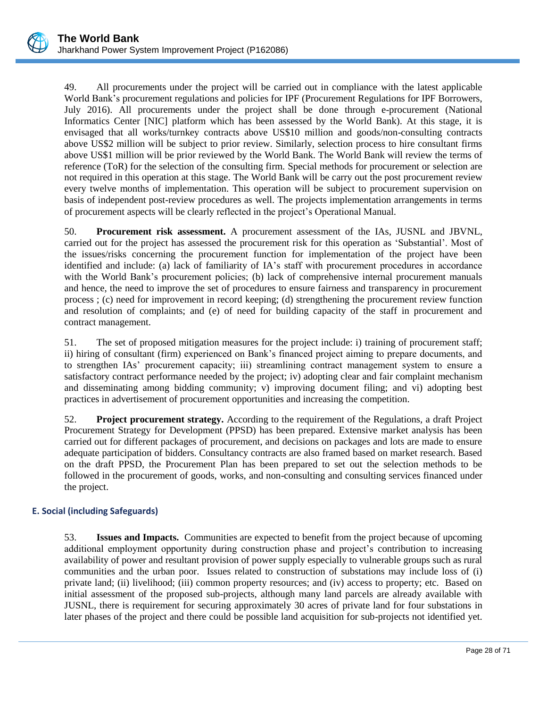49. All procurements under the project will be carried out in compliance with the latest applicable World Bank's procurement regulations and policies for IPF (Procurement Regulations for IPF Borrowers, July 2016). All procurements under the project shall be done through e-procurement (National Informatics Center [NIC] platform which has been assessed by the World Bank). At this stage, it is envisaged that all works/turnkey contracts above US\$10 million and goods/non-consulting contracts above US\$2 million will be subject to prior review. Similarly, selection process to hire consultant firms above US\$1 million will be prior reviewed by the World Bank. The World Bank will review the terms of reference (ToR) for the selection of the consulting firm. Special methods for procurement or selection are not required in this operation at this stage. The World Bank will be carry out the post procurement review every twelve months of implementation. This operation will be subject to procurement supervision on basis of independent post-review procedures as well. The projects implementation arrangements in terms of procurement aspects will be clearly reflected in the project's Operational Manual.

50. **Procurement risk assessment.** A procurement assessment of the IAs, JUSNL and JBVNL, carried out for the project has assessed the procurement risk for this operation as 'Substantial'. Most of the issues/risks concerning the procurement function for implementation of the project have been identified and include: (a) lack of familiarity of IA's staff with procurement procedures in accordance with the World Bank's procurement policies; (b) lack of comprehensive internal procurement manuals and hence, the need to improve the set of procedures to ensure fairness and transparency in procurement process ; (c) need for improvement in record keeping; (d) strengthening the procurement review function and resolution of complaints; and (e) of need for building capacity of the staff in procurement and contract management.

51. The set of proposed mitigation measures for the project include: i) training of procurement staff; ii) hiring of consultant (firm) experienced on Bank's financed project aiming to prepare documents, and to strengthen IAs' procurement capacity; iii) streamlining contract management system to ensure a satisfactory contract performance needed by the project; iv) adopting clear and fair complaint mechanism and disseminating among bidding community; v) improving document filing; and vi) adopting best practices in advertisement of procurement opportunities and increasing the competition.

52. **Project procurement strategy.** According to the requirement of the Regulations, a draft Project Procurement Strategy for Development (PPSD) has been prepared. Extensive market analysis has been carried out for different packages of procurement, and decisions on packages and lots are made to ensure adequate participation of bidders. Consultancy contracts are also framed based on market research. Based on the draft PPSD, the Procurement Plan has been prepared to set out the selection methods to be followed in the procurement of goods, works, and non-consulting and consulting services financed under the project.

# <span id="page-33-0"></span>**E. Social (including Safeguards)**

53. **Issues and Impacts.** Communities are expected to benefit from the project because of upcoming additional employment opportunity during construction phase and project's contribution to increasing availability of power and resultant provision of power supply especially to vulnerable groups such as rural communities and the urban poor. Issues related to construction of substations may include loss of (i) private land; (ii) livelihood; (iii) common property resources; and (iv) access to property; etc. Based on initial assessment of the proposed sub-projects, although many land parcels are already available with JUSNL, there is requirement for securing approximately 30 acres of private land for four substations in later phases of the project and there could be possible land acquisition for sub-projects not identified yet.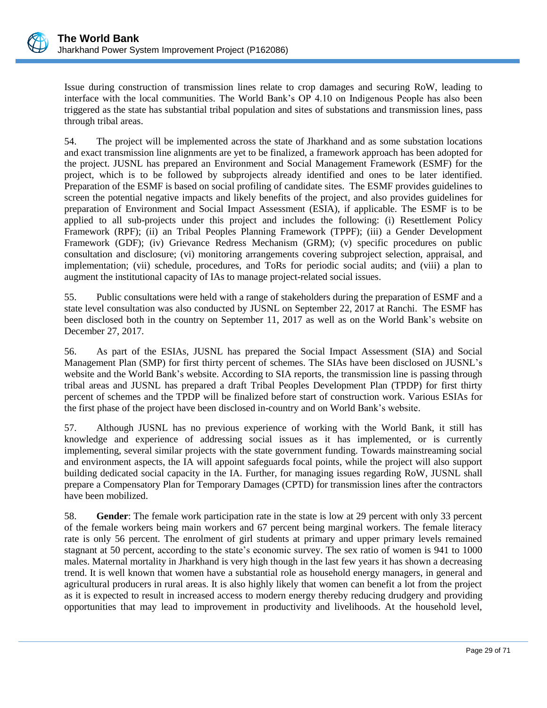Issue during construction of transmission lines relate to crop damages and securing RoW, leading to interface with the local communities. The World Bank's OP 4.10 on Indigenous People has also been triggered as the state has substantial tribal population and sites of substations and transmission lines, pass through tribal areas.

54. The project will be implemented across the state of Jharkhand and as some substation locations and exact transmission line alignments are yet to be finalized, a framework approach has been adopted for the project. JUSNL has prepared an Environment and Social Management Framework (ESMF) for the project, which is to be followed by subprojects already identified and ones to be later identified. Preparation of the ESMF is based on social profiling of candidate sites. The ESMF provides guidelines to screen the potential negative impacts and likely benefits of the project, and also provides guidelines for preparation of Environment and Social Impact Assessment (ESIA), if applicable. The ESMF is to be applied to all sub-projects under this project and includes the following: (i) Resettlement Policy Framework (RPF); (ii) an Tribal Peoples Planning Framework (TPPF); (iii) a Gender Development Framework (GDF); (iv) Grievance Redress Mechanism (GRM); (v) specific procedures on public consultation and disclosure; (vi) monitoring arrangements covering subproject selection, appraisal, and implementation; (vii) schedule, procedures, and ToRs for periodic social audits; and (viii) a plan to augment the institutional capacity of IAs to manage project-related social issues.

55. Public consultations were held with a range of stakeholders during the preparation of ESMF and a state level consultation was also conducted by JUSNL on September 22, 2017 at Ranchi. The ESMF has been disclosed both in the country on September 11, 2017 as well as on the World Bank's website on December 27, 2017.

56. As part of the ESIAs, JUSNL has prepared the Social Impact Assessment (SIA) and Social Management Plan (SMP) for first thirty percent of schemes. The SIAs have been disclosed on JUSNL's website and the World Bank's website. According to SIA reports, the transmission line is passing through tribal areas and JUSNL has prepared a draft Tribal Peoples Development Plan (TPDP) for first thirty percent of schemes and the TPDP will be finalized before start of construction work. Various ESIAs for the first phase of the project have been disclosed in-country and on World Bank's website.

57. Although JUSNL has no previous experience of working with the World Bank, it still has knowledge and experience of addressing social issues as it has implemented, or is currently implementing, several similar projects with the state government funding. Towards mainstreaming social and environment aspects, the IA will appoint safeguards focal points, while the project will also support building dedicated social capacity in the IA. Further, for managing issues regarding RoW, JUSNL shall prepare a Compensatory Plan for Temporary Damages (CPTD) for transmission lines after the contractors have been mobilized.

58. **Gender**: The female work participation rate in the state is low at 29 percent with only 33 percent of the female workers being main workers and 67 percent being marginal workers. The female literacy rate is only 56 percent. The enrolment of girl students at primary and upper primary levels remained stagnant at 50 percent, according to the state's economic survey. The sex ratio of women is 941 to 1000 males. Maternal mortality in Jharkhand is very high though in the last few years it has shown a decreasing trend. It is well known that women have a substantial role as household energy managers, in general and agricultural producers in rural areas. It is also highly likely that women can benefit a lot from the project as it is expected to result in increased access to modern energy thereby reducing drudgery and providing opportunities that may lead to improvement in productivity and livelihoods. At the household level,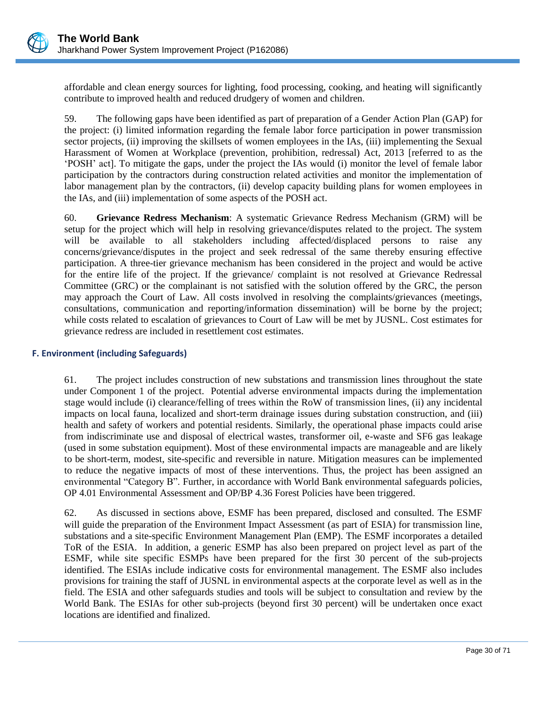

affordable and clean energy sources for lighting, food processing, cooking, and heating will significantly contribute to improved health and reduced drudgery of women and children.

59. The following gaps have been identified as part of preparation of a Gender Action Plan (GAP) for the project: (i) limited information regarding the female labor force participation in power transmission sector projects, (ii) improving the skillsets of women employees in the IAs, (iii) implementing the Sexual Harassment of Women at Workplace (prevention, prohibition, redressal) Act, 2013 [referred to as the 'POSH' act]. To mitigate the gaps, under the project the IAs would (i) monitor the level of female labor participation by the contractors during construction related activities and monitor the implementation of labor management plan by the contractors, (ii) develop capacity building plans for women employees in the IAs, and (iii) implementation of some aspects of the POSH act.

60. **Grievance Redress Mechanism**: A systematic Grievance Redress Mechanism (GRM) will be setup for the project which will help in resolving grievance/disputes related to the project. The system will be available to all stakeholders including affected/displaced persons to raise any concerns/grievance/disputes in the project and seek redressal of the same thereby ensuring effective participation. A three-tier grievance mechanism has been considered in the project and would be active for the entire life of the project. If the grievance/ complaint is not resolved at Grievance Redressal Committee (GRC) or the complainant is not satisfied with the solution offered by the GRC, the person may approach the Court of Law. All costs involved in resolving the complaints/grievances (meetings, consultations, communication and reporting/information dissemination) will be borne by the project; while costs related to escalation of grievances to Court of Law will be met by JUSNL. Cost estimates for grievance redress are included in resettlement cost estimates.

## <span id="page-35-0"></span>**F. Environment (including Safeguards)**

61. The project includes construction of new substations and transmission lines throughout the state under Component 1 of the project. Potential adverse environmental impacts during the implementation stage would include (i) clearance/felling of trees within the RoW of transmission lines, (ii) any incidental impacts on local fauna, localized and short-term drainage issues during substation construction, and (iii) health and safety of workers and potential residents. Similarly, the operational phase impacts could arise from indiscriminate use and disposal of electrical wastes, transformer oil, e-waste and SF6 gas leakage (used in some substation equipment). Most of these environmental impacts are manageable and are likely to be short-term, modest, site-specific and reversible in nature. Mitigation measures can be implemented to reduce the negative impacts of most of these interventions. Thus, the project has been assigned an environmental "Category B". Further, in accordance with World Bank environmental safeguards policies, OP 4.01 Environmental Assessment and OP/BP 4.36 Forest Policies have been triggered.

62. As discussed in sections above, ESMF has been prepared, disclosed and consulted. The ESMF will guide the preparation of the Environment Impact Assessment (as part of ESIA) for transmission line, substations and a site-specific Environment Management Plan (EMP). The ESMF incorporates a detailed ToR of the ESIA. In addition, a generic ESMP has also been prepared on project level as part of the ESMF, while site specific ESMPs have been prepared for the first 30 percent of the sub-projects identified. The ESIAs include indicative costs for environmental management. The ESMF also includes provisions for training the staff of JUSNL in environmental aspects at the corporate level as well as in the field. The ESIA and other safeguards studies and tools will be subject to consultation and review by the World Bank. The ESIAs for other sub-projects (beyond first 30 percent) will be undertaken once exact locations are identified and finalized.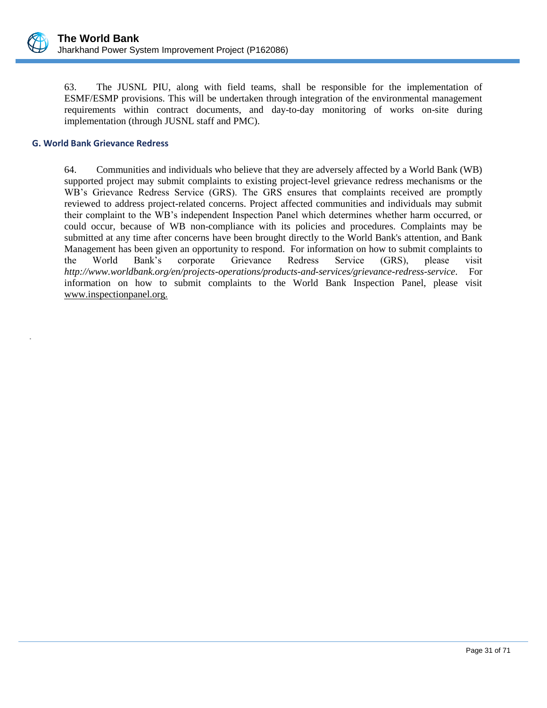63. The JUSNL PIU, along with field teams, shall be responsible for the implementation of ESMF/ESMP provisions. This will be undertaken through integration of the environmental management requirements within contract documents, and day-to-day monitoring of works on-site during implementation (through JUSNL staff and PMC).

### **G. World Bank Grievance Redress**

.

64. Communities and individuals who believe that they are adversely affected by a World Bank (WB) supported project may submit complaints to existing project-level grievance redress mechanisms or the WB's Grievance Redress Service (GRS). The GRS ensures that complaints received are promptly reviewed to address project-related concerns. Project affected communities and individuals may submit their complaint to the WB's independent Inspection Panel which determines whether harm occurred, or could occur, because of WB non-compliance with its policies and procedures. Complaints may be submitted at any time after concerns have been brought directly to the World Bank's attention, and Bank Management has been given an opportunity to respond. For information on how to submit complaints to the World Bank's corporate Grievance Redress Service (GRS), please visit *<http://www.worldbank.org/en/projects-operations/products-and-services/grievance-redress-service>*. For information on how to submit complaints to the World Bank Inspection Panel, please visit [www.inspectionpanel.org.](http://www.inspectionpanel.org/)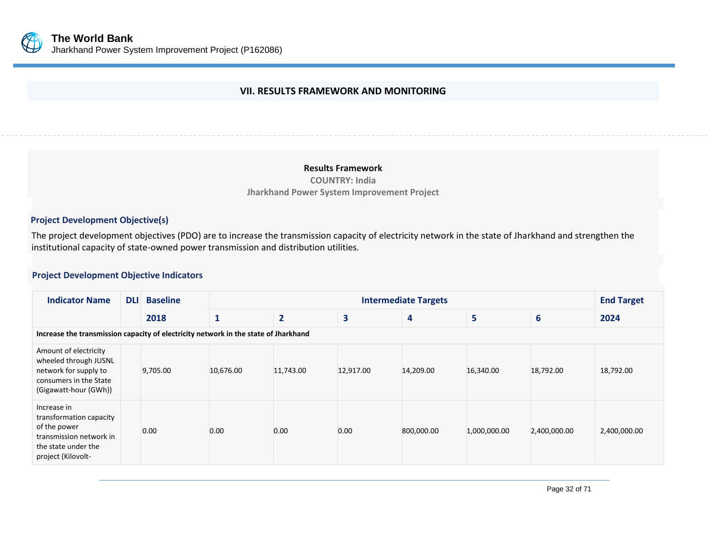

# **VII. RESULTS FRAMEWORK AND MONITORING**

### **Results Framework**

**COUNTRY: India**

**Jharkhand Power System Improvement Project**

# **Project Development Objective(s)**

The project development objectives (PDO) are to increase the transmission capacity of electricity network in the state of Jharkhand and strengthen the institutional capacity of state-owned power transmission and distribution utilities.

# **Project Development Objective Indicators**

| <b>Indicator Name</b>                                                                                                          | <b>DLI</b> | <b>Baseline</b> |           | <b>End Target</b><br><b>Intermediate Targets</b> |           |            |              |              |              |
|--------------------------------------------------------------------------------------------------------------------------------|------------|-----------------|-----------|--------------------------------------------------|-----------|------------|--------------|--------------|--------------|
|                                                                                                                                |            | 2018            |           | $\overline{2}$                                   | 3         | 4          | 5            | 6            | 2024         |
| Increase the transmission capacity of electricity network in the state of Jharkhand                                            |            |                 |           |                                                  |           |            |              |              |              |
| Amount of electricity<br>wheeled through JUSNL<br>network for supply to<br>consumers in the State<br>(Gigawatt-hour (GWh))     |            | 9,705.00        | 10,676.00 | 11,743.00                                        | 12,917.00 | 14,209.00  | 16,340.00    | 18,792.00    | 18,792.00    |
| Increase in<br>transformation capacity<br>of the power<br>transmission network in<br>the state under the<br>project (Kilovolt- |            | 0.00            | 0.00      | 0.00                                             | 0.00      | 800,000.00 | 1,000,000.00 | 2,400,000.00 | 2,400,000.00 |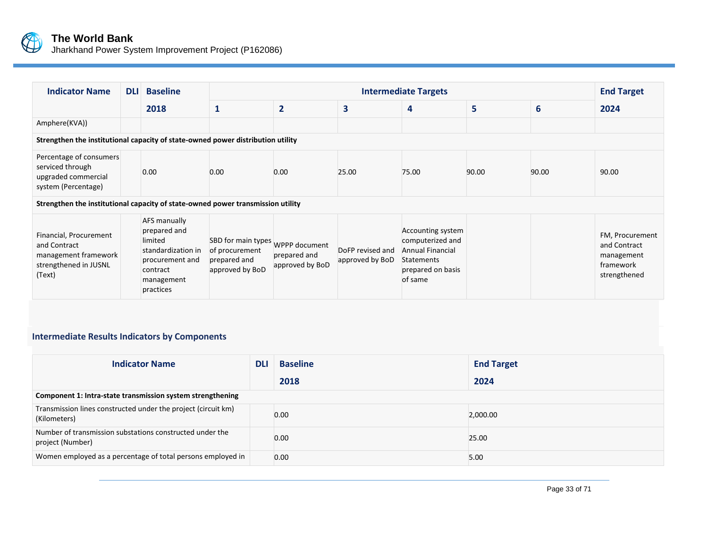

Jharkhand Power System Improvement Project (P162086)

| <b>Indicator Name</b>                                                                             | <b>DLI</b> | <b>Baseline</b>                                                                                                         |                                                                         | <b>End Target</b>                                |                                     |                                                                                                                |       |       |                                                                            |
|---------------------------------------------------------------------------------------------------|------------|-------------------------------------------------------------------------------------------------------------------------|-------------------------------------------------------------------------|--------------------------------------------------|-------------------------------------|----------------------------------------------------------------------------------------------------------------|-------|-------|----------------------------------------------------------------------------|
|                                                                                                   |            | 2018                                                                                                                    | 1                                                                       | $\overline{2}$                                   | 3                                   | $\overline{a}$                                                                                                 | 5     | 6     | 2024                                                                       |
| Amphere(KVA))                                                                                     |            |                                                                                                                         |                                                                         |                                                  |                                     |                                                                                                                |       |       |                                                                            |
| Strengthen the institutional capacity of state-owned power distribution utility                   |            |                                                                                                                         |                                                                         |                                                  |                                     |                                                                                                                |       |       |                                                                            |
| Percentage of consumers<br>serviced through<br>upgraded commercial<br>system (Percentage)         |            | 0.00                                                                                                                    | 0.00                                                                    | 0.00                                             | 25.00                               | 75.00                                                                                                          | 90.00 | 90.00 | 90.00                                                                      |
| Strengthen the institutional capacity of state-owned power transmission utility                   |            |                                                                                                                         |                                                                         |                                                  |                                     |                                                                                                                |       |       |                                                                            |
| Financial, Procurement<br>and Contract<br>management framework<br>strengthened in JUSNL<br>(Text) |            | AFS manually<br>prepared and<br>limited<br>standardization in<br>procurement and<br>contract<br>management<br>practices | SBD for main types<br>of procurement<br>prepared and<br>approved by BoD | WPPP document<br>prepared and<br>approved by BoD | DoFP revised and<br>approved by BoD | Accounting system<br>computerized and<br>Annual Financial<br><b>Statements</b><br>prepared on basis<br>of same |       |       | FM, Procurement<br>and Contract<br>management<br>framework<br>strengthened |

# **Intermediate Results Indicators by Components**

| <b>Indicator Name</b>                                                         | <b>DLI</b> | <b>Baseline</b> | <b>End Target</b> |  |  |  |  |  |
|-------------------------------------------------------------------------------|------------|-----------------|-------------------|--|--|--|--|--|
|                                                                               |            | 2018            | 2024              |  |  |  |  |  |
| Component 1: Intra-state transmission system strengthening                    |            |                 |                   |  |  |  |  |  |
| Transmission lines constructed under the project (circuit km)<br>(Kilometers) |            | 0.00            | 2,000.00          |  |  |  |  |  |
| Number of transmission substations constructed under the<br>project (Number)  |            | 0.00            | 25.00             |  |  |  |  |  |
| Women employed as a percentage of total persons employed in                   |            | 0.00            | 5.00              |  |  |  |  |  |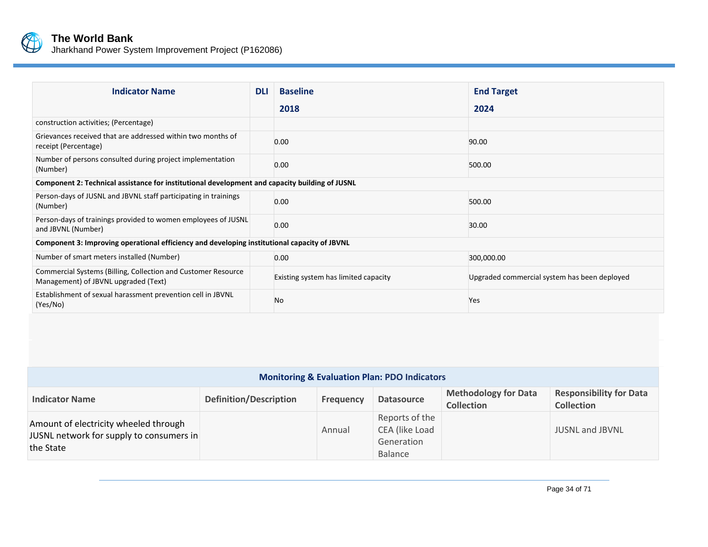

Jharkhand Power System Improvement Project (P162086)

| <b>Indicator Name</b>                                                                                 | <b>DLI</b> | <b>Baseline</b>                      | <b>End Target</b>                            |
|-------------------------------------------------------------------------------------------------------|------------|--------------------------------------|----------------------------------------------|
|                                                                                                       |            | 2018                                 | 2024                                         |
| construction activities; (Percentage)                                                                 |            |                                      |                                              |
| Grievances received that are addressed within two months of<br>receipt (Percentage)                   |            | 0.00                                 | 90.00                                        |
| Number of persons consulted during project implementation<br>(Number)                                 |            | 0.00                                 | 500.00                                       |
| Component 2: Technical assistance for institutional development and capacity building of JUSNL        |            |                                      |                                              |
| Person-days of JUSNL and JBVNL staff participating in trainings<br>(Number)                           |            | 0.00                                 | 500.00                                       |
| Person-days of trainings provided to women employees of JUSNL<br>and JBVNL (Number)                   |            | 0.00                                 | 30.00                                        |
| Component 3: Improving operational efficiency and developing institutional capacity of JBVNL          |            |                                      |                                              |
| Number of smart meters installed (Number)                                                             |            | 0.00                                 | 300,000.00                                   |
| Commercial Systems (Billing, Collection and Customer Resource<br>Management) of JBVNL upgraded (Text) |            | Existing system has limited capacity | Upgraded commercial system has been deployed |
| Establishment of sexual harassment prevention cell in JBVNL<br>(Yes/No)                               |            | <b>No</b>                            | Yes                                          |

| <b>Monitoring &amp; Evaluation Plan: PDO Indicators</b>                                        |                               |                  |                                                           |                                                  |                                                     |  |  |  |  |
|------------------------------------------------------------------------------------------------|-------------------------------|------------------|-----------------------------------------------------------|--------------------------------------------------|-----------------------------------------------------|--|--|--|--|
| <b>Indicator Name</b>                                                                          | <b>Definition/Description</b> | <b>Frequency</b> | <b>Datasource</b>                                         | <b>Methodology for Data</b><br><b>Collection</b> | <b>Responsibility for Data</b><br><b>Collection</b> |  |  |  |  |
| Amount of electricity wheeled through<br>JUSNL network for supply to consumers in<br>the State |                               | Annual           | Reports of the<br>CEA (like Load<br>Generation<br>Balance |                                                  | <b>JUSNL and JBVNL</b>                              |  |  |  |  |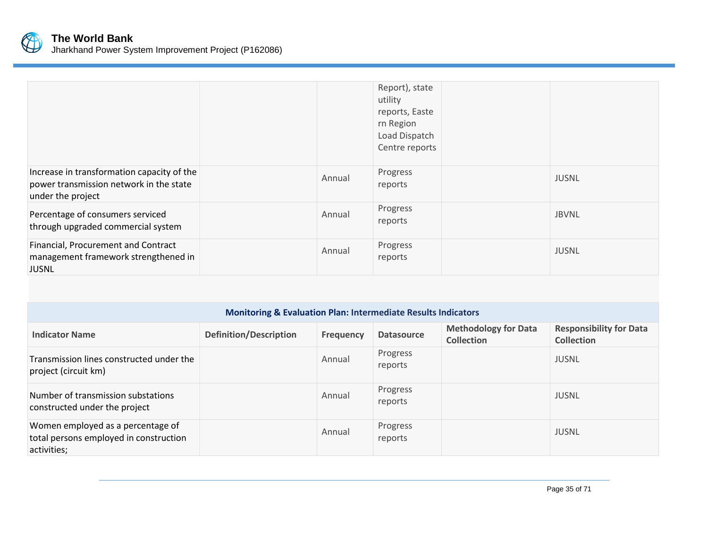

|                                                                                                            |        | Report), state<br>utility<br>reports, Easte<br>rn Region<br>Load Dispatch<br>Centre reports |              |
|------------------------------------------------------------------------------------------------------------|--------|---------------------------------------------------------------------------------------------|--------------|
| Increase in transformation capacity of the<br>power transmission network in the state<br>under the project | Annual | Progress<br>reports                                                                         | <b>JUSNL</b> |
| Percentage of consumers serviced<br>through upgraded commercial system                                     | Annual | Progress<br>reports                                                                         | <b>JBVNL</b> |
| Financial, Procurement and Contract<br>management framework strengthened in<br><b>JUSNL</b>                | Annual | Progress<br>reports                                                                         | <b>JUSNL</b> |

| <b>Monitoring &amp; Evaluation Plan: Intermediate Results Indicators</b>                   |                               |                  |                     |                                                  |                                                     |  |  |  |
|--------------------------------------------------------------------------------------------|-------------------------------|------------------|---------------------|--------------------------------------------------|-----------------------------------------------------|--|--|--|
| <b>Indicator Name</b>                                                                      | <b>Definition/Description</b> | <b>Frequency</b> | <b>Datasource</b>   | <b>Methodology for Data</b><br><b>Collection</b> | <b>Responsibility for Data</b><br><b>Collection</b> |  |  |  |
| Transmission lines constructed under the<br>project (circuit km)                           |                               | Annual           | Progress<br>reports |                                                  | <b>JUSNL</b>                                        |  |  |  |
| Number of transmission substations<br>constructed under the project                        |                               | Annual           | Progress<br>reports |                                                  | <b>JUSNL</b>                                        |  |  |  |
| Women employed as a percentage of<br>total persons employed in construction<br>activities; |                               | Annual           | Progress<br>reports |                                                  | <b>JUSNL</b>                                        |  |  |  |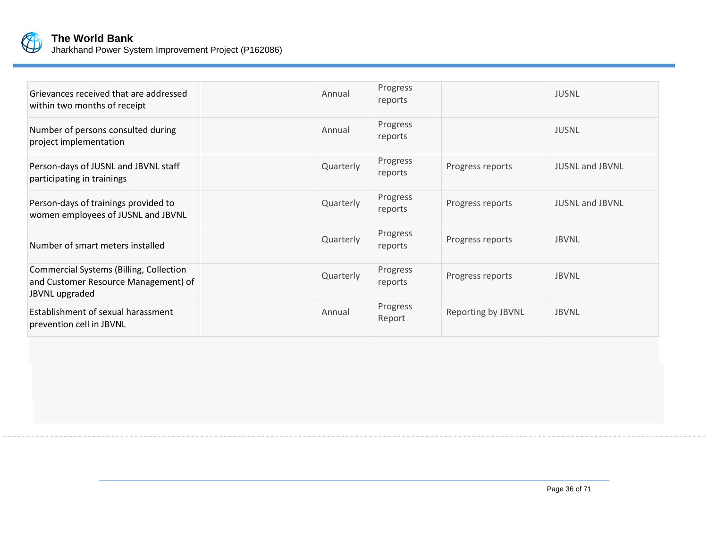

| Grievances received that are addressed<br>within two months of receipt                                   | Annual    | Progress<br>reports |                    | <b>JUSNL</b>           |
|----------------------------------------------------------------------------------------------------------|-----------|---------------------|--------------------|------------------------|
| Number of persons consulted during<br>project implementation                                             | Annual    | Progress<br>reports |                    | <b>JUSNL</b>           |
| Person-days of JUSNL and JBVNL staff<br>participating in trainings                                       | Quarterly | Progress<br>reports | Progress reports   | <b>JUSNL and JBVNL</b> |
| Person-days of trainings provided to<br>women employees of JUSNL and JBVNL                               | Quarterly | Progress<br>reports | Progress reports   | <b>JUSNL and JBVNL</b> |
| Number of smart meters installed                                                                         | Quarterly | Progress<br>reports | Progress reports   | <b>JBVNL</b>           |
| <b>Commercial Systems (Billing, Collection</b><br>and Customer Resource Management) of<br>JBVNL upgraded | Quarterly | Progress<br>reports | Progress reports   | <b>JBVNL</b>           |
| Establishment of sexual harassment<br>prevention cell in JBVNL                                           | Annual    | Progress<br>Report  | Reporting by JBVNL | <b>JBVNL</b>           |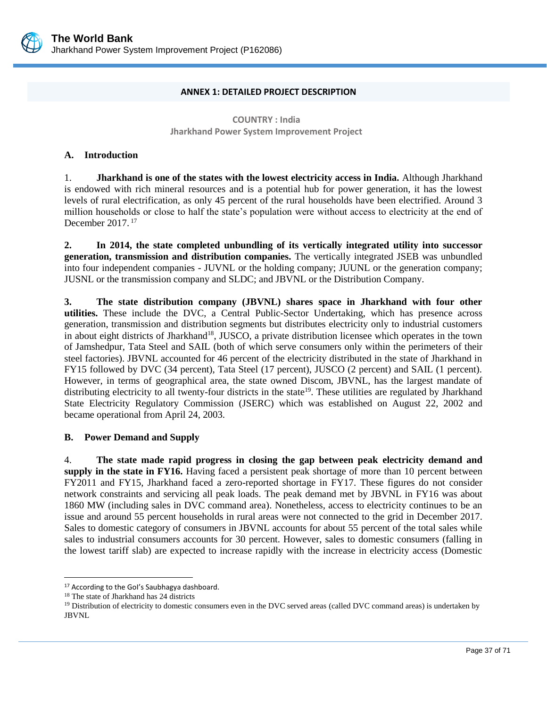### **ANNEX 1: DETAILED PROJECT DESCRIPTION**

**COUNTRY : India Jharkhand Power System Improvement Project**

## **A. Introduction**

1. **Jharkhand is one of the states with the lowest electricity access in India.** Although Jharkhand is endowed with rich mineral resources and is a potential hub for power generation, it has the lowest levels of rural electrification, as only 45 percent of the rural households have been electrified. Around 3 million households or close to half the state's population were without access to electricity at the end of December 2017. <sup>17</sup>

**2. In 2014, the state completed unbundling of its vertically integrated utility into successor generation, transmission and distribution companies.** The vertically integrated JSEB was unbundled into four independent companies - JUVNL or the holding company; JUUNL or the generation company; JUSNL or the transmission company and SLDC; and JBVNL or the Distribution Company.

**3. The state distribution company (JBVNL) shares space in Jharkhand with four other utilities.** These include the DVC, a Central Public-Sector Undertaking, which has presence across generation, transmission and distribution segments but distributes electricity only to industrial customers in about eight districts of Jharkhand<sup>18</sup>, JUSCO, a private distribution licensee which operates in the town of Jamshedpur, Tata Steel and SAIL (both of which serve consumers only within the perimeters of their steel factories). JBVNL accounted for 46 percent of the electricity distributed in the state of Jharkhand in FY15 followed by DVC (34 percent), Tata Steel (17 percent), JUSCO (2 percent) and SAIL (1 percent). However, in terms of geographical area, the state owned Discom, JBVNL, has the largest mandate of distributing electricity to all twenty-four districts in the state<sup>19</sup>. These utilities are regulated by Jharkhand State Electricity Regulatory Commission (JSERC) which was established on August 22, 2002 and became operational from April 24, 2003.

## **B. Power Demand and Supply**

4. **The state made rapid progress in closing the gap between peak electricity demand and supply in the state in FY16.** Having faced a persistent peak shortage of more than 10 percent between FY2011 and FY15, Jharkhand faced a zero-reported shortage in FY17. These figures do not consider network constraints and servicing all peak loads. The peak demand met by JBVNL in FY16 was about 1860 MW (including sales in DVC command area). Nonetheless, access to electricity continues to be an issue and around 55 percent households in rural areas were not connected to the grid in December 2017. Sales to domestic category of consumers in JBVNL accounts for about 55 percent of the total sales while sales to industrial consumers accounts for 30 percent. However, sales to domestic consumers (falling in the lowest tariff slab) are expected to increase rapidly with the increase in electricity access (Domestic

 $\overline{a}$ 

<sup>17</sup> According to the Gol's Saubhagya dashboard.

<sup>18</sup> The state of Jharkhand has 24 districts

 $19$  Distribution of electricity to domestic consumers even in the DVC served areas (called DVC command areas) is undertaken by JBVNL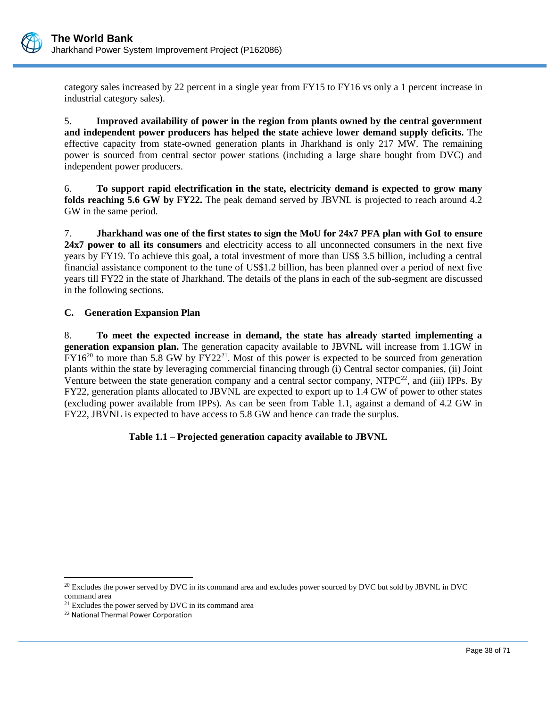

category sales increased by 22 percent in a single year from FY15 to FY16 vs only a 1 percent increase in industrial category sales).

5. **Improved availability of power in the region from plants owned by the central government and independent power producers has helped the state achieve lower demand supply deficits.** The effective capacity from state-owned generation plants in Jharkhand is only 217 MW. The remaining power is sourced from central sector power stations (including a large share bought from DVC) and independent power producers.

6. **To support rapid electrification in the state, electricity demand is expected to grow many folds reaching 5.6 GW by FY22.** The peak demand served by JBVNL is projected to reach around 4.2 GW in the same period.

7. **Jharkhand was one of the first states to sign the MoU for 24x7 PFA plan with GoI to ensure 24x7 power to all its consumers** and electricity access to all unconnected consumers in the next five years by FY19. To achieve this goal, a total investment of more than US\$ 3.5 billion, including a central financial assistance component to the tune of US\$1.2 billion, has been planned over a period of next five years till FY22 in the state of Jharkhand. The details of the plans in each of the sub-segment are discussed in the following sections.

# **C. Generation Expansion Plan**

8. **To meet the expected increase in demand, the state has already started implementing a generation expansion plan.** The generation capacity available to JBVNL will increase from 1.1GW in  $FY16^{20}$  to more than 5.8 GW by  $FY22^{21}$ . Most of this power is expected to be sourced from generation plants within the state by leveraging commercial financing through (i) Central sector companies, (ii) Joint Venture between the state generation company and a central sector company, NTPC $^{22}$ , and (iii) IPPs. By FY22, generation plants allocated to JBVNL are expected to export up to 1.4 GW of power to other states (excluding power available from IPPs). As can be seen from Table 1.1, against a demand of 4.2 GW in FY22, JBVNL is expected to have access to 5.8 GW and hence can trade the surplus.

# **Table 1.1 – Projected generation capacity available to JBVNL**

 $\overline{a}$ 

<sup>&</sup>lt;sup>20</sup> Excludes the power served by DVC in its command area and excludes power sourced by DVC but sold by JBVNL in DVC command area

<sup>&</sup>lt;sup>21</sup> Excludes the power served by DVC in its command area

<sup>22</sup> National Thermal Power Corporation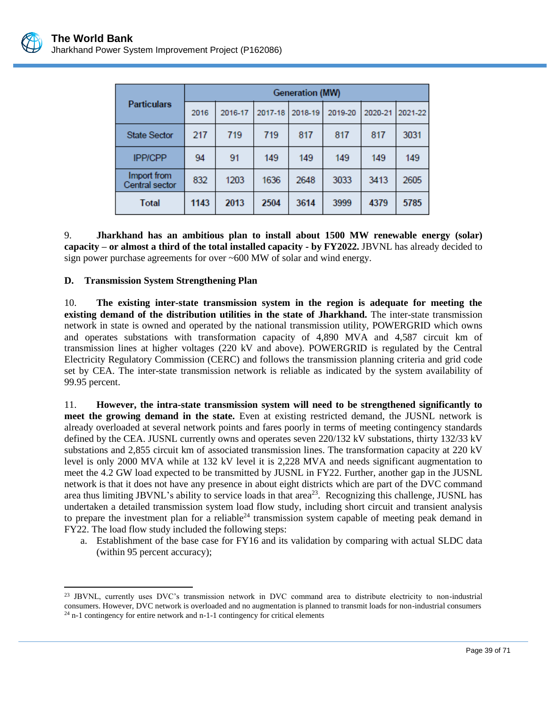

 $\overline{a}$ 

|                               | <b>Generation (MW)</b> |         |         |         |         |         |         |  |  |
|-------------------------------|------------------------|---------|---------|---------|---------|---------|---------|--|--|
| <b>Particulars</b>            | 2016                   | 2016-17 | 2017-18 | 2018-19 | 2019-20 | 2020-21 | 2021-22 |  |  |
| <b>State Sector</b>           | 217                    | 719     | 719     | 817     | 817     | 817     | 3031    |  |  |
| <b>IPP/CPP</b>                | 94                     | 91      | 149     | 149     | 149     | 149     | 149     |  |  |
| Import from<br>Central sector | 832                    | 1203    | 1636    | 2648    | 3033    | 3413    | 2605    |  |  |
| <b>Total</b>                  | 1143                   | 2013    | 2504    | 3614    | 3999    | 4379    | 5785    |  |  |

9. **Jharkhand has an ambitious plan to install about 1500 MW renewable energy (solar) capacity – or almost a third of the total installed capacity - by FY2022.** JBVNL has already decided to sign power purchase agreements for over ~600 MW of solar and wind energy.

# **D. Transmission System Strengthening Plan**

10. **The existing inter-state transmission system in the region is adequate for meeting the existing demand of the distribution utilities in the state of Jharkhand.** The inter-state transmission network in state is owned and operated by the national transmission utility, POWERGRID which owns and operates substations with transformation capacity of 4,890 MVA and 4,587 circuit km of transmission lines at higher voltages (220 kV and above). POWERGRID is regulated by the Central Electricity Regulatory Commission (CERC) and follows the transmission planning criteria and grid code set by CEA. The inter-state transmission network is reliable as indicated by the system availability of 99.95 percent.

11. **However, the intra-state transmission system will need to be strengthened significantly to meet the growing demand in the state.** Even at existing restricted demand, the JUSNL network is already overloaded at several network points and fares poorly in terms of meeting contingency standards defined by the CEA. JUSNL currently owns and operates seven 220/132 kV substations, thirty 132/33 kV substations and 2,855 circuit km of associated transmission lines. The transformation capacity at 220 kV level is only 2000 MVA while at 132 kV level it is 2,228 MVA and needs significant augmentation to meet the 4.2 GW load expected to be transmitted by JUSNL in FY22. Further, another gap in the JUSNL network is that it does not have any presence in about eight districts which are part of the DVC command area thus limiting JBVNL's ability to service loads in that area<sup>23</sup>. Recognizing this challenge, JUSNL has undertaken a detailed transmission system load flow study, including short circuit and transient analysis to prepare the investment plan for a reliable<sup>24</sup> transmission system capable of meeting peak demand in FY22. The load flow study included the following steps:

a. Establishment of the base case for FY16 and its validation by comparing with actual SLDC data (within 95 percent accuracy);

<sup>&</sup>lt;sup>23</sup> JBVNL, currently uses DVC's transmission network in DVC command area to distribute electricity to non-industrial consumers. However, DVC network is overloaded and no augmentation is planned to transmit loads for non-industrial consumers <sup>24</sup> n-1 contingency for entire network and n-1-1 contingency for critical elements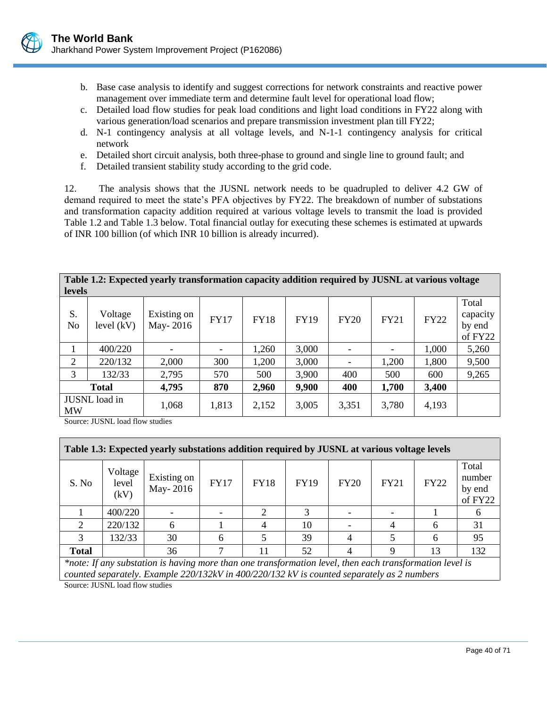- b. Base case analysis to identify and suggest corrections for network constraints and reactive power management over immediate term and determine fault level for operational load flow;
- c. Detailed load flow studies for peak load conditions and light load conditions in FY22 along with various generation/load scenarios and prepare transmission investment plan till FY22;
- d. N-1 contingency analysis at all voltage levels, and N-1-1 contingency analysis for critical network
- e. Detailed short circuit analysis, both three-phase to ground and single line to ground fault; and
- f. Detailed transient stability study according to the grid code.

12. The analysis shows that the JUSNL network needs to be quadrupled to deliver 4.2 GW of demand required to meet the state's PFA objectives by FY22. The breakdown of number of substations and transformation capacity addition required at various voltage levels to transmit the load is provided Table 1.2 and Table 1.3 below. Total financial outlay for executing these schemes is estimated at upwards of INR 100 billion (of which INR 10 billion is already incurred).

| levels         |                       | Tuble 112, Expected yearly transformation eapacity addition required by 0 CDI (E at Tarlous Tonage |             |             |             |             |             |             |                                        |
|----------------|-----------------------|----------------------------------------------------------------------------------------------------|-------------|-------------|-------------|-------------|-------------|-------------|----------------------------------------|
| S.<br>No       | Voltage<br>level (kV) | Existing on<br>May-2016                                                                            | <b>FY17</b> | <b>FY18</b> | <b>FY19</b> | <b>FY20</b> | <b>FY21</b> | <b>FY22</b> | Total<br>capacity<br>by end<br>of FY22 |
|                | 400/220               |                                                                                                    |             | 1,260       | 3,000       |             |             | 1,000       | 5,260                                  |
| $\overline{2}$ | 220/132               | 2,000                                                                                              | 300         | 1,200       | 3,000       |             | 1,200       | 1,800       | 9,500                                  |
| 3              | 132/33                | 2,795                                                                                              | 570         | 500         | 3,900       | 400         | 500         | 600         | 9,265                                  |
|                | <b>Total</b>          | 4,795                                                                                              | 870         | 2,960       | 9,900       | 400         | 1,700       | 3,400       |                                        |
| <b>MW</b>      | <b>JUSNL</b> load in  | 1,068                                                                                              | 1,813       | 2,152       | 3,005       | 3,351       | 3,780       | 4,193       |                                        |

**Table 1.2: Expected yearly transformation capacity addition required by JUSNL at various voltage** 

Source: JUSNL load flow studies

| Table 1.3: Expected yearly substations addition required by JUSNL at various voltage levels |                          |                                                                                                          |             |             |             |      |             |             |                                      |
|---------------------------------------------------------------------------------------------|--------------------------|----------------------------------------------------------------------------------------------------------|-------------|-------------|-------------|------|-------------|-------------|--------------------------------------|
| S. No                                                                                       | Voltage<br>level<br>(kV) | Existing on<br>May-2016                                                                                  | <b>FY17</b> | <b>FY18</b> | <b>FY19</b> | FY20 | <b>FY21</b> | <b>FY22</b> | Total<br>number<br>by end<br>of FY22 |
|                                                                                             | 400/220                  |                                                                                                          |             | 2           | 3           |      |             |             |                                      |
|                                                                                             | 220/132                  | 6                                                                                                        |             | 4           | 10          |      | 4           | 6           | 31                                   |
|                                                                                             | 132/33                   | 30                                                                                                       | 6           |             | 39          |      |             | 6           | 95                                   |
| <b>Total</b>                                                                                |                          | 36                                                                                                       |             | 11          | 52          |      | Q           | 13          | 132                                  |
|                                                                                             |                          | *note: If any substation is having more than one transformation level, then each transformation level is |             |             |             |      |             |             |                                      |

*counted separately. Example 220/132kV in 400/220/132 kV is counted separately as 2 numbers*

Source: JUSNL load flow studies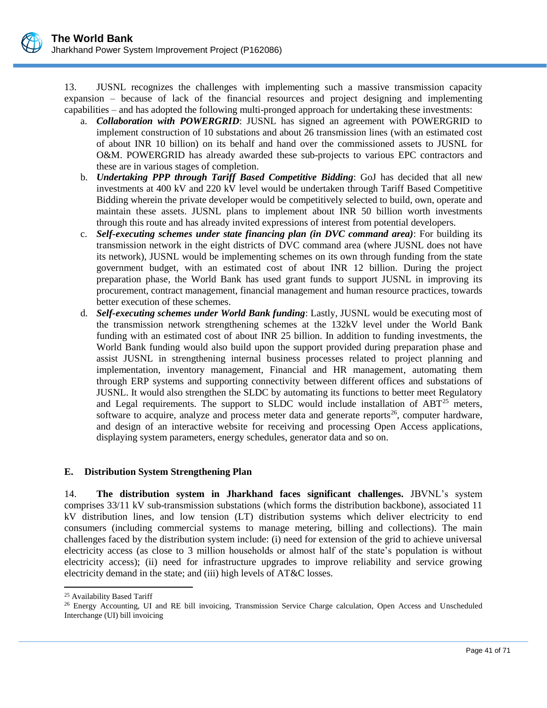13. JUSNL recognizes the challenges with implementing such a massive transmission capacity expansion – because of lack of the financial resources and project designing and implementing capabilities – and has adopted the following multi-pronged approach for undertaking these investments:

- a. *Collaboration with POWERGRID*: JUSNL has signed an agreement with POWERGRID to implement construction of 10 substations and about 26 transmission lines (with an estimated cost of about INR 10 billion) on its behalf and hand over the commissioned assets to JUSNL for O&M. POWERGRID has already awarded these sub-projects to various EPC contractors and these are in various stages of completion.
- b. *Undertaking PPP through Tariff Based Competitive Bidding*: GoJ has decided that all new investments at 400 kV and 220 kV level would be undertaken through Tariff Based Competitive Bidding wherein the private developer would be competitively selected to build, own, operate and maintain these assets. JUSNL plans to implement about INR 50 billion worth investments through this route and has already invited expressions of interest from potential developers.
- c. *Self-executing schemes under state financing plan (in DVC command area)*: For building its transmission network in the eight districts of DVC command area (where JUSNL does not have its network), JUSNL would be implementing schemes on its own through funding from the state government budget, with an estimated cost of about INR 12 billion. During the project preparation phase, the World Bank has used grant funds to support JUSNL in improving its procurement, contract management, financial management and human resource practices, towards better execution of these schemes.
- d. *Self-executing schemes under World Bank funding*: Lastly, JUSNL would be executing most of the transmission network strengthening schemes at the 132kV level under the World Bank funding with an estimated cost of about INR 25 billion. In addition to funding investments, the World Bank funding would also build upon the support provided during preparation phase and assist JUSNL in strengthening internal business processes related to project planning and implementation, inventory management, Financial and HR management, automating them through ERP systems and supporting connectivity between different offices and substations of JUSNL. It would also strengthen the SLDC by automating its functions to better meet Regulatory and Legal requirements. The support to SLDC would include installation of  $ABT^{25}$  meters, software to acquire, analyze and process meter data and generate reports<sup>26</sup>, computer hardware, and design of an interactive website for receiving and processing Open Access applications, displaying system parameters, energy schedules, generator data and so on.

## **E. Distribution System Strengthening Plan**

14. **The distribution system in Jharkhand faces significant challenges.** JBVNL's system comprises 33/11 kV sub-transmission substations (which forms the distribution backbone), associated 11 kV distribution lines, and low tension (LT) distribution systems which deliver electricity to end consumers (including commercial systems to manage metering, billing and collections). The main challenges faced by the distribution system include: (i) need for extension of the grid to achieve universal electricity access (as close to 3 million households or almost half of the state's population is without electricity access); (ii) need for infrastructure upgrades to improve reliability and service growing electricity demand in the state; and (iii) high levels of AT&C losses.

 $\overline{a}$ 

<sup>&</sup>lt;sup>25</sup> Availability Based Tariff

<sup>&</sup>lt;sup>26</sup> Energy Accounting, UI and RE bill invoicing, Transmission Service Charge calculation, Open Access and Unscheduled Interchange (UI) bill invoicing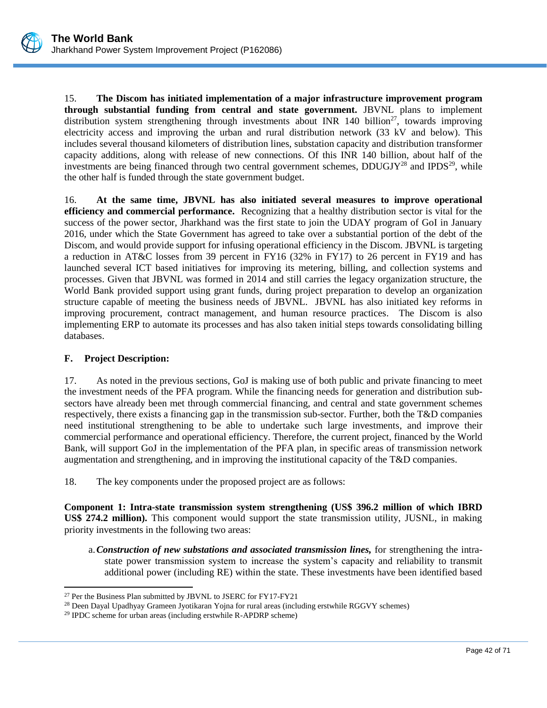

15. **The Discom has initiated implementation of a major infrastructure improvement program through substantial funding from central and state government.** JBVNL plans to implement distribution system strengthening through investments about INR 140 billion<sup>27</sup>, towards improving electricity access and improving the urban and rural distribution network (33 kV and below). This includes several thousand kilometers of distribution lines, substation capacity and distribution transformer capacity additions, along with release of new connections. Of this INR 140 billion, about half of the investments are being financed through two central government schemes,  $DDUGIY^{28}$  and  $IPDS^{29}$ , while the other half is funded through the state government budget.

16. **At the same time, JBVNL has also initiated several measures to improve operational efficiency and commercial performance.** Recognizing that a healthy distribution sector is vital for the success of the power sector, Jharkhand was the first state to join the UDAY program of GoI in January 2016, under which the State Government has agreed to take over a substantial portion of the debt of the Discom, and would provide support for infusing operational efficiency in the Discom. JBVNL is targeting a reduction in AT&C losses from 39 percent in FY16 (32% in FY17) to 26 percent in FY19 and has launched several ICT based initiatives for improving its metering, billing, and collection systems and processes. Given that JBVNL was formed in 2014 and still carries the legacy organization structure, the World Bank provided support using grant funds, during project preparation to develop an organization structure capable of meeting the business needs of JBVNL. JBVNL has also initiated key reforms in improving procurement, contract management, and human resource practices. The Discom is also implementing ERP to automate its processes and has also taken initial steps towards consolidating billing databases.

# **F. Project Description:**

 $\overline{a}$ 

17. As noted in the previous sections, GoJ is making use of both public and private financing to meet the investment needs of the PFA program. While the financing needs for generation and distribution subsectors have already been met through commercial financing, and central and state government schemes respectively, there exists a financing gap in the transmission sub-sector. Further, both the T&D companies need institutional strengthening to be able to undertake such large investments, and improve their commercial performance and operational efficiency. Therefore, the current project, financed by the World Bank, will support GoJ in the implementation of the PFA plan, in specific areas of transmission network augmentation and strengthening, and in improving the institutional capacity of the T&D companies.

18. The key components under the proposed project are as follows:

**Component 1: Intra-state transmission system strengthening (US\$ 396.2 million of which IBRD US\$ 274.2 million).** This component would support the state transmission utility, JUSNL, in making priority investments in the following two areas:

a. Construction of new substations and associated transmission lines, for strengthening the intrastate power transmission system to increase the system's capacity and reliability to transmit additional power (including RE) within the state. These investments have been identified based

<sup>&</sup>lt;sup>27</sup> Per the Business Plan submitted by JBVNL to JSERC for FY17-FY21

<sup>&</sup>lt;sup>28</sup> Deen Dayal Upadhyay Grameen Jyotikaran Yojna for rural areas (including erstwhile RGGVY schemes)

<sup>29</sup> IPDC scheme for urban areas (including erstwhile R-APDRP scheme)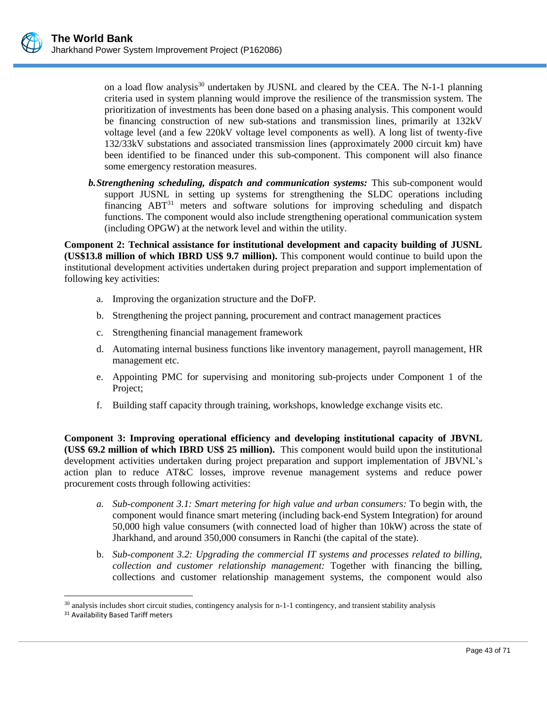on a load flow analysis<sup>30</sup> undertaken by JUSNL and cleared by the CEA. The N-1-1 planning criteria used in system planning would improve the resilience of the transmission system. The prioritization of investments has been done based on a phasing analysis. This component would be financing construction of new sub-stations and transmission lines, primarily at 132kV voltage level (and a few 220kV voltage level components as well). A long list of twenty-five 132/33kV substations and associated transmission lines (approximately 2000 circuit km) have been identified to be financed under this sub-component. This component will also finance some emergency restoration measures.

*b.Strengthening scheduling, dispatch and communication systems:* This sub-component would support JUSNL in setting up systems for strengthening the SLDC operations including financing ABT<sup>31</sup> meters and software solutions for improving scheduling and dispatch functions. The component would also include strengthening operational communication system (including OPGW) at the network level and within the utility.

**Component 2: Technical assistance for institutional development and capacity building of JUSNL (US\$13.8 million of which IBRD US\$ 9.7 million).** This component would continue to build upon the institutional development activities undertaken during project preparation and support implementation of following key activities:

- a. Improving the organization structure and the DoFP.
- b. Strengthening the project panning, procurement and contract management practices
- c. Strengthening financial management framework
- d. Automating internal business functions like inventory management, payroll management, HR management etc.
- e. Appointing PMC for supervising and monitoring sub-projects under Component 1 of the Project;
- f. Building staff capacity through training, workshops, knowledge exchange visits etc.

**Component 3: Improving operational efficiency and developing institutional capacity of JBVNL (US\$ 69.2 million of which IBRD US\$ 25 million).** This component would build upon the institutional development activities undertaken during project preparation and support implementation of JBVNL's action plan to reduce AT&C losses, improve revenue management systems and reduce power procurement costs through following activities:

- *a. Sub-component 3.1: Smart metering for high value and urban consumers:* To begin with, the component would finance smart metering (including back-end System Integration) for around 50,000 high value consumers (with connected load of higher than 10kW) across the state of Jharkhand, and around 350,000 consumers in Ranchi (the capital of the state).
- b. *Sub-component 3.2: Upgrading the commercial IT systems and processes related to billing, collection and customer relationship management:* Together with financing the billing, collections and customer relationship management systems, the component would also

 $\overline{a}$ 

 $30$  analysis includes short circuit studies, contingency analysis for  $n-1-1$  contingency, and transient stability analysis

<sup>&</sup>lt;sup>31</sup> Availability Based Tariff meters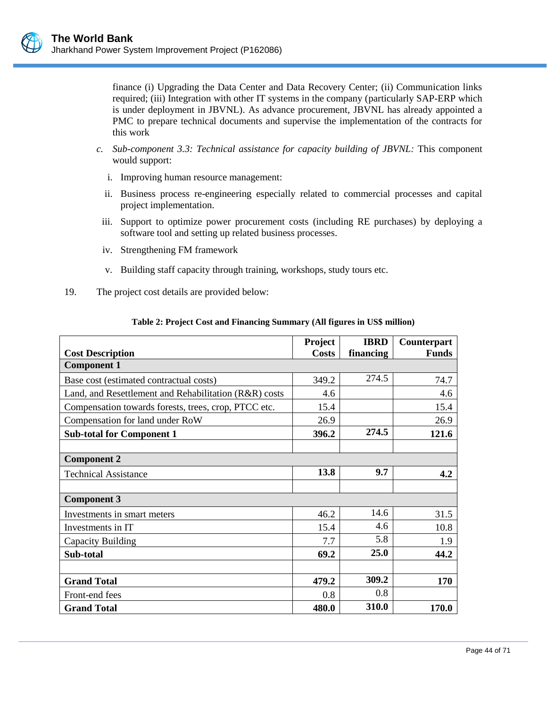finance (i) Upgrading the Data Center and Data Recovery Center; (ii) Communication links required; (iii) Integration with other IT systems in the company (particularly SAP-ERP which is under deployment in JBVNL). As advance procurement, JBVNL has already appointed a PMC to prepare technical documents and supervise the implementation of the contracts for this work

- *c. Sub-component 3.3: Technical assistance for capacity building of JBVNL:* This component would support:
	- i. Improving human resource management:
	- ii. Business process re-engineering especially related to commercial processes and capital project implementation.
- iii. Support to optimize power procurement costs (including RE purchases) by deploying a software tool and setting up related business processes.
- iv. Strengthening FM framework
- v. Building staff capacity through training, workshops, study tours etc.
- 19. The project cost details are provided below:

|                                                       | Project      | <b>IBRD</b> | Counterpart  |
|-------------------------------------------------------|--------------|-------------|--------------|
| <b>Cost Description</b>                               | <b>Costs</b> | financing   | <b>Funds</b> |
| <b>Component 1</b>                                    |              |             |              |
| Base cost (estimated contractual costs)               | 349.2        | 274.5       | 74.7         |
| Land, and Resettlement and Rehabilitation (R&R) costs | 4.6          |             | 4.6          |
| Compensation towards forests, trees, crop, PTCC etc.  | 15.4         |             | 15.4         |
| Compensation for land under RoW                       | 26.9         |             | 26.9         |
| <b>Sub-total for Component 1</b>                      | 396.2        | 274.5       | 121.6        |
|                                                       |              |             |              |
| <b>Component 2</b>                                    |              |             |              |
| <b>Technical Assistance</b>                           | 13.8         | 9.7         | 4.2          |
|                                                       |              |             |              |
| <b>Component 3</b>                                    |              |             |              |
| Investments in smart meters                           | 46.2         | 14.6        | 31.5         |
| Investments in IT                                     | 15.4         | 4.6         | 10.8         |
| Capacity Building                                     | 7.7          | 5.8         | 1.9          |
| Sub-total                                             | 69.2         | 25.0        | 44.2         |
|                                                       |              |             |              |
| <b>Grand Total</b>                                    | 479.2        | 309.2       | 170          |
| Front-end fees                                        | 0.8          | 0.8         |              |
| <b>Grand Total</b>                                    | 480.0        | 310.0       | 170.0        |

#### **Table 2: Project Cost and Financing Summary (All figures in US\$ million)**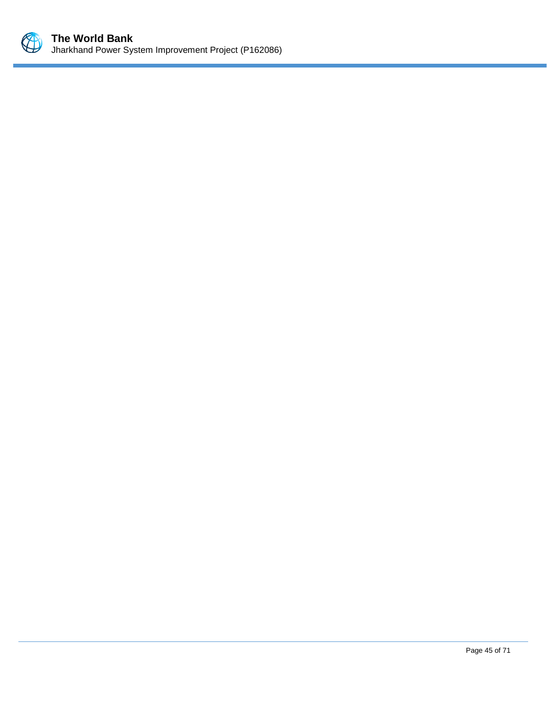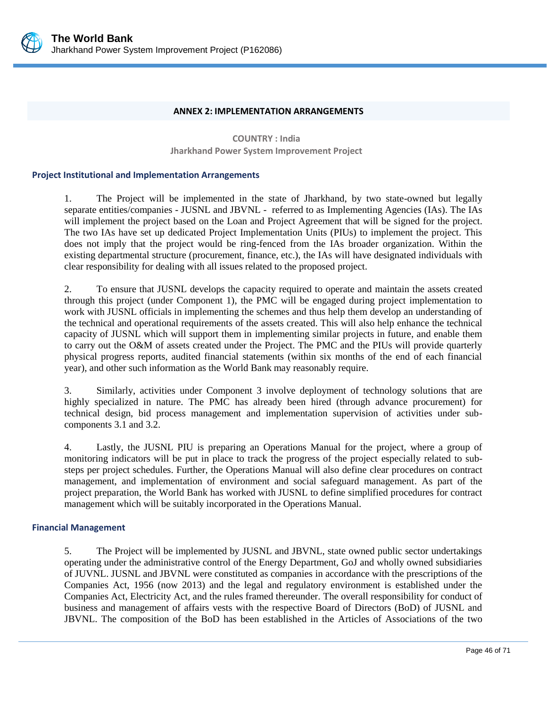#### **ANNEX 2: IMPLEMENTATION ARRANGEMENTS**

# **COUNTRY : India Jharkhand Power System Improvement Project**

#### **Project Institutional and Implementation Arrangements**

1. The Project will be implemented in the state of Jharkhand, by two state-owned but legally separate entities/companies - JUSNL and JBVNL - referred to as Implementing Agencies (IAs). The IAs will implement the project based on the Loan and Project Agreement that will be signed for the project. The two IAs have set up dedicated Project Implementation Units (PIUs) to implement the project. This does not imply that the project would be ring-fenced from the IAs broader organization. Within the existing departmental structure (procurement, finance, etc.), the IAs will have designated individuals with clear responsibility for dealing with all issues related to the proposed project.

2. To ensure that JUSNL develops the capacity required to operate and maintain the assets created through this project (under Component 1), the PMC will be engaged during project implementation to work with JUSNL officials in implementing the schemes and thus help them develop an understanding of the technical and operational requirements of the assets created. This will also help enhance the technical capacity of JUSNL which will support them in implementing similar projects in future, and enable them to carry out the O&M of assets created under the Project. The PMC and the PIUs will provide quarterly physical progress reports, audited financial statements (within six months of the end of each financial year), and other such information as the World Bank may reasonably require.

3. Similarly, activities under Component 3 involve deployment of technology solutions that are highly specialized in nature. The PMC has already been hired (through advance procurement) for technical design, bid process management and implementation supervision of activities under subcomponents 3.1 and 3.2.

4. Lastly, the JUSNL PIU is preparing an Operations Manual for the project, where a group of monitoring indicators will be put in place to track the progress of the project especially related to substeps per project schedules. Further, the Operations Manual will also define clear procedures on contract management, and implementation of environment and social safeguard management. As part of the project preparation, the World Bank has worked with JUSNL to define simplified procedures for contract management which will be suitably incorporated in the Operations Manual.

#### **Financial Management**

5. The Project will be implemented by JUSNL and JBVNL, state owned public sector undertakings operating under the administrative control of the Energy Department, GoJ and wholly owned subsidiaries of JUVNL. JUSNL and JBVNL were constituted as companies in accordance with the prescriptions of the Companies Act, 1956 (now 2013) and the legal and regulatory environment is established under the Companies Act, Electricity Act, and the rules framed thereunder. The overall responsibility for conduct of business and management of affairs vests with the respective Board of Directors (BoD) of JUSNL and JBVNL. The composition of the BoD has been established in the Articles of Associations of the two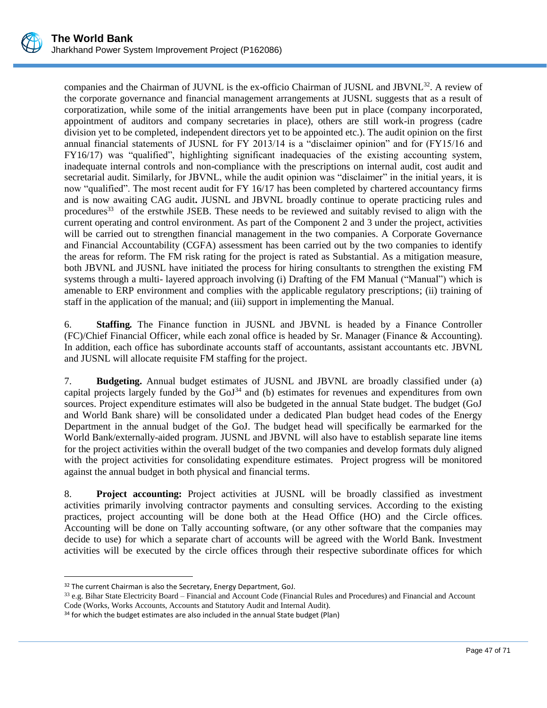

companies and the Chairman of JUVNL is the ex-officio Chairman of JUSNL and JBVNL<sup>32</sup>. A review of the corporate governance and financial management arrangements at JUSNL suggests that as a result of corporatization, while some of the initial arrangements have been put in place (company incorporated, appointment of auditors and company secretaries in place), others are still work-in progress (cadre division yet to be completed, independent directors yet to be appointed etc.). The audit opinion on the first annual financial statements of JUSNL for FY 2013/14 is a "disclaimer opinion" and for (FY15/16 and FY16/17) was "qualified", highlighting significant inadequacies of the existing accounting system, inadequate internal controls and non-compliance with the prescriptions on internal audit, cost audit and secretarial audit. Similarly, for JBVNL, while the audit opinion was "disclaimer" in the initial years, it is now "qualified". The most recent audit for FY 16/17 has been completed by chartered accountancy firms and is now awaiting CAG audit**.** JUSNL and JBVNL broadly continue to operate practicing rules and procedures<sup>33</sup> of the erstwhile JSEB. These needs to be reviewed and suitably revised to align with the current operating and control environment. As part of the Component 2 and 3 under the project, activities will be carried out to strengthen financial management in the two companies. A Corporate Governance and Financial Accountability (CGFA) assessment has been carried out by the two companies to identify the areas for reform. The FM risk rating for the project is rated as Substantial. As a mitigation measure, both JBVNL and JUSNL have initiated the process for hiring consultants to strengthen the existing FM systems through a multi- layered approach involving (i) Drafting of the FM Manual ("Manual") which is amenable to ERP environment and complies with the applicable regulatory prescriptions; (ii) training of staff in the application of the manual; and (iii) support in implementing the Manual.

6. **Staffing***.* The Finance function in JUSNL and JBVNL is headed by a Finance Controller (FC)/Chief Financial Officer, while each zonal office is headed by Sr. Manager (Finance & Accounting). In addition, each office has subordinate accounts staff of accountants, assistant accountants etc. JBVNL and JUSNL will allocate requisite FM staffing for the project.

7. **Budgeting.** Annual budget estimates of JUSNL and JBVNL are broadly classified under (a) capital projects largely funded by the GoJ<sup>34</sup> and (b) estimates for revenues and expenditures from own sources. Project expenditure estimates will also be budgeted in the annual State budget. The budget (GoJ and World Bank share) will be consolidated under a dedicated Plan budget head codes of the Energy Department in the annual budget of the GoJ. The budget head will specifically be earmarked for the World Bank/externally-aided program. JUSNL and JBVNL will also have to establish separate line items for the project activities within the overall budget of the two companies and develop formats duly aligned with the project activities for consolidating expenditure estimates. Project progress will be monitored against the annual budget in both physical and financial terms.

8. **Project accounting:** Project activities at JUSNL will be broadly classified as investment activities primarily involving contractor payments and consulting services. According to the existing practices, project accounting will be done both at the Head Office (HO) and the Circle offices. Accounting will be done on Tally accounting software, (or any other software that the companies may decide to use) for which a separate chart of accounts will be agreed with the World Bank. Investment activities will be executed by the circle offices through their respective subordinate offices for which

 $\overline{a}$ 

<sup>&</sup>lt;sup>32</sup> The current Chairman is also the Secretary, Energy Department, GoJ.

<sup>33</sup> e.g. Bihar State Electricity Board – Financial and Account Code (Financial Rules and Procedures) and Financial and Account Code (Works, Works Accounts, Accounts and Statutory Audit and Internal Audit).

<sup>&</sup>lt;sup>34</sup> for which the budget estimates are also included in the annual State budget (Plan)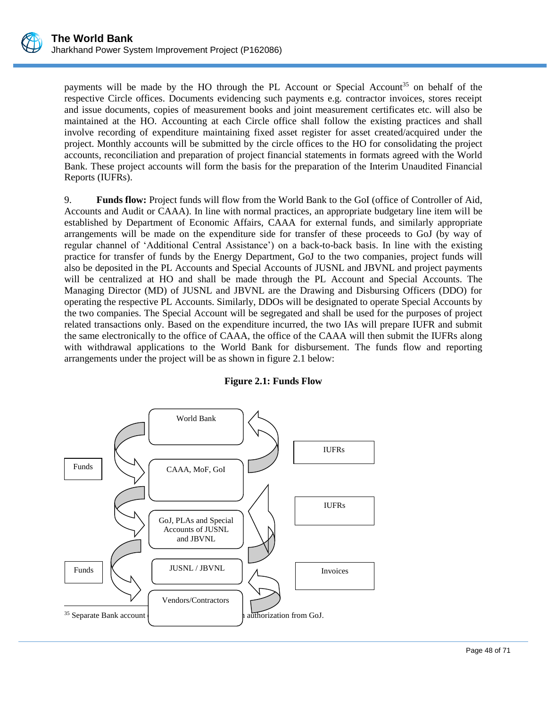

payments will be made by the HO through the PL Account or Special Account<sup>35</sup> on behalf of the respective Circle offices. Documents evidencing such payments e.g. contractor invoices, stores receipt and issue documents, copies of measurement books and joint measurement certificates etc. will also be maintained at the HO. Accounting at each Circle office shall follow the existing practices and shall involve recording of expenditure maintaining fixed asset register for asset created/acquired under the project. Monthly accounts will be submitted by the circle offices to the HO for consolidating the project accounts, reconciliation and preparation of project financial statements in formats agreed with the World Bank. These project accounts will form the basis for the preparation of the Interim Unaudited Financial Reports (IUFRs).

9. **Funds flow:** Project funds will flow from the World Bank to the GoI (office of Controller of Aid, Accounts and Audit or CAAA). In line with normal practices, an appropriate budgetary line item will be established by Department of Economic Affairs, CAAA for external funds, and similarly appropriate arrangements will be made on the expenditure side for transfer of these proceeds to GoJ (by way of regular channel of 'Additional Central Assistance') on a back-to-back basis. In line with the existing practice for transfer of funds by the Energy Department, GoJ to the two companies, project funds will also be deposited in the PL Accounts and Special Accounts of JUSNL and JBVNL and project payments will be centralized at HO and shall be made through the PL Account and Special Accounts. The Managing Director (MD) of JUSNL and JBVNL are the Drawing and Disbursing Officers (DDO) for operating the respective PL Accounts. Similarly, DDOs will be designated to operate Special Accounts by the two companies. The Special Account will be segregated and shall be used for the purposes of project related transactions only. Based on the expenditure incurred, the two IAs will prepare IUFR and submit the same electronically to the office of CAAA, the office of the CAAA will then submit the IUFRs along with withdrawal applications to the World Bank for disbursement. The funds flow and reporting arrangements under the project will be as shown in figure 2.1 below:



# **Figure 2.1: Funds Flow**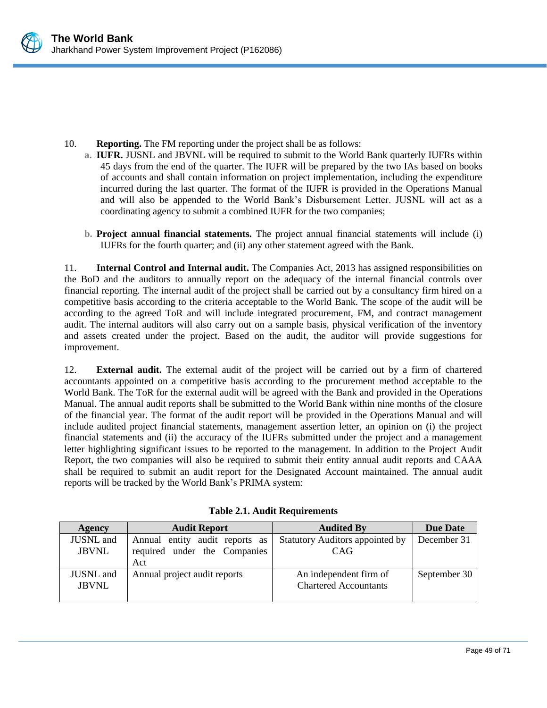

- 10. **Reporting.** The FM reporting under the project shall be as follows:
	- **a. IUFR.** JUSNL and JBVNL will be required to submit to the World Bank quarterly IUFRs within 45 days from the end of the quarter. The IUFR will be prepared by the two IAs based on books of accounts and shall contain information on project implementation, including the expenditure incurred during the last quarter. The format of the IUFR is provided in the Operations Manual and will also be appended to the World Bank's Disbursement Letter. JUSNL will act as a coordinating agency to submit a combined IUFR for the two companies;
	- **b. Project annual financial statements.** The project annual financial statements will include (i) IUFRs for the fourth quarter; and (ii) any other statement agreed with the Bank.

11. **Internal Control and Internal audit.** The Companies Act, 2013 has assigned responsibilities on the BoD and the auditors to annually report on the adequacy of the internal financial controls over financial reporting. The internal audit of the project shall be carried out by a consultancy firm hired on a competitive basis according to the criteria acceptable to the World Bank. The scope of the audit will be according to the agreed ToR and will include integrated procurement, FM, and contract management audit. The internal auditors will also carry out on a sample basis, physical verification of the inventory and assets created under the project. Based on the audit, the auditor will provide suggestions for improvement.

12. **External audit.** The external audit of the project will be carried out by a firm of chartered accountants appointed on a competitive basis according to the procurement method acceptable to the World Bank. The ToR for the external audit will be agreed with the Bank and provided in the Operations Manual. The annual audit reports shall be submitted to the World Bank within nine months of the closure of the financial year. The format of the audit report will be provided in the Operations Manual and will include audited project financial statements, management assertion letter, an opinion on (i) the project financial statements and (ii) the accuracy of the IUFRs submitted under the project and a management letter highlighting significant issues to be reported to the management. In addition to the Project Audit Report, the two companies will also be required to submit their entity annual audit reports and CAAA shall be required to submit an audit report for the Designated Account maintained. The annual audit reports will be tracked by the World Bank's PRIMA system:

| Agency                           | <b>Audit Report</b>                                                   | <b>Audited By</b>                                      | <b>Due Date</b> |
|----------------------------------|-----------------------------------------------------------------------|--------------------------------------------------------|-----------------|
| <b>JUSNL</b> and<br><b>JBVNL</b> | Annual entity audit reports as<br>required under the Companies<br>Act | Statutory Auditors appointed by<br>CAG                 | December 31     |
| <b>JUSNL</b> and<br><b>JBVNL</b> | Annual project audit reports                                          | An independent firm of<br><b>Chartered Accountants</b> | September 30    |

**Table 2.1. Audit Requirements**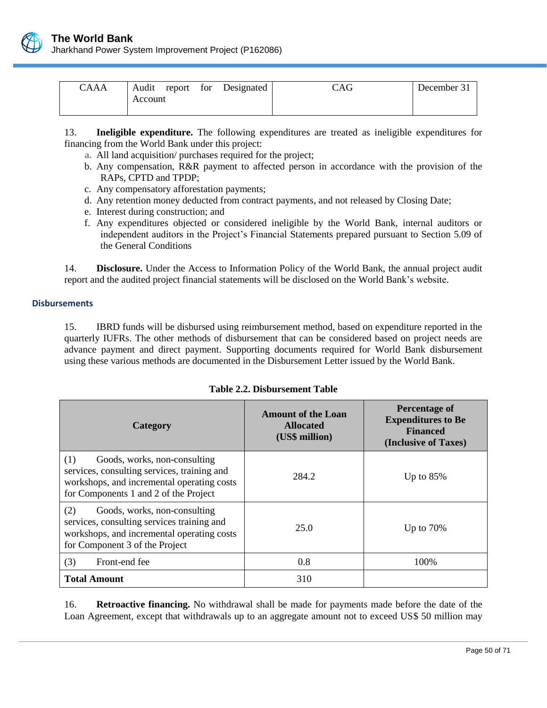

| CAAA | Audit   |  | report for Designated | $\rm CAG$ | December 31 |
|------|---------|--|-----------------------|-----------|-------------|
|      | Account |  |                       |           |             |
|      |         |  |                       |           |             |

13. **Ineligible expenditure.** The following expenditures are treated as ineligible expenditures for financing from the World Bank under this project:

- **a.** All land acquisition/ purchases required for the project;
- b. Any compensation, R&R payment to affected person in accordance with the provision of the RAPs, CPTD and TPDP;
- c. Any compensatory afforestation payments;
- d. Any retention money deducted from contract payments, and not released by Closing Date;
- e. Interest during construction; and
- f. Any expenditures objected or considered ineligible by the World Bank, internal auditors or independent auditors in the Project's Financial Statements prepared pursuant to Section 5.09 of the General Conditions

14. **Disclosure.** Under the Access to Information Policy of the World Bank, the annual project audit report and the audited project financial statements will be disclosed on the World Bank's website.

#### **Disbursements**

15. IBRD funds will be disbursed using reimbursement method, based on expenditure reported in the quarterly IUFRs. The other methods of disbursement that can be considered based on project needs are advance payment and direct payment. Supporting documents required for World Bank disbursement using these various methods are documented in the Disbursement Letter issued by the World Bank.

| Category                                                                                                                                                                  | <b>Amount of the Loan</b><br><b>Allocated</b><br>(US\$ million) | <b>Percentage of</b><br><b>Expenditures to Be</b><br><b>Financed</b><br>(Inclusive of Taxes) |
|---------------------------------------------------------------------------------------------------------------------------------------------------------------------------|-----------------------------------------------------------------|----------------------------------------------------------------------------------------------|
| (1)<br>Goods, works, non-consulting<br>services, consulting services, training and<br>workshops, and incremental operating costs<br>for Components 1 and 2 of the Project | 284.2                                                           | Up to $85%$                                                                                  |
| (2)<br>Goods, works, non-consulting<br>services, consulting services training and<br>workshops, and incremental operating costs<br>for Component 3 of the Project         | 25.0                                                            | Up to $70%$                                                                                  |
| Front-end fee<br>(3)                                                                                                                                                      | 0.8                                                             | 100%                                                                                         |
| <b>Total Amount</b>                                                                                                                                                       | 310                                                             |                                                                                              |

|  | Table 2.2. Disbursement Table |  |
|--|-------------------------------|--|
|--|-------------------------------|--|

16. **Retroactive financing.** No withdrawal shall be made for payments made before the date of the Loan Agreement, except that withdrawals up to an aggregate amount not to exceed US\$ 50 million may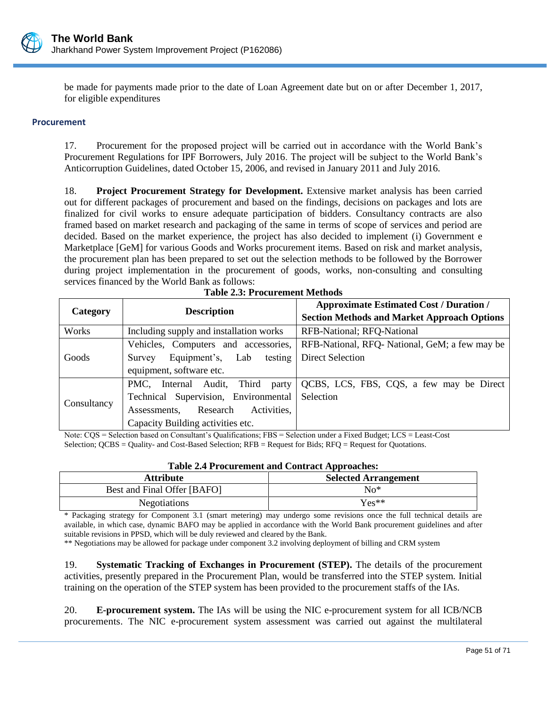

be made for payments made prior to the date of Loan Agreement date but on or after December 1, 2017, for eligible expenditures

#### **Procurement**

17. Procurement for the proposed project will be carried out in accordance with the World Bank's Procurement Regulations for IPF Borrowers, July 2016. The project will be subject to the World Bank's Anticorruption Guidelines, dated October 15, 2006, and revised in January 2011 and July 2016.

18. **Project Procurement Strategy for Development.** Extensive market analysis has been carried out for different packages of procurement and based on the findings, decisions on packages and lots are finalized for civil works to ensure adequate participation of bidders. Consultancy contracts are also framed based on market research and packaging of the same in terms of scope of services and period are decided. Based on the market experience, the project has also decided to implement (i) Government e Marketplace [GeM] for various Goods and Works procurement items. Based on risk and market analysis, the procurement plan has been prepared to set out the selection methods to be followed by the Borrower during project implementation in the procurement of goods, works, non-consulting and consulting services financed by the World Bank as follows:

| Category    | <b>Description</b>                      | <b>Approximate Estimated Cost / Duration /</b><br><b>Section Methods and Market Approach Options</b> |
|-------------|-----------------------------------------|------------------------------------------------------------------------------------------------------|
| Works       | Including supply and installation works | RFB-National; RFQ-National                                                                           |
|             | Vehicles, Computers and accessories,    | RFB-National, RFQ-National, GeM; a few may be                                                        |
| Goods       | Equipment's, Lab<br>testing<br>Survey   | <b>Direct Selection</b>                                                                              |
|             | equipment, software etc.                |                                                                                                      |
|             | PMC, Internal Audit, Third party        | QCBS, LCS, FBS, CQS, a few may be Direct                                                             |
| Consultancy | Technical Supervision, Environmental    | Selection                                                                                            |
|             | Assessments, Research<br>Activities.    |                                                                                                      |
|             | Capacity Building activities etc.       |                                                                                                      |

# **Table 2.3: Procurement Methods**

Note: CQS = Selection based on Consultant's Qualifications; FBS = Selection under a Fixed Budget; LCS = Least-Cost Selection; QCBS = Quality- and Cost-Based Selection; RFB = Request for Bids; RFQ = Request for Quotations.

| Table 2.4 I Focul ement and Contract Approaches. |                             |  |  |
|--------------------------------------------------|-----------------------------|--|--|
| <b>Attribute</b>                                 | <b>Selected Arrangement</b> |  |  |
| Best and Final Offer [BAFO]                      | $\mathrm{No*}$              |  |  |
| <b>Negotiations</b>                              | $Y_{ex}**$                  |  |  |

#### **Table 2.4 Procurement and Contract Approaches:**

\* Packaging strategy for Component 3.1 (smart metering) may undergo some revisions once the full technical details are available, in which case, dynamic BAFO may be applied in accordance with the World Bank procurement guidelines and after suitable revisions in PPSD, which will be duly reviewed and cleared by the Bank.

\*\* Negotiations may be allowed for package under component 3.2 involving deployment of billing and CRM system

19. **Systematic Tracking of Exchanges in Procurement (STEP).** The details of the procurement activities, presently prepared in the Procurement Plan, would be transferred into the STEP system. Initial training on the operation of the STEP system has been provided to the procurement staffs of the IAs.

20. **E-procurement system.** The IAs will be using the NIC e-procurement system for all ICB/NCB procurements. The NIC e-procurement system assessment was carried out against the multilateral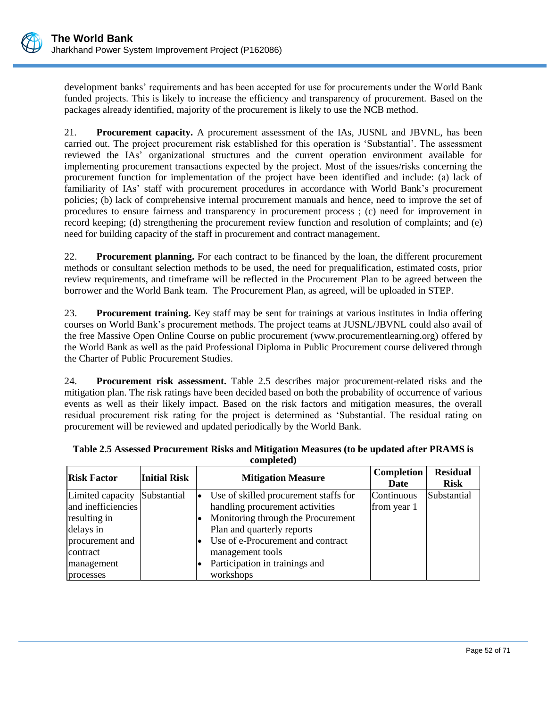

development banks' requirements and has been accepted for use for procurements under the World Bank funded projects. This is likely to increase the efficiency and transparency of procurement. Based on the packages already identified, majority of the procurement is likely to use the NCB method.

21. **Procurement capacity.** A procurement assessment of the IAs, JUSNL and JBVNL, has been carried out. The project procurement risk established for this operation is 'Substantial'. The assessment reviewed the IAs' organizational structures and the current operation environment available for implementing procurement transactions expected by the project. Most of the issues/risks concerning the procurement function for implementation of the project have been identified and include: (a) lack of familiarity of IAs' staff with procurement procedures in accordance with World Bank's procurement policies; (b) lack of comprehensive internal procurement manuals and hence, need to improve the set of procedures to ensure fairness and transparency in procurement process ; (c) need for improvement in record keeping; (d) strengthening the procurement review function and resolution of complaints; and (e) need for building capacity of the staff in procurement and contract management.

22. **Procurement planning.** For each contract to be financed by the loan, the different procurement methods or consultant selection methods to be used, the need for prequalification, estimated costs, prior review requirements, and timeframe will be reflected in the Procurement Plan to be agreed between the borrower and the World Bank team. The Procurement Plan, as agreed, will be uploaded in STEP.

23. **Procurement training.** Key staff may be sent for trainings at various institutes in India offering courses on World Bank's procurement methods. The project teams at JUSNL/JBVNL could also avail of the free Massive Open Online Course on public procurement [\(www.procurementlearning.org\)](http://www.procurementlearning.org/) offered by the World Bank as well as the paid Professional Diploma in Public Procurement course delivered through the Charter of Public Procurement Studies.

24. **Procurement risk assessment.** Table 2.5 describes major procurement-related risks and the mitigation plan. The risk ratings have been decided based on both the probability of occurrence of various events as well as their likely impact. Based on the risk factors and mitigation measures, the overall residual procurement risk rating for the project is determined as 'Substantial. The residual rating on procurement will be reviewed and updated periodically by the World Bank.

| <b>Risk Factor</b> | <b>Initial Risk</b> |    | <b>Mitigation Measure</b>             | Completion<br>Date | <b>Residual</b><br><b>Risk</b> |
|--------------------|---------------------|----|---------------------------------------|--------------------|--------------------------------|
| Limited capacity   | Substantial         | lo | Use of skilled procurement staffs for | Continuous         | Substantial                    |
| and inefficiencies |                     |    | handling procurement activities       | from year 1        |                                |
| resulting in       |                     |    | Monitoring through the Procurement    |                    |                                |
| delays in          |                     |    | Plan and quarterly reports            |                    |                                |
| procurement and    |                     |    | Use of e-Procurement and contract     |                    |                                |
| contract           |                     |    | management tools                      |                    |                                |
| management         |                     |    | Participation in trainings and        |                    |                                |
| processes          |                     |    | workshops                             |                    |                                |

| Table 2.5 Assessed Procurement Risks and Mitigation Measures (to be updated after PRAMS is |
|--------------------------------------------------------------------------------------------|
| completed)                                                                                 |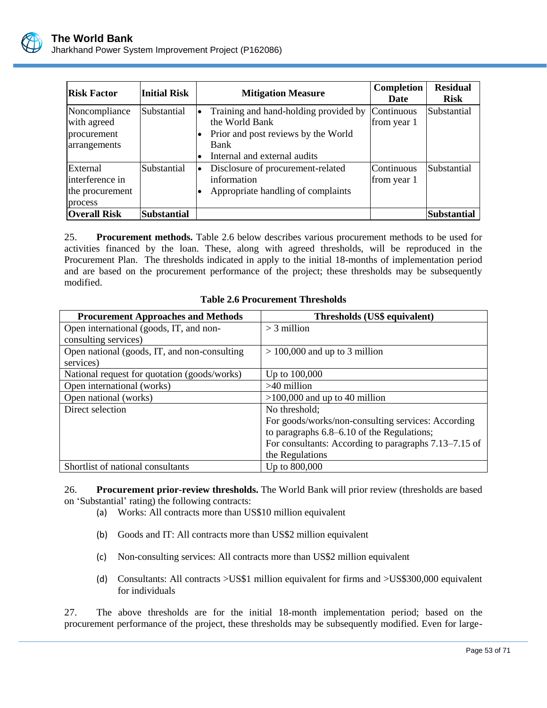

| <b>Risk Factor</b>                                          | <b>Initial Risk</b> | <b>Mitigation Measure</b>                                                                                                                    | Completion<br>Date        | <b>Residual</b><br><b>Risk</b> |
|-------------------------------------------------------------|---------------------|----------------------------------------------------------------------------------------------------------------------------------------------|---------------------------|--------------------------------|
| Noncompliance<br>with agreed<br>procurement<br>arrangements | Substantial         | Training and hand-holding provided by<br>le<br>the World Bank<br>Prior and post reviews by the World<br>Bank<br>Internal and external audits | Continuous<br>from year 1 | Substantial                    |
| External<br>interference in<br>the procurement<br>process   | Substantial         | Disclosure of procurement-related<br>information<br>Appropriate handling of complaints                                                       | Continuous<br>from year 1 | Substantial                    |
| <b>Overall Risk</b>                                         | <b>Substantial</b>  |                                                                                                                                              |                           | <b>Substantial</b>             |

25. **Procurement methods.** Table 2.6 below describes various procurement methods to be used for activities financed by the loan. These, along with agreed thresholds, will be reproduced in the Procurement Plan. The thresholds indicated in apply to the initial 18-months of implementation period and are based on the procurement performance of the project; these thresholds may be subsequently modified.

|  | <b>Table 2.6 Procurement Thresholds</b> |  |
|--|-----------------------------------------|--|
|--|-----------------------------------------|--|

| <b>Procurement Approaches and Methods</b>     | Thresholds (US\$ equivalent)                          |
|-----------------------------------------------|-------------------------------------------------------|
| Open international (goods, IT, and non-       | $>$ 3 million                                         |
| consulting services)                          |                                                       |
| Open national (goods, IT, and non-consulting) | $> 100,000$ and up to 3 million                       |
| services)                                     |                                                       |
| National request for quotation (goods/works)  | Up to 100,000                                         |
| Open international (works)                    | $>40$ million                                         |
| Open national (works)                         | $>100,000$ and up to 40 million                       |
| Direct selection                              | No threshold;                                         |
|                                               | For goods/works/non-consulting services: According    |
|                                               | to paragraphs 6.8–6.10 of the Regulations;            |
|                                               | For consultants: According to paragraphs 7.13–7.15 of |
|                                               | the Regulations                                       |
| Shortlist of national consultants             | Up to 800,000                                         |

26. **Procurement prior-review thresholds.** The World Bank will prior review (thresholds are based on 'Substantial' rating) the following contracts:

- (a) Works: All contracts more than US\$10 million equivalent
- (b) Goods and IT: All contracts more than US\$2 million equivalent
- (c) Non-consulting services: All contracts more than US\$2 million equivalent
- (d) Consultants: All contracts >US\$1 million equivalent for firms and >US\$300,000 equivalent for individuals

27. The above thresholds are for the initial 18-month implementation period; based on the procurement performance of the project, these thresholds may be subsequently modified. Even for large-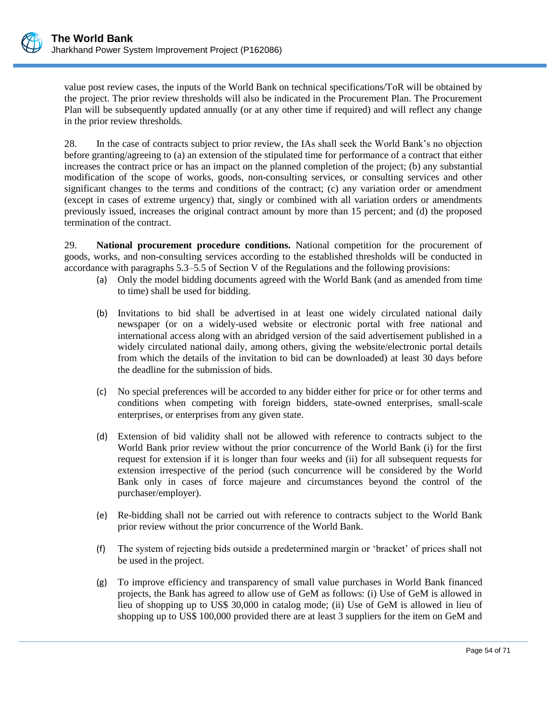value post review cases, the inputs of the World Bank on technical specifications/ToR will be obtained by the project. The prior review thresholds will also be indicated in the Procurement Plan. The Procurement Plan will be subsequently updated annually (or at any other time if required) and will reflect any change in the prior review thresholds.

28. In the case of contracts subject to prior review, the IAs shall seek the World Bank's no objection before granting/agreeing to (a) an extension of the stipulated time for performance of a contract that either increases the contract price or has an impact on the planned completion of the project; (b) any substantial modification of the scope of works, goods, non-consulting services, or consulting services and other significant changes to the terms and conditions of the contract; (c) any variation order or amendment (except in cases of extreme urgency) that, singly or combined with all variation orders or amendments previously issued, increases the original contract amount by more than 15 percent; and (d) the proposed termination of the contract.

29. **National procurement procedure conditions.** National competition for the procurement of goods, works, and non-consulting services according to the established thresholds will be conducted in accordance with paragraphs 5.3–5.5 of Section V of the Regulations and the following provisions:

- (a) Only the model bidding documents agreed with the World Bank (and as amended from time to time) shall be used for bidding.
- (b) Invitations to bid shall be advertised in at least one widely circulated national daily newspaper (or on a widely-used website or electronic portal with free national and international access along with an abridged version of the said advertisement published in a widely circulated national daily, among others, giving the website/electronic portal details from which the details of the invitation to bid can be downloaded) at least 30 days before the deadline for the submission of bids.
- (c) No special preferences will be accorded to any bidder either for price or for other terms and conditions when competing with foreign bidders, state-owned enterprises, small-scale enterprises, or enterprises from any given state.
- (d) Extension of bid validity shall not be allowed with reference to contracts subject to the World Bank prior review without the prior concurrence of the World Bank (i) for the first request for extension if it is longer than four weeks and (ii) for all subsequent requests for extension irrespective of the period (such concurrence will be considered by the World Bank only in cases of force majeure and circumstances beyond the control of the purchaser/employer).
- (e) Re-bidding shall not be carried out with reference to contracts subject to the World Bank prior review without the prior concurrence of the World Bank.
- (f) The system of rejecting bids outside a predetermined margin or 'bracket' of prices shall not be used in the project.
- (g) To improve efficiency and transparency of small value purchases in World Bank financed projects, the Bank has agreed to allow use of GeM as follows: (i) Use of GeM is allowed in lieu of shopping up to US\$ 30,000 in catalog mode; (ii) Use of GeM is allowed in lieu of shopping up to US\$ 100,000 provided there are at least 3 suppliers for the item on GeM and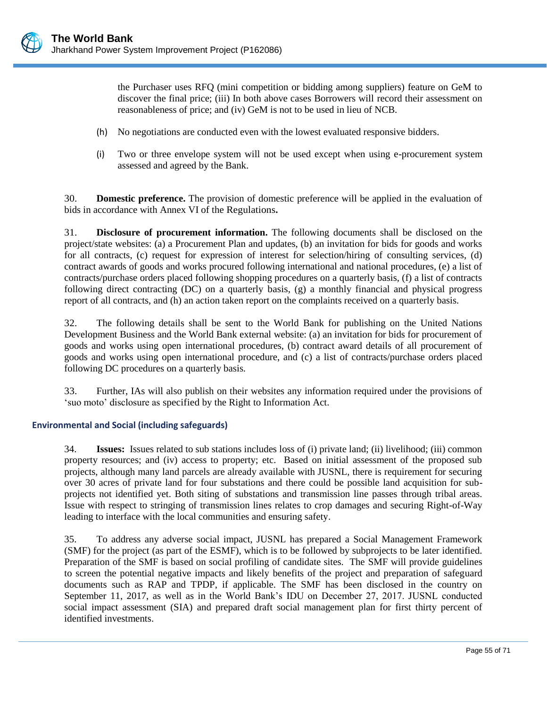the Purchaser uses RFQ (mini competition or bidding among suppliers) feature on GeM to discover the final price; (iii) In both above cases Borrowers will record their assessment on reasonableness of price; and (iv) GeM is not to be used in lieu of NCB.

- (h) No negotiations are conducted even with the lowest evaluated responsive bidders.
- (i) Two or three envelope system will not be used except when using e-procurement system assessed and agreed by the Bank.

30. **Domestic preference.** The provision of domestic preference will be applied in the evaluation of bids in accordance with Annex VI of the Regulations**.**

31. **Disclosure of procurement information.** The following documents shall be disclosed on the project/state websites: (a) a Procurement Plan and updates, (b) an invitation for bids for goods and works for all contracts, (c) request for expression of interest for selection/hiring of consulting services, (d) contract awards of goods and works procured following international and national procedures, (e) a list of contracts/purchase orders placed following shopping procedures on a quarterly basis, (f) a list of contracts following direct contracting (DC) on a quarterly basis, (g) a monthly financial and physical progress report of all contracts, and (h) an action taken report on the complaints received on a quarterly basis.

32. The following details shall be sent to the World Bank for publishing on the United Nations Development Business and the World Bank external website: (a) an invitation for bids for procurement of goods and works using open international procedures, (b) contract award details of all procurement of goods and works using open international procedure, and (c) a list of contracts/purchase orders placed following DC procedures on a quarterly basis.

33. Further, IAs will also publish on their websites any information required under the provisions of 'suo moto' disclosure as specified by the Right to Information Act.

## **Environmental and Social (including safeguards)**

34. **Issues:** Issues related to sub stations includes loss of (i) private land; (ii) livelihood; (iii) common property resources; and (iv) access to property; etc. Based on initial assessment of the proposed sub projects, although many land parcels are already available with JUSNL, there is requirement for securing over 30 acres of private land for four substations and there could be possible land acquisition for subprojects not identified yet. Both siting of substations and transmission line passes through tribal areas. Issue with respect to stringing of transmission lines relates to crop damages and securing Right-of-Way leading to interface with the local communities and ensuring safety.

35. To address any adverse social impact, JUSNL has prepared a Social Management Framework (SMF) for the project (as part of the ESMF), which is to be followed by subprojects to be later identified. Preparation of the SMF is based on social profiling of candidate sites. The SMF will provide guidelines to screen the potential negative impacts and likely benefits of the project and preparation of safeguard documents such as RAP and TPDP, if applicable. The SMF has been disclosed in the country on September 11, 2017, as well as in the World Bank's IDU on December 27, 2017. JUSNL conducted social impact assessment (SIA) and prepared draft social management plan for first thirty percent of identified investments.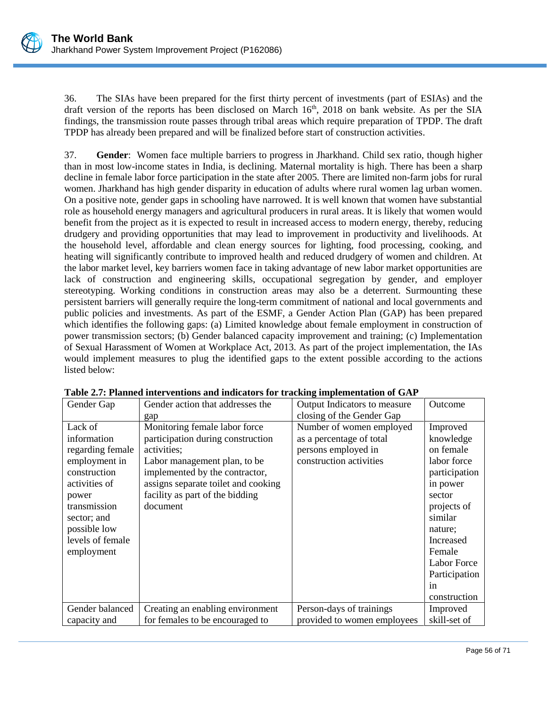

36. The SIAs have been prepared for the first thirty percent of investments (part of ESIAs) and the draft version of the reports has been disclosed on March  $16<sup>th</sup>$ , 2018 on bank website. As per the SIA findings, the transmission route passes through tribal areas which require preparation of TPDP. The draft TPDP has already been prepared and will be finalized before start of construction activities.

37. **Gender**: Women face multiple barriers to progress in Jharkhand. Child sex ratio, though higher than in most low-income states in India, is declining. Maternal mortality is high. There has been a sharp decline in female labor force participation in the state after 2005. There are limited non-farm jobs for rural women. Jharkhand has high gender disparity in education of adults where rural women lag urban women. On a positive note, gender gaps in schooling have narrowed. It is well known that women have substantial role as household energy managers and agricultural producers in rural areas. It is likely that women would benefit from the project as it is expected to result in increased access to modern energy, thereby, reducing drudgery and providing opportunities that may lead to improvement in productivity and livelihoods. At the household level, affordable and clean energy sources for lighting, food processing, cooking, and heating will significantly contribute to improved health and reduced drudgery of women and children. At the labor market level, key barriers women face in taking advantage of new labor market opportunities are lack of construction and engineering skills, occupational segregation by gender, and employer stereotyping. Working conditions in construction areas may also be a deterrent. Surmounting these persistent barriers will generally require the long-term commitment of national and local governments and public policies and investments. As part of the ESMF, a Gender Action Plan (GAP) has been prepared which identifies the following gaps: (a) Limited knowledge about female employment in construction of power transmission sectors; (b) Gender balanced capacity improvement and training; (c) Implementation of Sexual Harassment of Women at Workplace Act, 2013. As part of the project implementation, the IAs would implement measures to plug the identified gaps to the extent possible according to the actions listed below:

| Gender Gap       | Gender action that addresses the    | Output Indicators to measure | Outcome            |
|------------------|-------------------------------------|------------------------------|--------------------|
|                  | gap                                 | closing of the Gender Gap    |                    |
| Lack of          | Monitoring female labor force       | Number of women employed     | Improved           |
| information      | participation during construction   | as a percentage of total     | knowledge          |
| regarding female | activities;                         | persons employed in          | on female          |
| employment in    | Labor management plan, to be        | construction activities      | labor force        |
| construction     | implemented by the contractor,      |                              | participation      |
| activities of    | assigns separate toilet and cooking |                              | in power           |
| power            | facility as part of the bidding     |                              | sector             |
| transmission     | document                            |                              | projects of        |
| sector; and      |                                     |                              | similar            |
| possible low     |                                     |                              | nature:            |
| levels of female |                                     |                              | Increased          |
| employment       |                                     |                              | Female             |
|                  |                                     |                              | <b>Labor Force</b> |
|                  |                                     |                              | Participation      |
|                  |                                     |                              | 1n                 |
|                  |                                     |                              | construction       |
| Gender balanced  | Creating an enabling environment    | Person-days of trainings     | Improved           |
| capacity and     | for females to be encouraged to     | provided to women employees  | skill-set of       |

| Table 2.7: Planned interventions and indicators for tracking implementation of GAP |  |  |
|------------------------------------------------------------------------------------|--|--|
|------------------------------------------------------------------------------------|--|--|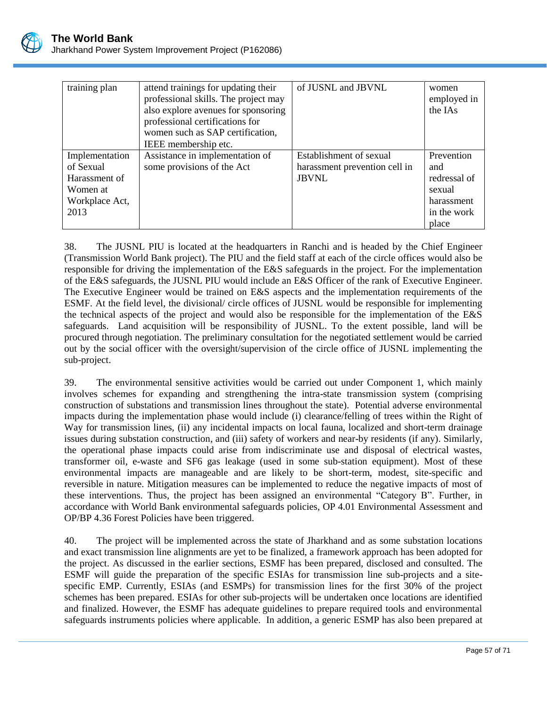

| training plan                                                                      | attend trainings for updating their<br>professional skills. The project may<br>also explore avenues for sponsoring<br>professional certifications for<br>women such as SAP certification,<br>IEEE membership etc. | of JUSNL and JBVNL                                                       | women<br>employed in<br>the IAs                                                   |
|------------------------------------------------------------------------------------|-------------------------------------------------------------------------------------------------------------------------------------------------------------------------------------------------------------------|--------------------------------------------------------------------------|-----------------------------------------------------------------------------------|
| Implementation<br>of Sexual<br>Harassment of<br>Women at<br>Workplace Act,<br>2013 | Assistance in implementation of<br>some provisions of the Act                                                                                                                                                     | Establishment of sexual<br>harassment prevention cell in<br><b>JBVNL</b> | Prevention<br>and<br>redressal of<br>sexual<br>harassment<br>in the work<br>place |

38. The JUSNL PIU is located at the headquarters in Ranchi and is headed by the Chief Engineer (Transmission World Bank project). The PIU and the field staff at each of the circle offices would also be responsible for driving the implementation of the E&S safeguards in the project. For the implementation of the E&S safeguards, the JUSNL PIU would include an E&S Officer of the rank of Executive Engineer. The Executive Engineer would be trained on E&S aspects and the implementation requirements of the ESMF. At the field level, the divisional/ circle offices of JUSNL would be responsible for implementing the technical aspects of the project and would also be responsible for the implementation of the E&S safeguards. Land acquisition will be responsibility of JUSNL. To the extent possible, land will be procured through negotiation. The preliminary consultation for the negotiated settlement would be carried out by the social officer with the oversight/supervision of the circle office of JUSNL implementing the sub-project.

39. The environmental sensitive activities would be carried out under Component 1, which mainly involves schemes for expanding and strengthening the intra-state transmission system (comprising construction of substations and transmission lines throughout the state). Potential adverse environmental impacts during the implementation phase would include (i) clearance/felling of trees within the Right of Way for transmission lines, (ii) any incidental impacts on local fauna, localized and short-term drainage issues during substation construction, and (iii) safety of workers and near-by residents (if any). Similarly, the operational phase impacts could arise from indiscriminate use and disposal of electrical wastes, transformer oil, e-waste and SF6 gas leakage (used in some sub-station equipment). Most of these environmental impacts are manageable and are likely to be short-term, modest, site-specific and reversible in nature. Mitigation measures can be implemented to reduce the negative impacts of most of these interventions. Thus, the project has been assigned an environmental "Category B". Further, in accordance with World Bank environmental safeguards policies, OP 4.01 Environmental Assessment and OP/BP 4.36 Forest Policies have been triggered.

40. The project will be implemented across the state of Jharkhand and as some substation locations and exact transmission line alignments are yet to be finalized, a framework approach has been adopted for the project. As discussed in the earlier sections, ESMF has been prepared, disclosed and consulted. The ESMF will guide the preparation of the specific ESIAs for transmission line sub-projects and a sitespecific EMP. Currently, ESIAs (and ESMPs) for transmission lines for the first 30% of the project schemes has been prepared. ESIAs for other sub-projects will be undertaken once locations are identified and finalized. However, the ESMF has adequate guidelines to prepare required tools and environmental safeguards instruments policies where applicable. In addition, a generic ESMP has also been prepared at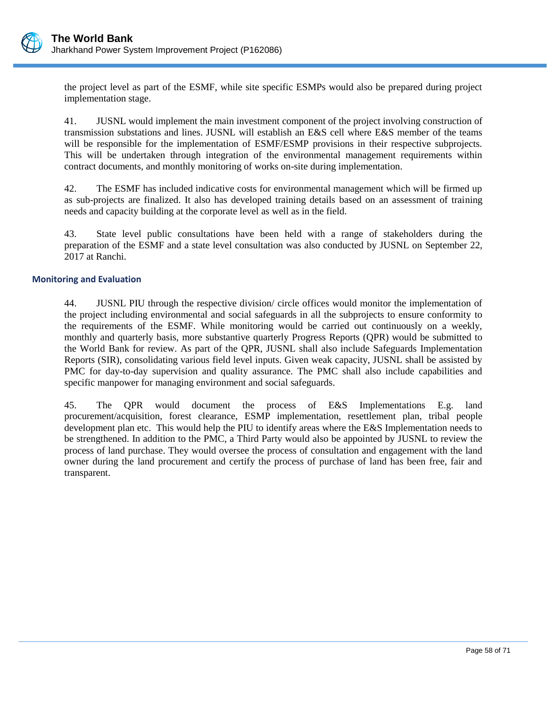

the project level as part of the ESMF, while site specific ESMPs would also be prepared during project implementation stage.

41. JUSNL would implement the main investment component of the project involving construction of transmission substations and lines. JUSNL will establish an E&S cell where E&S member of the teams will be responsible for the implementation of ESMF/ESMP provisions in their respective subprojects. This will be undertaken through integration of the environmental management requirements within contract documents, and monthly monitoring of works on-site during implementation.

42. The ESMF has included indicative costs for environmental management which will be firmed up as sub-projects are finalized. It also has developed training details based on an assessment of training needs and capacity building at the corporate level as well as in the field.

43. State level public consultations have been held with a range of stakeholders during the preparation of the ESMF and a state level consultation was also conducted by JUSNL on September 22, 2017 at Ranchi.

## **Monitoring and Evaluation**

44. JUSNL PIU through the respective division/ circle offices would monitor the implementation of the project including environmental and social safeguards in all the subprojects to ensure conformity to the requirements of the ESMF. While monitoring would be carried out continuously on a weekly, monthly and quarterly basis, more substantive quarterly Progress Reports (QPR) would be submitted to the World Bank for review. As part of the QPR, JUSNL shall also include Safeguards Implementation Reports (SIR), consolidating various field level inputs. Given weak capacity, JUSNL shall be assisted by PMC for day-to-day supervision and quality assurance. The PMC shall also include capabilities and specific manpower for managing environment and social safeguards.

45. The QPR would document the process of E&S Implementations E.g. land procurement/acquisition, forest clearance, ESMP implementation, resettlement plan, tribal people development plan etc. This would help the PIU to identify areas where the E&S Implementation needs to be strengthened. In addition to the PMC, a Third Party would also be appointed by JUSNL to review the process of land purchase. They would oversee the process of consultation and engagement with the land owner during the land procurement and certify the process of purchase of land has been free, fair and transparent.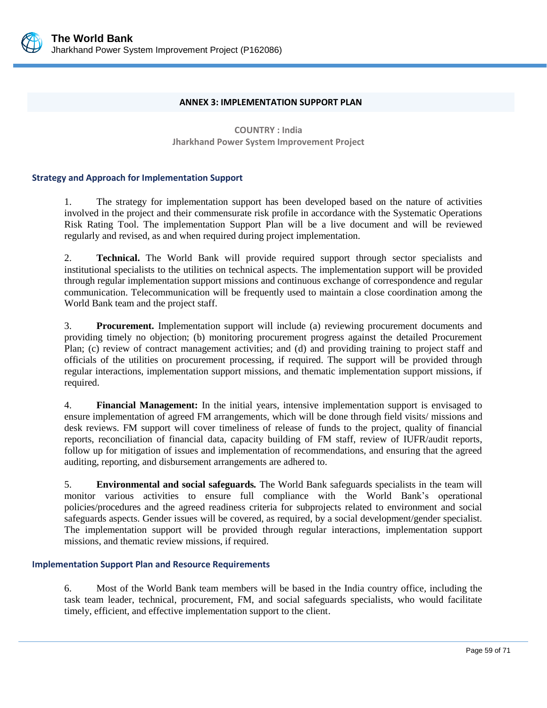#### **ANNEX 3: IMPLEMENTATION SUPPORT PLAN**

**COUNTRY : India Jharkhand Power System Improvement Project**

### **Strategy and Approach for Implementation Support**

1. The strategy for implementation support has been developed based on the nature of activities involved in the project and their commensurate risk profile in accordance with the Systematic Operations Risk Rating Tool. The implementation Support Plan will be a live document and will be reviewed regularly and revised, as and when required during project implementation.

2. **Technical.** The World Bank will provide required support through sector specialists and institutional specialists to the utilities on technical aspects. The implementation support will be provided through regular implementation support missions and continuous exchange of correspondence and regular communication. Telecommunication will be frequently used to maintain a close coordination among the World Bank team and the project staff.

3. **Procurement.** Implementation support will include (a) reviewing procurement documents and providing timely no objection; (b) monitoring procurement progress against the detailed Procurement Plan; (c) review of contract management activities; and (d) and providing training to project staff and officials of the utilities on procurement processing, if required. The support will be provided through regular interactions, implementation support missions, and thematic implementation support missions, if required.

4. **Financial Management:** In the initial years, intensive implementation support is envisaged to ensure implementation of agreed FM arrangements, which will be done through field visits/ missions and desk reviews. FM support will cover timeliness of release of funds to the project, quality of financial reports, reconciliation of financial data, capacity building of FM staff, review of IUFR/audit reports, follow up for mitigation of issues and implementation of recommendations, and ensuring that the agreed auditing, reporting, and disbursement arrangements are adhered to.

5. **Environmental and social safeguards***.* The World Bank safeguards specialists in the team will monitor various activities to ensure full compliance with the World Bank's operational policies/procedures and the agreed readiness criteria for subprojects related to environment and social safeguards aspects. Gender issues will be covered, as required, by a social development/gender specialist. The implementation support will be provided through regular interactions, implementation support missions, and thematic review missions, if required.

#### **Implementation Support Plan and Resource Requirements**

6. Most of the World Bank team members will be based in the India country office, including the task team leader, technical, procurement, FM, and social safeguards specialists, who would facilitate timely, efficient, and effective implementation support to the client.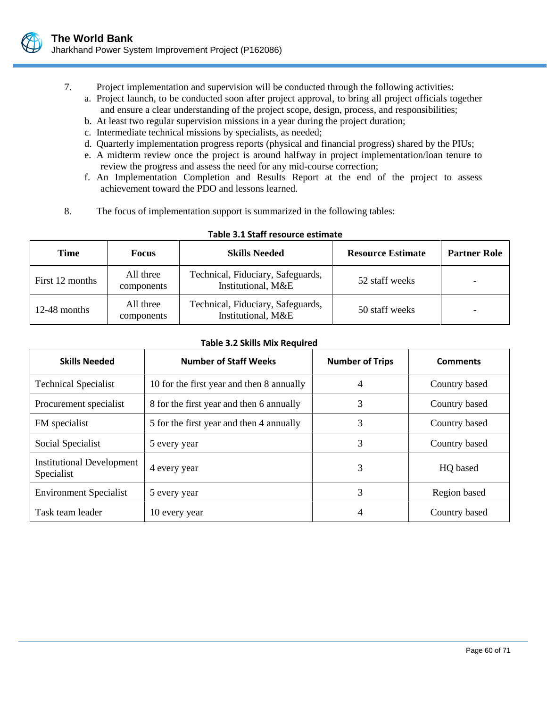

- 7. Project implementation and supervision will be conducted through the following activities:
	- a. Project launch, to be conducted soon after project approval, to bring all project officials together and ensure a clear understanding of the project scope, design, process, and responsibilities;
	- b. At least two regular supervision missions in a year during the project duration;
	- c. Intermediate technical missions by specialists, as needed;
	- d. Quarterly implementation progress reports (physical and financial progress) shared by the PIUs;
	- e. A midterm review once the project is around halfway in project implementation/loan tenure to review the progress and assess the need for any mid-course correction;
	- f. An Implementation Completion and Results Report at the end of the project to assess achievement toward the PDO and lessons learned.
- 8. The focus of implementation support is summarized in the following tables:

| Time            | <b>Focus</b>            | <b>Skills Needed</b>                                    | <b>Resource Estimate</b> | <b>Partner Role</b> |
|-----------------|-------------------------|---------------------------------------------------------|--------------------------|---------------------|
| First 12 months | All three<br>components | Technical, Fiduciary, Safeguards,<br>Institutional, M&E | 52 staff weeks           | -                   |
| $12-48$ months  | All three<br>components | Technical, Fiduciary, Safeguards,<br>Institutional, M&E | 50 staff weeks           | -                   |

### **Table 3.1 Staff resource estimate**

## **Table 3.2 Skills Mix Required**

| <b>Skills Needed</b>                           | <b>Number of Staff Weeks</b>              | <b>Number of Trips</b> | <b>Comments</b> |
|------------------------------------------------|-------------------------------------------|------------------------|-----------------|
| <b>Technical Specialist</b>                    | 10 for the first year and then 8 annually | 4                      | Country based   |
| Procurement specialist                         | 8 for the first year and then 6 annually  | 3                      | Country based   |
| FM specialist                                  | 5 for the first year and then 4 annually  | 3                      | Country based   |
| Social Specialist                              | 5 every year                              | 3                      | Country based   |
| <b>Institutional Development</b><br>Specialist | 4 every year                              | 3                      | HQ based        |
| <b>Environment Specialist</b>                  | 5 every year                              | 3                      | Region based    |
| Task team leader                               | 10 every year                             | 4                      | Country based   |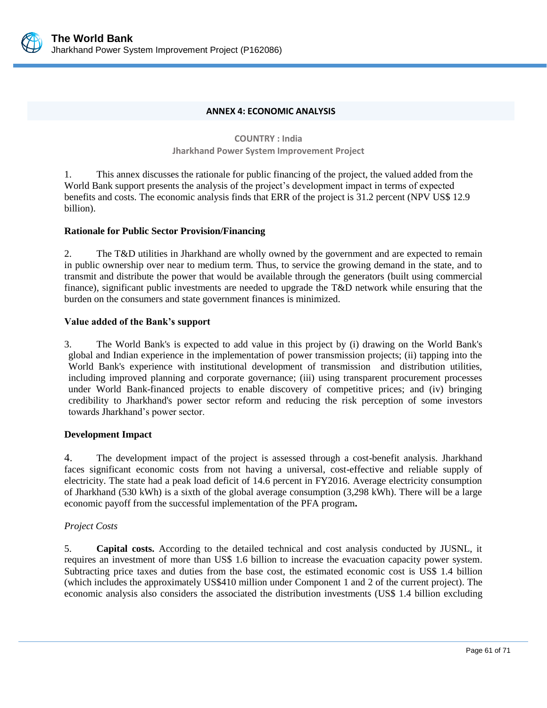#### **ANNEX 4: ECONOMIC ANALYSIS**

**COUNTRY : India Jharkhand Power System Improvement Project**

1. This annex discusses the rationale for public financing of the project, the valued added from the World Bank support presents the analysis of the project's development impact in terms of expected benefits and costs. The economic analysis finds that ERR of the project is 31.2 percent (NPV US\$ 12.9 billion).

# **Rationale for Public Sector Provision/Financing**

2. The T&D utilities in Jharkhand are wholly owned by the government and are expected to remain in public ownership over near to medium term. Thus, to service the growing demand in the state, and to transmit and distribute the power that would be available through the generators (built using commercial finance), significant public investments are needed to upgrade the T&D network while ensuring that the burden on the consumers and state government finances is minimized.

## **Value added of the Bank's support**

3. The World Bank's is expected to add value in this project by (i) drawing on the World Bank's global and Indian experience in the implementation of power transmission projects; (ii) tapping into the World Bank's experience with institutional development of transmission and distribution utilities, including improved planning and corporate governance; (iii) using transparent procurement processes under World Bank-financed projects to enable discovery of competitive prices; and (iv) bringing credibility to Jharkhand's power sector reform and reducing the risk perception of some investors towards Jharkhand's power sector.

## **Development Impact**

4. The development impact of the project is assessed through a cost-benefit analysis. Jharkhand faces significant economic costs from not having a universal, cost-effective and reliable supply of electricity. The state had a peak load deficit of 14.6 percent in FY2016. Average electricity consumption of Jharkhand (530 kWh) is a sixth of the global average consumption (3,298 kWh). There will be a large economic payoff from the successful implementation of the PFA program**.**

## *Project Costs*

5. **Capital costs.** According to the detailed technical and cost analysis conducted by JUSNL, it requires an investment of more than US\$ 1.6 billion to increase the evacuation capacity power system. Subtracting price taxes and duties from the base cost, the estimated economic cost is US\$ 1.4 billion (which includes the approximately US\$410 million under Component 1 and 2 of the current project). The economic analysis also considers the associated the distribution investments (US\$ 1.4 billion excluding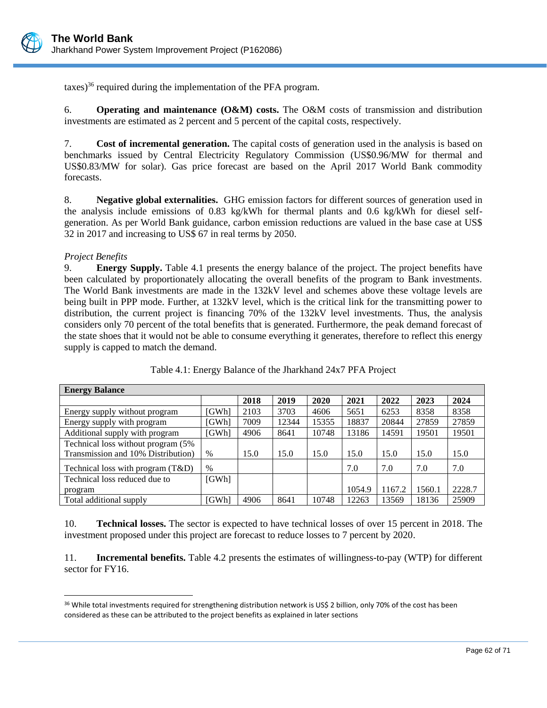

taxes) $36$  required during the implementation of the PFA program.

6. **Operating and maintenance (O&M) costs.** The O&M costs of transmission and distribution investments are estimated as 2 percent and 5 percent of the capital costs, respectively.

7. **Cost of incremental generation.** The capital costs of generation used in the analysis is based on benchmarks issued by Central Electricity Regulatory Commission (US\$0.96/MW for thermal and US\$0.83/MW for solar). Gas price forecast are based on the April 2017 World Bank commodity forecasts.

8. **Negative global externalities.** GHG emission factors for different sources of generation used in the analysis include emissions of 0.83 kg/kWh for thermal plants and 0.6 kg/kWh for diesel selfgeneration. As per World Bank guidance, carbon emission reductions are valued in the base case at US\$ 32 in 2017 and increasing to US\$ 67 in real terms by 2050.

# *Project Benefits*

9. **Energy Supply.** Table 4.1 presents the energy balance of the project. The project benefits have been calculated by proportionately allocating the overall benefits of the program to Bank investments. The World Bank investments are made in the 132kV level and schemes above these voltage levels are being built in PPP mode. Further, at 132kV level, which is the critical link for the transmitting power to distribution, the current project is financing 70% of the 132kV level investments. Thus, the analysis considers only 70 percent of the total benefits that is generated. Furthermore, the peak demand forecast of the state shoes that it would not be able to consume everything it generates, therefore to reflect this energy supply is capped to match the demand.

| <b>Energy Balance</b>               |       |      |       |       |        |        |        |        |
|-------------------------------------|-------|------|-------|-------|--------|--------|--------|--------|
|                                     |       | 2018 | 2019  | 2020  | 2021   | 2022   | 2023   | 2024   |
| Energy supply without program       | [GWh] | 2103 | 3703  | 4606  | 5651   | 6253   | 8358   | 8358   |
| Energy supply with program          | [GWh] | 7009 | 12344 | 15355 | 18837  | 20844  | 27859  | 27859  |
| Additional supply with program      | [GWh] | 4906 | 8641  | 10748 | 13186  | 14591  | 19501  | 19501  |
| Technical loss without program (5%) |       |      |       |       |        |        |        |        |
| Transmission and 10% Distribution)  | $\%$  | 15.0 | 15.0  | 15.0  | 15.0   | 15.0   | 15.0   | 15.0   |
| Technical loss with program $(T&D)$ | $\%$  |      |       |       | 7.0    | 7.0    | 7.0    | 7.0    |
| Technical loss reduced due to       | [GWh] |      |       |       |        |        |        |        |
| program                             |       |      |       |       | 1054.9 | 1167.2 | 1560.1 | 2228.7 |
| Total additional supply             | [GWh] | 4906 | 8641  | 10748 | 12263  | 13569  | 18136  | 25909  |

# Table 4.1: Energy Balance of the Jharkhand 24x7 PFA Project

10. **Technical losses.** The sector is expected to have technical losses of over 15 percent in 2018. The investment proposed under this project are forecast to reduce losses to 7 percent by 2020.

11. **Incremental benefits.** Table 4.2 presents the estimates of willingness-to-pay (WTP) for different sector for FY16.

 $\overline{a}$ <sup>36</sup> While total investments required for strengthening distribution network is US\$ 2 billion, only 70% of the cost has been considered as these can be attributed to the project benefits as explained in later sections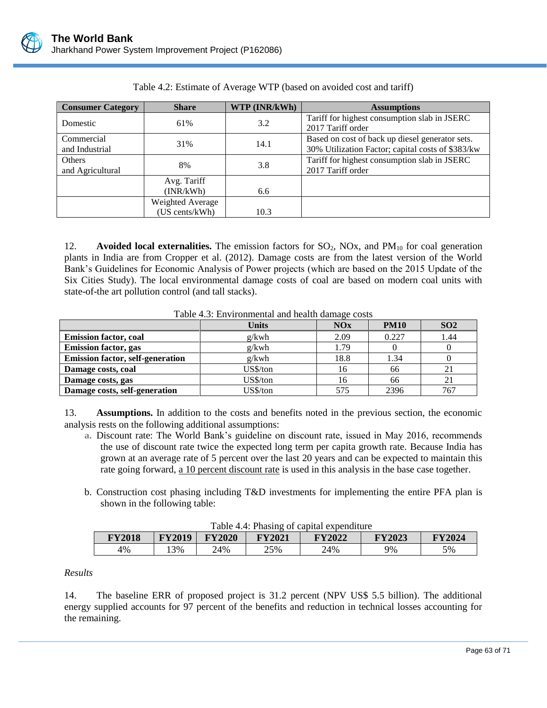

| <b>Consumer Category</b>          | <b>Share</b>                       | WTP (INR/kWh) | <b>Assumptions</b>                                                                                   |
|-----------------------------------|------------------------------------|---------------|------------------------------------------------------------------------------------------------------|
| Domestic                          | 61%                                | 3.2           | Tariff for highest consumption slab in JSERC<br>2017 Tariff order                                    |
| Commercial<br>and Industrial      | 31%                                | 14.1          | Based on cost of back up diesel generator sets.<br>30% Utilization Factor; capital costs of \$383/kw |
| <b>Others</b><br>and Agricultural | 8%                                 | 3.8           | Tariff for highest consumption slab in JSERC<br>2017 Tariff order                                    |
|                                   | Avg. Tariff<br>(INR/kWh)           | 6.6           |                                                                                                      |
|                                   | Weighted Average<br>(US cents/kWh) | 10.3          |                                                                                                      |

| Table 4.2: Estimate of Average WTP (based on avoided cost and tariff) |  |  |
|-----------------------------------------------------------------------|--|--|
|                                                                       |  |  |
|                                                                       |  |  |

12. **Avoided local externalities.** The emission factors for SO<sub>2</sub>, NOx, and PM<sub>10</sub> for coal generation plants in India are from Cropper et al. (2012). Damage costs are from the latest version of the World Bank's Guidelines for Economic Analysis of Power projects (which are based on the 2015 Update of the Six Cities Study). The local environmental damage costs of coal are based on modern coal units with state-of-the art pollution control (and tall stacks).

| Table 4.9. Environmental and health damage costs |              |      |             |                 |
|--------------------------------------------------|--------------|------|-------------|-----------------|
|                                                  | <b>Units</b> | NOx  | <b>PM10</b> | SO <sub>2</sub> |
| <b>Emission factor, coal</b>                     | g/kwh        | 2.09 | 0.227       | 1.44            |
| <b>Emission factor, gas</b>                      | g/kwh        | 1.79 |             |                 |
| <b>Emission factor, self-generation</b>          | g/kwh        | 18.8 | 1.34        |                 |
| Damage costs, coal                               | US\$/ton     | 16   | 66          | 21              |
| Damage costs, gas                                | US\$/ton     | 16   | 66          |                 |
| Damage costs, self-generation                    | US\$/ton     | 575  | 2396        | 767             |

Table 4.3: Environmental and health damage costs

13. **Assumptions.** In addition to the costs and benefits noted in the previous section, the economic analysis rests on the following additional assumptions:

- **a.** Discount rate: The World Bank's guideline on discount rate, issued in May 2016, recommends the use of discount rate twice the expected long term per capita growth rate. Because India has grown at an average rate of 5 percent over the last 20 years and can be expected to maintain this rate going forward, a 10 percent discount rate is used in this analysis in the base case together.
- b. Construction cost phasing including T&D investments for implementing the entire PFA plan is shown in the following table:

| Table 4.4. Filashig of Cabital experienting |               |        |               |               |        |               |
|---------------------------------------------|---------------|--------|---------------|---------------|--------|---------------|
| <b>FY2018</b>                               | <b>FY2019</b> | FY2020 | <b>FY2021</b> | <b>FY2022</b> | FY2023 | <b>FY2024</b> |
| 4%                                          | 3%            | 24%    | 25%           | 24%           | 9%     | 5%            |

 $Table 4.4: **Phasing of capital** expand it$ 

# *Results*

14. The baseline ERR of proposed project is 31.2 percent (NPV US\$ 5.5 billion). The additional energy supplied accounts for 97 percent of the benefits and reduction in technical losses accounting for the remaining.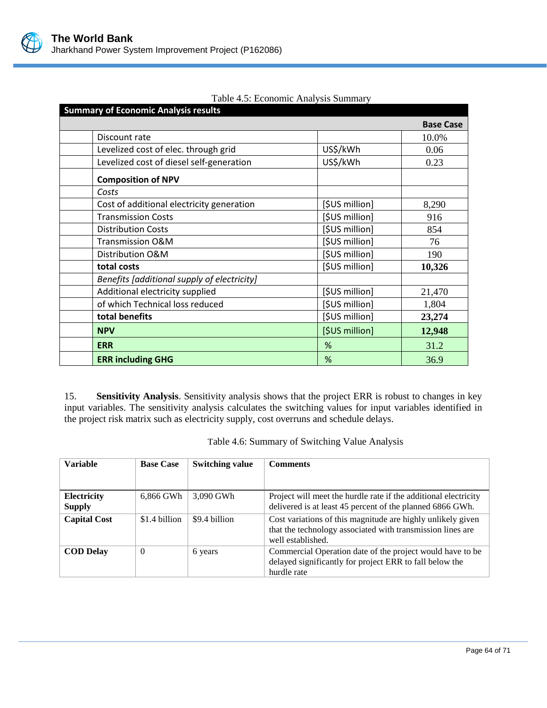

| <b>Summary of Economic Analysis results</b> |                |                  |
|---------------------------------------------|----------------|------------------|
|                                             |                | <b>Base Case</b> |
| Discount rate                               |                | 10.0%            |
| Levelized cost of elec. through grid        | US\$/kWh       | 0.06             |
| Levelized cost of diesel self-generation    | US\$/kWh       | 0.23             |
| <b>Composition of NPV</b>                   |                |                  |
| Costs                                       |                |                  |
| Cost of additional electricity generation   | [\$US million] | 8,290            |
| <b>Transmission Costs</b>                   | [\$US million] | 916              |
| <b>Distribution Costs</b>                   | [\$US million] | 854              |
| <b>Transmission O&amp;M</b>                 | [\$US million] | 76               |
| Distribution O&M                            | [\$US million] | 190              |
| total costs                                 | [\$US million] | 10,326           |
| Benefits [additional supply of electricity] |                |                  |
| Additional electricity supplied             | [\$US million] | 21,470           |
| of which Technical loss reduced             | [\$US million] | 1,804            |
| total benefits                              | [\$US million] | 23,274           |
| <b>NPV</b>                                  | [\$US million] | 12,948           |
| <b>ERR</b>                                  | %              | 31.2             |
| <b>ERR including GHG</b>                    | %              | 36.9             |

| Table 4.5: Economic Analysis Summary |
|--------------------------------------|
|--------------------------------------|

15. **Sensitivity Analysis**. Sensitivity analysis shows that the project ERR is robust to changes in key input variables. The sensitivity analysis calculates the switching values for input variables identified in the project risk matrix such as electricity supply, cost overruns and schedule delays.

| <b>Variable</b>                     | <b>Base Case</b> | <b>Switching value</b> | <b>Comments</b>                                                                                                                                |
|-------------------------------------|------------------|------------------------|------------------------------------------------------------------------------------------------------------------------------------------------|
| <b>Electricity</b><br><b>Supply</b> | 6,866 GWh        | 3,090 GWh              | Project will meet the hurdle rate if the additional electricity<br>delivered is at least 45 percent of the planned 6866 GWh.                   |
| <b>Capital Cost</b>                 | \$1.4 billion    | \$9.4 billion          | Cost variations of this magnitude are highly unlikely given<br>that the technology associated with transmission lines are<br>well established. |
| <b>COD Delay</b>                    | $\theta$         | 6 years                | Commercial Operation date of the project would have to be<br>delayed significantly for project ERR to fall below the<br>hurdle rate            |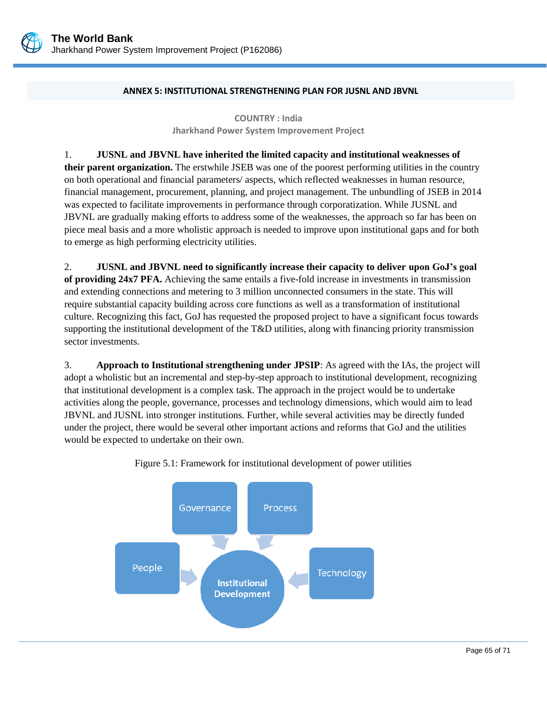

## **ANNEX 5: INSTITUTIONAL STRENGTHENING PLAN FOR JUSNL AND JBVNL**

**COUNTRY : India Jharkhand Power System Improvement Project**

1. **JUSNL and JBVNL have inherited the limited capacity and institutional weaknesses of their parent organization.** The erstwhile JSEB was one of the poorest performing utilities in the country on both operational and financial parameters/ aspects, which reflected weaknesses in human resource, financial management, procurement, planning, and project management. The unbundling of JSEB in 2014 was expected to facilitate improvements in performance through corporatization. While JUSNL and JBVNL are gradually making efforts to address some of the weaknesses, the approach so far has been on piece meal basis and a more wholistic approach is needed to improve upon institutional gaps and for both to emerge as high performing electricity utilities.

2. **JUSNL and JBVNL need to significantly increase their capacity to deliver upon GoJ's goal of providing 24x7 PFA.** Achieving the same entails a five-fold increase in investments in transmission and extending connections and metering to 3 million unconnected consumers in the state. This will require substantial capacity building across core functions as well as a transformation of institutional culture. Recognizing this fact, GoJ has requested the proposed project to have a significant focus towards supporting the institutional development of the T&D utilities, along with financing priority transmission sector investments.

3. **Approach to Institutional strengthening under JPSIP**: As agreed with the IAs, the project will adopt a wholistic but an incremental and step-by-step approach to institutional development, recognizing that institutional development is a complex task. The approach in the project would be to undertake activities along the people, governance, processes and technology dimensions, which would aim to lead JBVNL and JUSNL into stronger institutions. Further, while several activities may be directly funded under the project, there would be several other important actions and reforms that GoJ and the utilities would be expected to undertake on their own.



Figure 5.1: Framework for institutional development of power utilities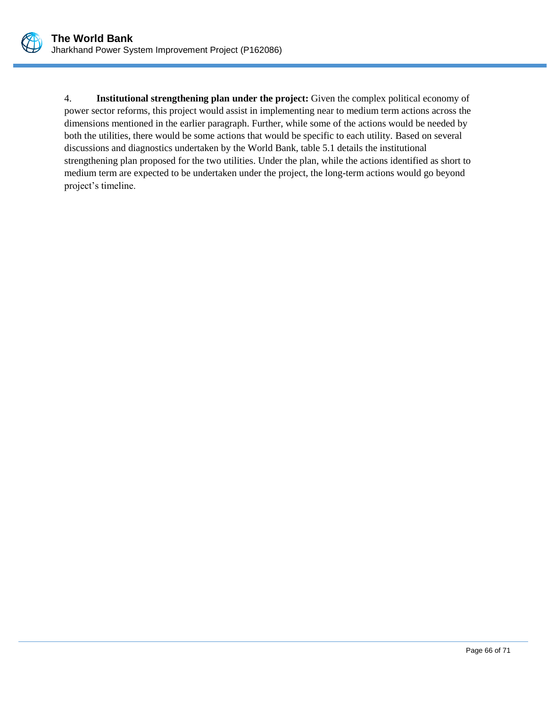

4. **Institutional strengthening plan under the project:** Given the complex political economy of power sector reforms, this project would assist in implementing near to medium term actions across the dimensions mentioned in the earlier paragraph. Further, while some of the actions would be needed by both the utilities, there would be some actions that would be specific to each utility. Based on several discussions and diagnostics undertaken by the World Bank, table 5.1 details the institutional strengthening plan proposed for the two utilities. Under the plan, while the actions identified as short to medium term are expected to be undertaken under the project, the long-term actions would go beyond project's timeline.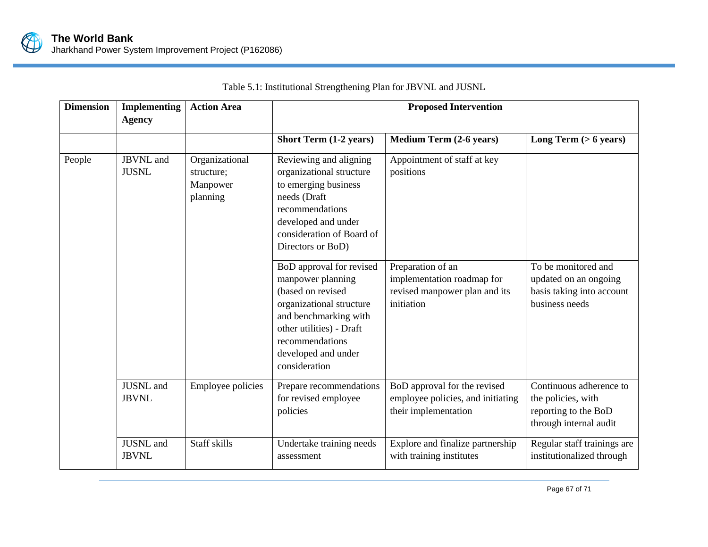

| <b>Dimension</b> | <b>Implementing</b><br><b>Agency</b> | <b>Action Area</b>                                   | <b>Proposed Intervention</b>                                                                                                                                                                                   |                                                                                                |                                                                                                 |  |
|------------------|--------------------------------------|------------------------------------------------------|----------------------------------------------------------------------------------------------------------------------------------------------------------------------------------------------------------------|------------------------------------------------------------------------------------------------|-------------------------------------------------------------------------------------------------|--|
|                  |                                      |                                                      | <b>Short Term (1-2 years)</b>                                                                                                                                                                                  | <b>Medium Term (2-6 years)</b>                                                                 | Long Term $(> 6$ years)                                                                         |  |
| People           | JBVNL and<br><b>JUSNL</b>            | Organizational<br>structure;<br>Manpower<br>planning | Reviewing and aligning<br>organizational structure<br>to emerging business<br>needs (Draft<br>recommendations<br>developed and under<br>consideration of Board of<br>Directors or BoD)                         | Appointment of staff at key<br>positions                                                       |                                                                                                 |  |
|                  |                                      |                                                      | BoD approval for revised<br>manpower planning<br>(based on revised<br>organizational structure<br>and benchmarking with<br>other utilities) - Draft<br>recommendations<br>developed and under<br>consideration | Preparation of an<br>implementation roadmap for<br>revised manpower plan and its<br>initiation | To be monitored and<br>updated on an ongoing<br>basis taking into account<br>business needs     |  |
|                  | <b>JUSNL</b> and<br><b>JBVNL</b>     | Employee policies                                    | Prepare recommendations<br>for revised employee<br>policies                                                                                                                                                    | BoD approval for the revised<br>employee policies, and initiating<br>their implementation      | Continuous adherence to<br>the policies, with<br>reporting to the BoD<br>through internal audit |  |
|                  | <b>JUSNL</b> and<br><b>JBVNL</b>     | Staff skills                                         | Undertake training needs<br>assessment                                                                                                                                                                         | Explore and finalize partnership<br>with training institutes                                   | Regular staff trainings are<br>institutionalized through                                        |  |

Table 5.1: Institutional Strengthening Plan for JBVNL and JUSNL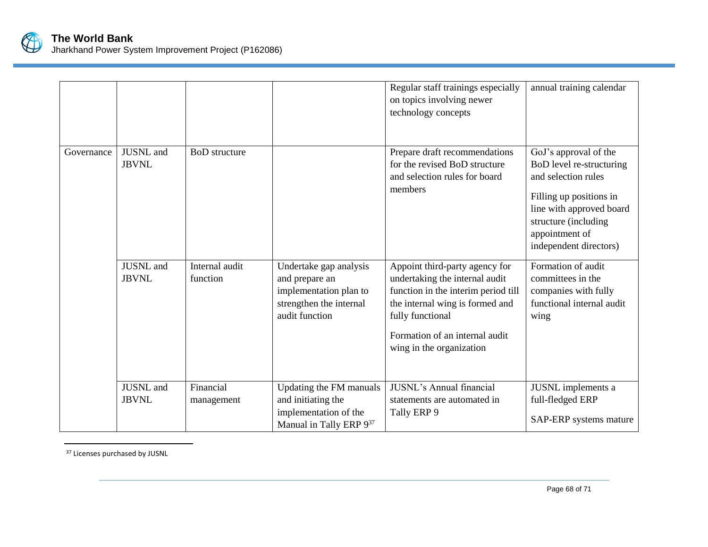

|            |                                  |                            |                                                                                                                 | Regular staff trainings especially<br>on topics involving newer<br>technology concepts                                                                                                                                       | annual training calendar                                                                                                                                                                            |
|------------|----------------------------------|----------------------------|-----------------------------------------------------------------------------------------------------------------|------------------------------------------------------------------------------------------------------------------------------------------------------------------------------------------------------------------------------|-----------------------------------------------------------------------------------------------------------------------------------------------------------------------------------------------------|
| Governance | <b>JUSNL</b> and<br><b>JBVNL</b> | <b>BoD</b> structure       |                                                                                                                 | Prepare draft recommendations<br>for the revised BoD structure<br>and selection rules for board<br>members                                                                                                                   | GoJ's approval of the<br>BoD level re-structuring<br>and selection rules<br>Filling up positions in<br>line with approved board<br>structure (including<br>appointment of<br>independent directors) |
|            | <b>JUSNL</b> and<br><b>JBVNL</b> | Internal audit<br>function | Undertake gap analysis<br>and prepare an<br>implementation plan to<br>strengthen the internal<br>audit function | Appoint third-party agency for<br>undertaking the internal audit<br>function in the interim period till<br>the internal wing is formed and<br>fully functional<br>Formation of an internal audit<br>wing in the organization | Formation of audit<br>committees in the<br>companies with fully<br>functional internal audit<br>wing                                                                                                |
|            | <b>JUSNL</b> and<br><b>JBVNL</b> | Financial<br>management    | Updating the FM manuals<br>and initiating the<br>implementation of the<br>Manual in Tally ERP $9^{37}$          | JUSNL's Annual financial<br>statements are automated in<br>Tally ERP 9                                                                                                                                                       | JUSNL implements a<br>full-fledged ERP<br>SAP-ERP systems mature                                                                                                                                    |

<sup>37</sup> Licenses purchased by JUSNL

 $\overline{a}$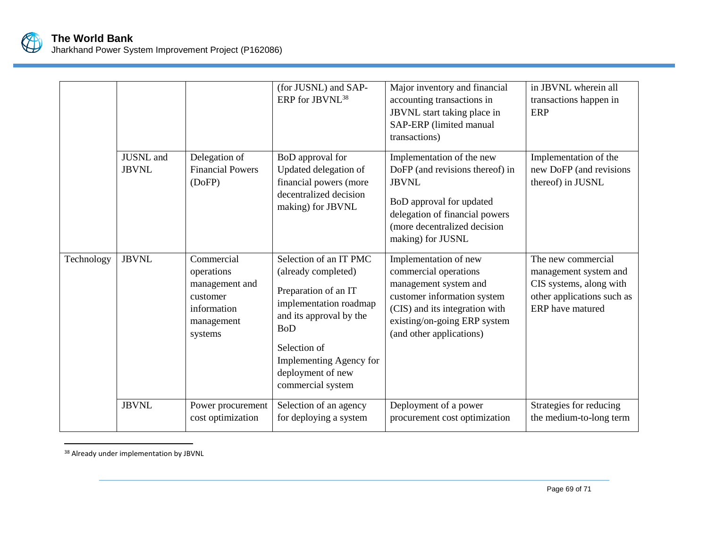

|            |                                  |                                                                                                | (for JUSNL) and SAP-<br>ERP for JBVNL <sup>38</sup>                                                                                                                                                                                  | Major inventory and financial<br>accounting transactions in<br>JBVNL start taking place in<br>SAP-ERP (limited manual<br>transactions)                                                               | in JBVNL wherein all<br>transactions happen in<br><b>ERP</b>                                                             |
|------------|----------------------------------|------------------------------------------------------------------------------------------------|--------------------------------------------------------------------------------------------------------------------------------------------------------------------------------------------------------------------------------------|------------------------------------------------------------------------------------------------------------------------------------------------------------------------------------------------------|--------------------------------------------------------------------------------------------------------------------------|
|            | <b>JUSNL</b> and<br><b>JBVNL</b> | Delegation of<br><b>Financial Powers</b><br>(DoFP)                                             | BoD approval for<br>Updated delegation of<br>financial powers (more<br>decentralized decision<br>making) for JBVNL                                                                                                                   | Implementation of the new<br>DoFP (and revisions thereof) in<br><b>JBVNL</b><br>BoD approval for updated<br>delegation of financial powers<br>(more decentralized decision<br>making) for JUSNL      | Implementation of the<br>new DoFP (and revisions<br>thereof) in JUSNL                                                    |
| Technology | <b>JBVNL</b>                     | Commercial<br>operations<br>management and<br>customer<br>information<br>management<br>systems | Selection of an IT PMC<br>(already completed)<br>Preparation of an IT<br>implementation roadmap<br>and its approval by the<br><b>BoD</b><br>Selection of<br><b>Implementing Agency for</b><br>deployment of new<br>commercial system | Implementation of new<br>commercial operations<br>management system and<br>customer information system<br>(CIS) and its integration with<br>existing/on-going ERP system<br>(and other applications) | The new commercial<br>management system and<br>CIS systems, along with<br>other applications such as<br>ERP have matured |
|            | <b>JBVNL</b>                     | Power procurement<br>cost optimization                                                         | Selection of an agency<br>for deploying a system                                                                                                                                                                                     | Deployment of a power<br>procurement cost optimization                                                                                                                                               | Strategies for reducing<br>the medium-to-long term                                                                       |

<sup>38</sup> Already under implementation by JBVNL

 $\overline{a}$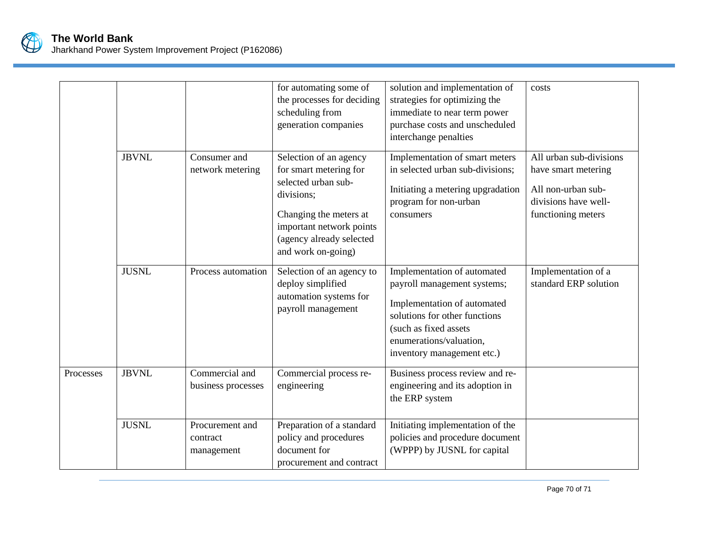

|           |              |                                           | for automating some of<br>the processes for deciding<br>scheduling from<br>generation companies                                                                                               | solution and implementation of<br>strategies for optimizing the<br>immediate to near term power<br>purchase costs and unscheduled<br>interchange penalties                                                   | costs                                                                                                              |
|-----------|--------------|-------------------------------------------|-----------------------------------------------------------------------------------------------------------------------------------------------------------------------------------------------|--------------------------------------------------------------------------------------------------------------------------------------------------------------------------------------------------------------|--------------------------------------------------------------------------------------------------------------------|
|           | <b>JBVNL</b> | Consumer and<br>network metering          | Selection of an agency<br>for smart metering for<br>selected urban sub-<br>divisions;<br>Changing the meters at<br>important network points<br>(agency already selected<br>and work on-going) | Implementation of smart meters<br>in selected urban sub-divisions;<br>Initiating a metering upgradation<br>program for non-urban<br>consumers                                                                | All urban sub-divisions<br>have smart metering<br>All non-urban sub-<br>divisions have well-<br>functioning meters |
|           | <b>JUSNL</b> | Process automation                        | Selection of an agency to<br>deploy simplified<br>automation systems for<br>payroll management                                                                                                | Implementation of automated<br>payroll management systems;<br>Implementation of automated<br>solutions for other functions<br>(such as fixed assets<br>enumerations/valuation,<br>inventory management etc.) | Implementation of a<br>standard ERP solution                                                                       |
| Processes | <b>JBVNL</b> | Commercial and<br>business processes      | Commercial process re-<br>engineering                                                                                                                                                         | Business process review and re-<br>engineering and its adoption in<br>the ERP system                                                                                                                         |                                                                                                                    |
|           | <b>JUSNL</b> | Procurement and<br>contract<br>management | Preparation of a standard<br>policy and procedures<br>document for<br>procurement and contract                                                                                                | Initiating implementation of the<br>policies and procedure document<br>(WPPP) by JUSNL for capital                                                                                                           |                                                                                                                    |